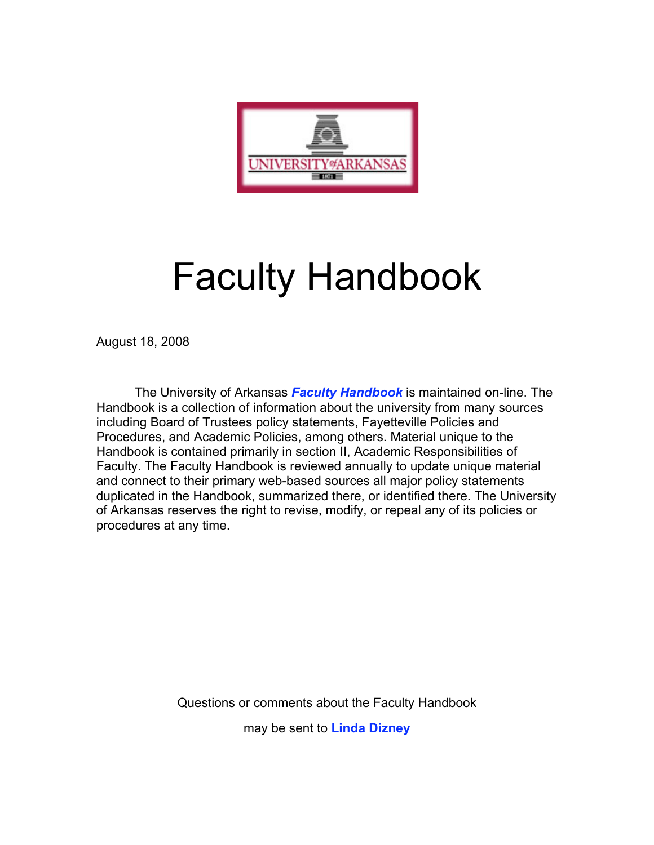

# Faculty Handbook

August 18, 2008

The University of Arkansas *Faculty Handbook* is maintained on-line. The Handbook is a collection of information about the university from many sources including Board of Trustees policy statements, Fayetteville Policies and Procedures, and Academic Policies, among others. Material unique to the Handbook is contained primarily in section II, Academic Responsibilities of Faculty. The Faculty Handbook is reviewed annually to update unique material and connect to their primary web-based sources all major policy statements duplicated in the Handbook, summarized there, or identified there. The University of Arkansas reserves the right to revise, modify, or repeal any of its policies or procedures at any time.

Questions or comments about the Faculty Handbook

may be sent to **Linda Dizney**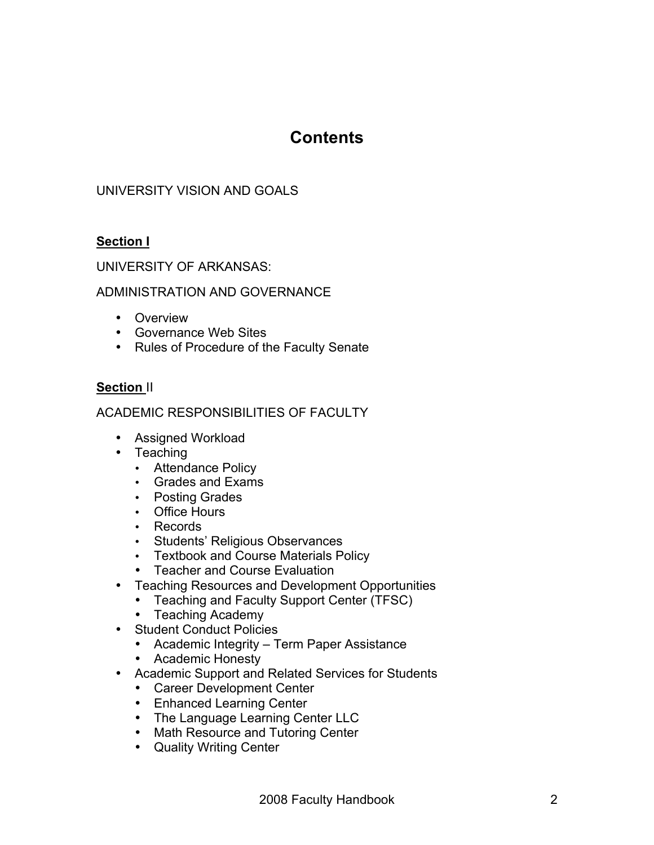### **Contents**

UNIVERSITY VISION AND GOALS

#### **Section I**

UNIVERSITY OF ARKANSAS:

#### ADMINISTRATION AND GOVERNANCE

- Overview
- Governance Web Sites
- Rules of Procedure of the Faculty Senate

#### **Section** II

ACADEMIC RESPONSIBILITIES OF FACULTY

- Assigned Workload
- Teaching
	- Attendance Policy
	- Grades and Exams
	- Posting Grades
	- Office Hours
	- Records
	- Students' Religious Observances
	- Textbook and Course Materials Policy
	- Teacher and Course Evaluation
- Teaching Resources and Development Opportunities
	- Teaching and Faculty Support Center (TFSC)
	- Teaching Academy
- Student Conduct Policies
	- Academic Integrity Term Paper Assistance
	- Academic Honesty
- Academic Support and Related Services for Students
	- Career Development Center
	- Enhanced Learning Center
	- The Language Learning Center LLC
	- Math Resource and Tutoring Center
	- Quality Writing Center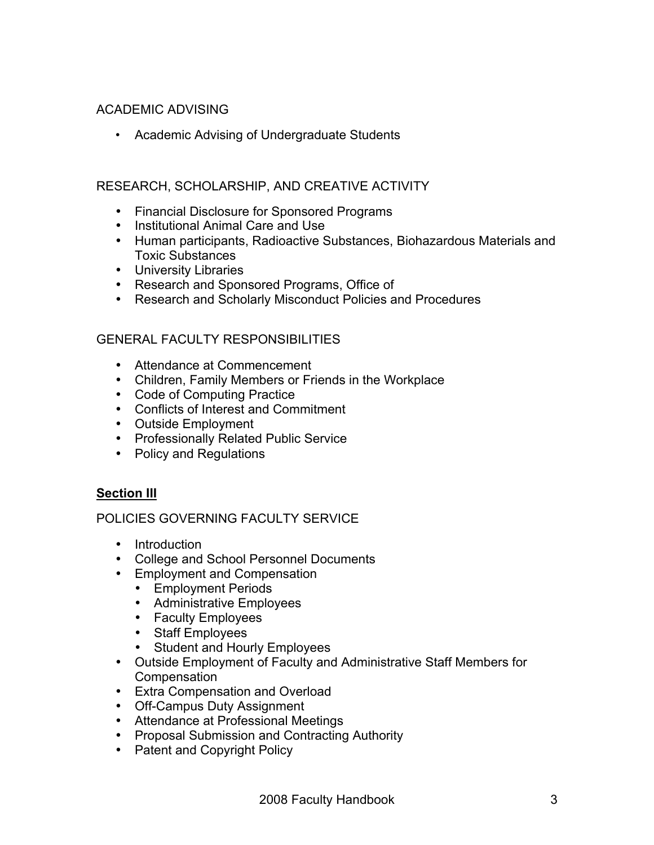#### ACADEMIC ADVISING

• Academic Advising of Undergraduate Students

#### RESEARCH, SCHOLARSHIP, AND CREATIVE ACTIVITY

- Financial Disclosure for Sponsored Programs
- Institutional Animal Care and Use
- Human participants, Radioactive Substances, Biohazardous Materials and Toxic Substances
- University Libraries
- Research and Sponsored Programs, Office of
- Research and Scholarly Misconduct Policies and Procedures

#### GENERAL FACULTY RESPONSIBILITIES

- Attendance at Commencement
- Children, Family Members or Friends in the Workplace
- Code of Computing Practice
- Conflicts of Interest and Commitment
- Outside Employment
- Professionally Related Public Service
- Policy and Regulations

#### **Section III**

#### POLICIES GOVERNING FACULTY SERVICE

- Introduction
- College and School Personnel Documents
- Employment and Compensation
	- Employment Periods
	- Administrative Employees
	- Faculty Employees
	- Staff Employees
	- Student and Hourly Employees
- Outside Employment of Faculty and Administrative Staff Members for Compensation
- Extra Compensation and Overload
- Off-Campus Duty Assignment
- Attendance at Professional Meetings
- Proposal Submission and Contracting Authority
- Patent and Copyright Policy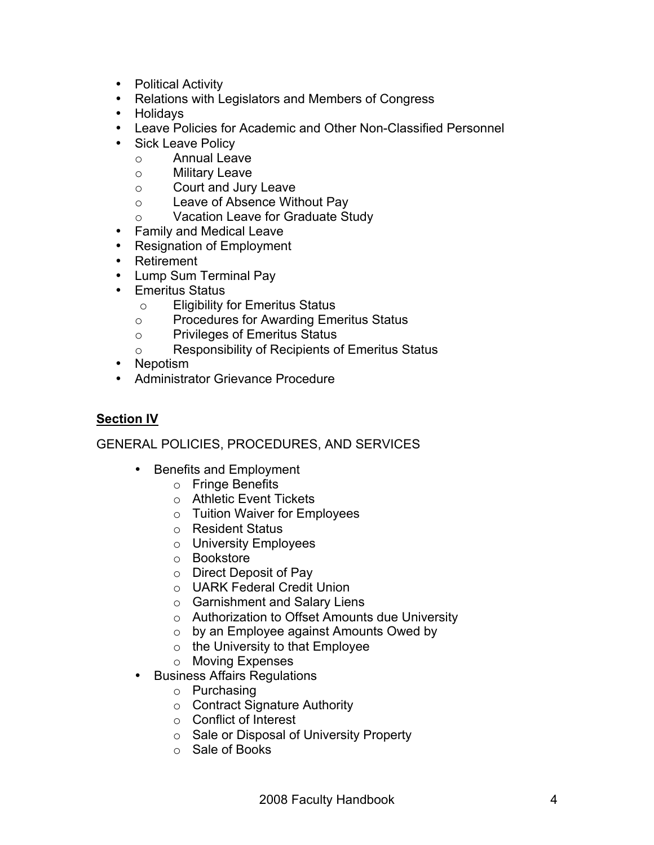- Political Activity
- Relations with Legislators and Members of Congress
- Holidays
- Leave Policies for Academic and Other Non-Classified Personnel
- Sick Leave Policy
	- o Annual Leave
	- o Military Leave
	- o Court and Jury Leave
	- o Leave of Absence Without Pay
	- o Vacation Leave for Graduate Study
- Family and Medical Leave
- Resignation of Employment
- Retirement
- Lump Sum Terminal Pay
- Emeritus Status
	- o Eligibility for Emeritus Status
	- o Procedures for Awarding Emeritus Status
	- o Privileges of Emeritus Status
	- o Responsibility of Recipients of Emeritus Status
- Nepotism
- Administrator Grievance Procedure

#### **Section IV**

#### GENERAL POLICIES, PROCEDURES, AND SERVICES

- Benefits and Employment
	- o Fringe Benefits
	- o Athletic Event Tickets
	- o Tuition Waiver for Employees
	- o Resident Status
	- o University Employees
	- o Bookstore
	- o Direct Deposit of Pay
	- o UARK Federal Credit Union
	- o Garnishment and Salary Liens
	- o Authorization to Offset Amounts due University
	- o by an Employee against Amounts Owed by
	- $\circ$  the University to that Employee
	- o Moving Expenses
- Business Affairs Regulations
	- o Purchasing
	- o Contract Signature Authority
	- o Conflict of Interest
	- o Sale or Disposal of University Property
	- o Sale of Books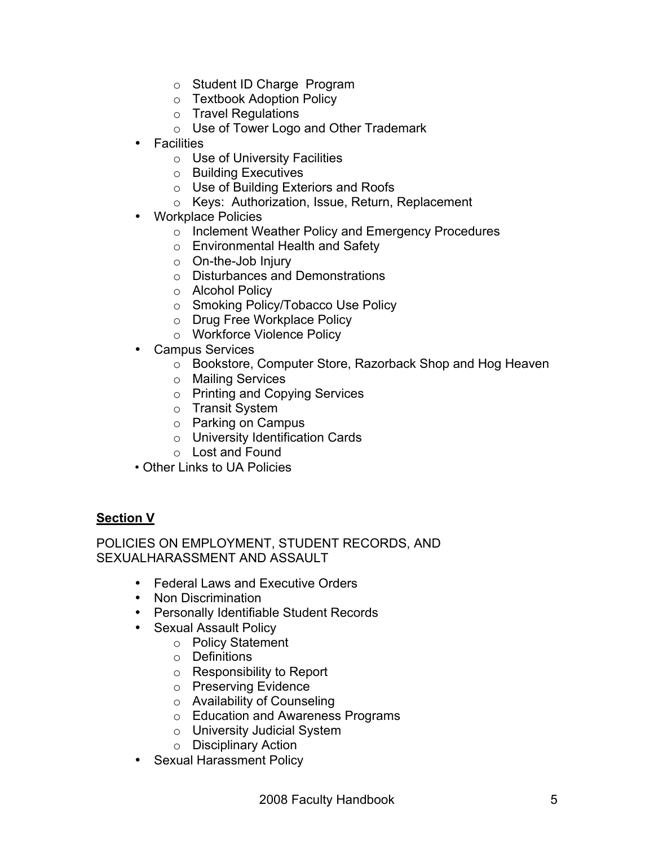- o Student ID Charge Program
- o Textbook Adoption Policy
- o Travel Regulations
- o Use of Tower Logo and Other Trademark
- Facilities
	- o Use of University Facilities
	- o Building Executives
	- o Use of Building Exteriors and Roofs
	- o Keys: Authorization, Issue, Return, Replacement
- Workplace Policies
	- o Inclement Weather Policy and Emergency Procedures
	- o Environmental Health and Safety
	- o On-the-Job Injury
	- o Disturbances and Demonstrations
	- o Alcohol Policy
	- o Smoking Policy/Tobacco Use Policy
	- o Drug Free Workplace Policy
	- o Workforce Violence Policy
- Campus Services
	- o Bookstore, Computer Store, Razorback Shop and Hog Heaven
	- o Mailing Services
	- o Printing and Copying Services
	- o Transit System
	- o Parking on Campus
	- o University Identification Cards
	- o Lost and Found
- Other Links to UA Policies

#### **Section V**

POLICIES ON EMPLOYMENT, STUDENT RECORDS, AND SEXUALHARASSMENT AND ASSAULT

- Federal Laws and Executive Orders
- Non Discrimination
- Personally Identifiable Student Records
- Sexual Assault Policy
	- o Policy Statement
	- o Definitions
	- o Responsibility to Report
	- o Preserving Evidence
	- o Availability of Counseling
	- o Education and Awareness Programs
	- o University Judicial System
	- o Disciplinary Action
- Sexual Harassment Policy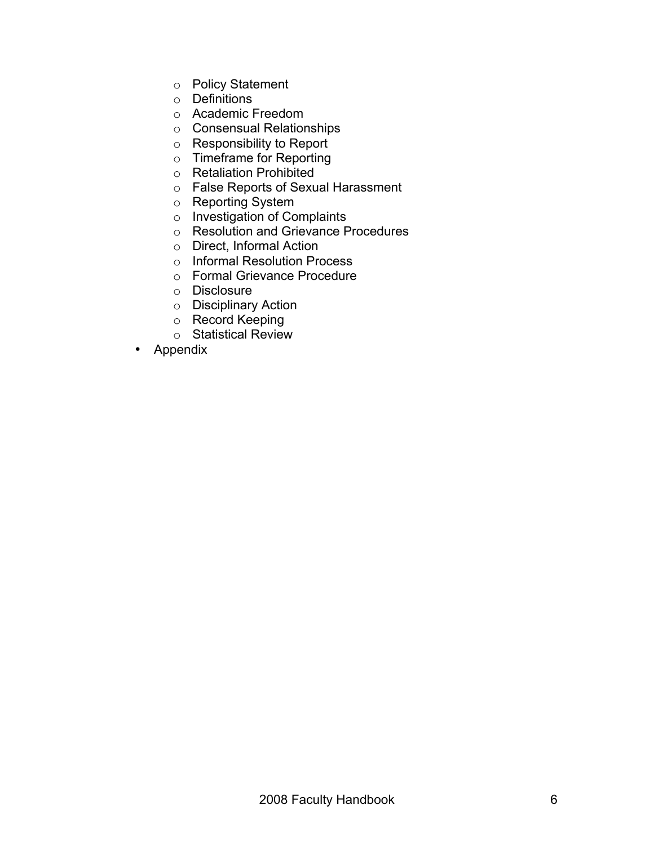- o Policy Statement
- o Definitions
- o Academic Freedom
- o Consensual Relationships
- o Responsibility to Report
- o Timeframe for Reporting
- o Retaliation Prohibited
- o False Reports of Sexual Harassment
- o Reporting System
- o Investigation of Complaints
- o Resolution and Grievance Procedures
- o Direct, Informal Action
- o Informal Resolution Process
- o Formal Grievance Procedure
- o Disclosure
- o Disciplinary Action
- o Record Keeping
- o Statistical Review
- Appendix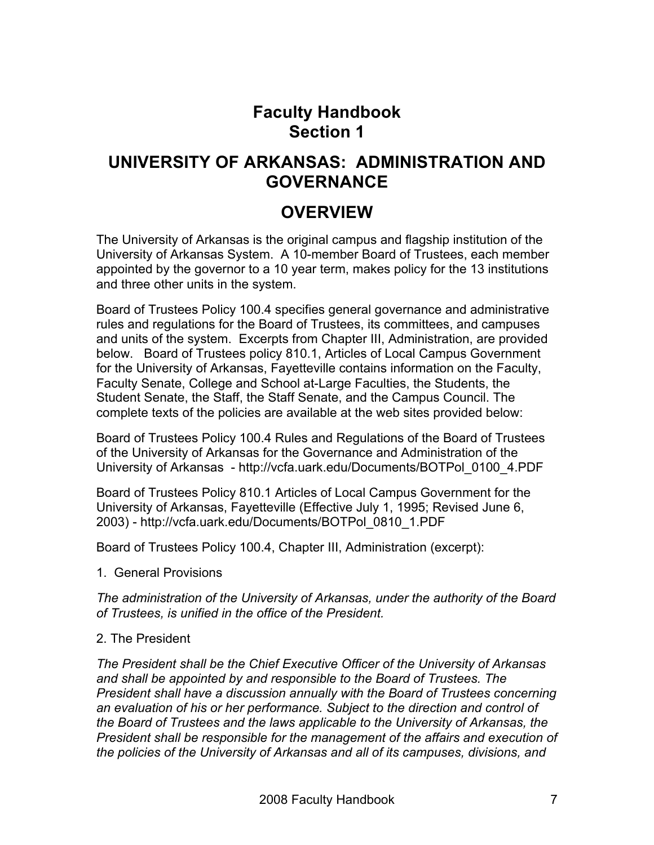### **Faculty Handbook Section 1**

### **UNIVERSITY OF ARKANSAS: ADMINISTRATION AND GOVERNANCE**

### **OVERVIEW**

The University of Arkansas is the original campus and flagship institution of the University of Arkansas System. A 10-member Board of Trustees, each member appointed by the governor to a 10 year term, makes policy for the 13 institutions and three other units in the system.

Board of Trustees Policy 100.4 specifies general governance and administrative rules and regulations for the Board of Trustees, its committees, and campuses and units of the system. Excerpts from Chapter III, Administration, are provided below. Board of Trustees policy 810.1, Articles of Local Campus Government for the University of Arkansas, Fayetteville contains information on the Faculty, Faculty Senate, College and School at-Large Faculties, the Students, the Student Senate, the Staff, the Staff Senate, and the Campus Council. The complete texts of the policies are available at the web sites provided below:

Board of Trustees Policy 100.4 Rules and Regulations of the Board of Trustees of the University of Arkansas for the Governance and Administration of the University of Arkansas - http://vcfa.uark.edu/Documents/BOTPol\_0100\_4.PDF

Board of Trustees Policy 810.1 Articles of Local Campus Government for the University of Arkansas, Fayetteville (Effective July 1, 1995; Revised June 6, 2003) - http://vcfa.uark.edu/Documents/BOTPol\_0810\_1.PDF

Board of Trustees Policy 100.4, Chapter III, Administration (excerpt):

1. General Provisions

*The administration of the University of Arkansas, under the authority of the Board of Trustees, is unified in the office of the President.* 

#### 2. The President

*The President shall be the Chief Executive Officer of the University of Arkansas and shall be appointed by and responsible to the Board of Trustees. The President shall have a discussion annually with the Board of Trustees concerning an evaluation of his or her performance. Subject to the direction and control of the Board of Trustees and the laws applicable to the University of Arkansas, the President shall be responsible for the management of the affairs and execution of the policies of the University of Arkansas and all of its campuses, divisions, and*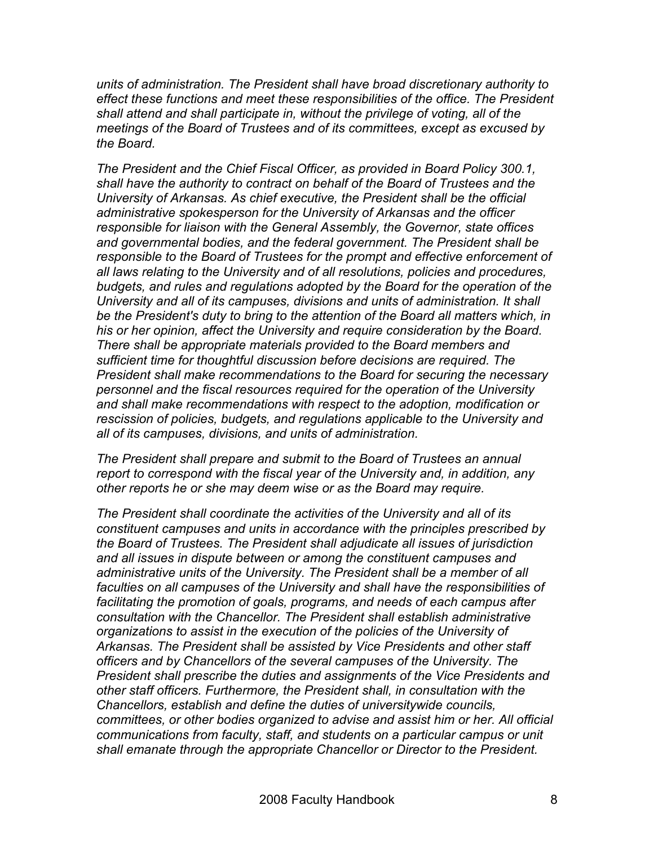*units of administration. The President shall have broad discretionary authority to effect these functions and meet these responsibilities of the office. The President shall attend and shall participate in, without the privilege of voting, all of the meetings of the Board of Trustees and of its committees, except as excused by the Board.* 

*The President and the Chief Fiscal Officer, as provided in Board Policy 300.1, shall have the authority to contract on behalf of the Board of Trustees and the University of Arkansas. As chief executive, the President shall be the official administrative spokesperson for the University of Arkansas and the officer responsible for liaison with the General Assembly, the Governor, state offices and governmental bodies, and the federal government. The President shall be responsible to the Board of Trustees for the prompt and effective enforcement of all laws relating to the University and of all resolutions, policies and procedures, budgets, and rules and regulations adopted by the Board for the operation of the University and all of its campuses, divisions and units of administration. It shall be the President's duty to bring to the attention of the Board all matters which, in his or her opinion, affect the University and require consideration by the Board. There shall be appropriate materials provided to the Board members and sufficient time for thoughtful discussion before decisions are required. The President shall make recommendations to the Board for securing the necessary personnel and the fiscal resources required for the operation of the University and shall make recommendations with respect to the adoption, modification or rescission of policies, budgets, and regulations applicable to the University and all of its campuses, divisions, and units of administration.* 

*The President shall prepare and submit to the Board of Trustees an annual report to correspond with the fiscal year of the University and, in addition, any other reports he or she may deem wise or as the Board may require.* 

*The President shall coordinate the activities of the University and all of its constituent campuses and units in accordance with the principles prescribed by the Board of Trustees. The President shall adjudicate all issues of jurisdiction and all issues in dispute between or among the constituent campuses and administrative units of the University. The President shall be a member of all faculties on all campuses of the University and shall have the responsibilities of facilitating the promotion of goals, programs, and needs of each campus after consultation with the Chancellor. The President shall establish administrative organizations to assist in the execution of the policies of the University of Arkansas. The President shall be assisted by Vice Presidents and other staff officers and by Chancellors of the several campuses of the University. The President shall prescribe the duties and assignments of the Vice Presidents and other staff officers. Furthermore, the President shall, in consultation with the Chancellors, establish and define the duties of universitywide councils, committees, or other bodies organized to advise and assist him or her. All official communications from faculty, staff, and students on a particular campus or unit shall emanate through the appropriate Chancellor or Director to the President.*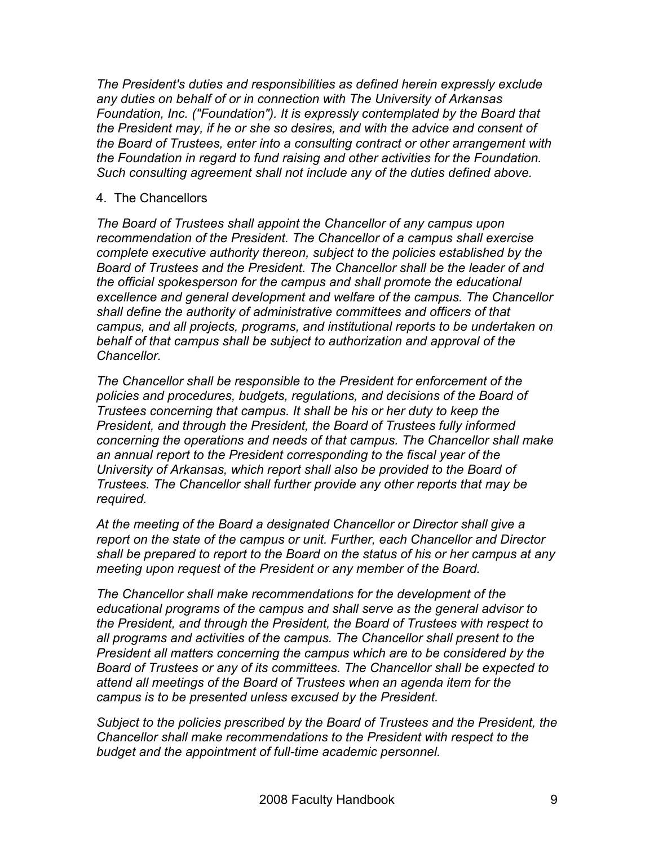*The President's duties and responsibilities as defined herein expressly exclude any duties on behalf of or in connection with The University of Arkansas Foundation, Inc. ("Foundation"). It is expressly contemplated by the Board that the President may, if he or she so desires, and with the advice and consent of the Board of Trustees, enter into a consulting contract or other arrangement with the Foundation in regard to fund raising and other activities for the Foundation. Such consulting agreement shall not include any of the duties defined above.* 

#### 4. The Chancellors

*The Board of Trustees shall appoint the Chancellor of any campus upon recommendation of the President. The Chancellor of a campus shall exercise complete executive authority thereon, subject to the policies established by the Board of Trustees and the President. The Chancellor shall be the leader of and the official spokesperson for the campus and shall promote the educational excellence and general development and welfare of the campus. The Chancellor shall define the authority of administrative committees and officers of that campus, and all projects, programs, and institutional reports to be undertaken on behalf of that campus shall be subject to authorization and approval of the Chancellor.*

*The Chancellor shall be responsible to the President for enforcement of the policies and procedures, budgets, regulations, and decisions of the Board of Trustees concerning that campus. It shall be his or her duty to keep the President, and through the President, the Board of Trustees fully informed concerning the operations and needs of that campus. The Chancellor shall make an annual report to the President corresponding to the fiscal year of the University of Arkansas, which report shall also be provided to the Board of Trustees. The Chancellor shall further provide any other reports that may be required.*

*At the meeting of the Board a designated Chancellor or Director shall give a report on the state of the campus or unit. Further, each Chancellor and Director shall be prepared to report to the Board on the status of his or her campus at any meeting upon request of the President or any member of the Board.*

*The Chancellor shall make recommendations for the development of the educational programs of the campus and shall serve as the general advisor to the President, and through the President, the Board of Trustees with respect to all programs and activities of the campus. The Chancellor shall present to the President all matters concerning the campus which are to be considered by the Board of Trustees or any of its committees. The Chancellor shall be expected to attend all meetings of the Board of Trustees when an agenda item for the campus is to be presented unless excused by the President.*

*Subject to the policies prescribed by the Board of Trustees and the President, the Chancellor shall make recommendations to the President with respect to the budget and the appointment of full-time academic personnel.*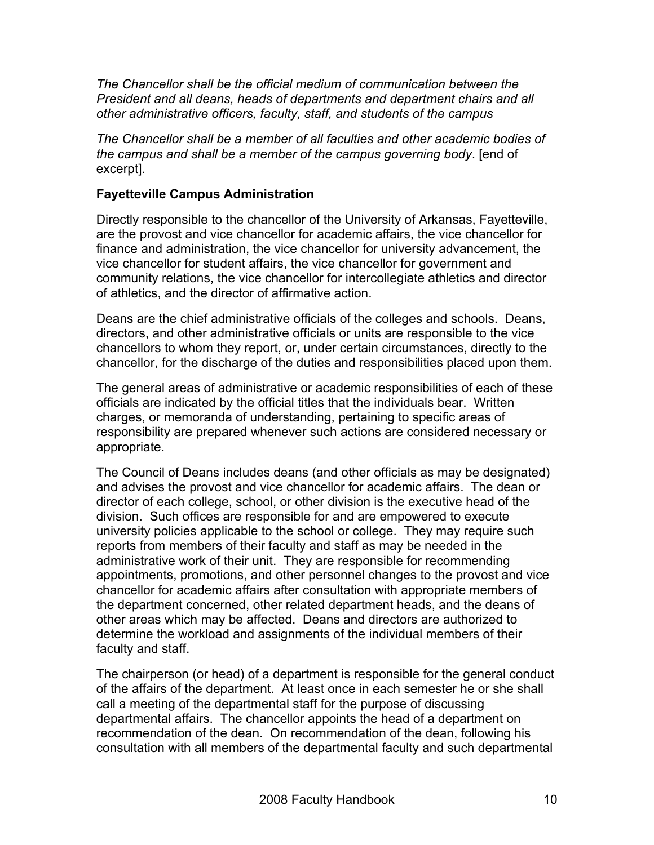*The Chancellor shall be the official medium of communication between the President and all deans, heads of departments and department chairs and all other administrative officers, faculty, staff, and students of the campus*

*The Chancellor shall be a member of all faculties and other academic bodies of the campus and shall be a member of the campus governing body*. [end of excerpt].

#### **Fayetteville Campus Administration**

Directly responsible to the chancellor of the University of Arkansas, Fayetteville, are the provost and vice chancellor for academic affairs, the vice chancellor for finance and administration, the vice chancellor for university advancement, the vice chancellor for student affairs, the vice chancellor for government and community relations, the vice chancellor for intercollegiate athletics and director of athletics, and the director of affirmative action.

Deans are the chief administrative officials of the colleges and schools. Deans, directors, and other administrative officials or units are responsible to the vice chancellors to whom they report, or, under certain circumstances, directly to the chancellor, for the discharge of the duties and responsibilities placed upon them.

The general areas of administrative or academic responsibilities of each of these officials are indicated by the official titles that the individuals bear. Written charges, or memoranda of understanding, pertaining to specific areas of responsibility are prepared whenever such actions are considered necessary or appropriate.

The Council of Deans includes deans (and other officials as may be designated) and advises the provost and vice chancellor for academic affairs. The dean or director of each college, school, or other division is the executive head of the division. Such offices are responsible for and are empowered to execute university policies applicable to the school or college. They may require such reports from members of their faculty and staff as may be needed in the administrative work of their unit. They are responsible for recommending appointments, promotions, and other personnel changes to the provost and vice chancellor for academic affairs after consultation with appropriate members of the department concerned, other related department heads, and the deans of other areas which may be affected. Deans and directors are authorized to determine the workload and assignments of the individual members of their faculty and staff.

The chairperson (or head) of a department is responsible for the general conduct of the affairs of the department. At least once in each semester he or she shall call a meeting of the departmental staff for the purpose of discussing departmental affairs. The chancellor appoints the head of a department on recommendation of the dean. On recommendation of the dean, following his consultation with all members of the departmental faculty and such departmental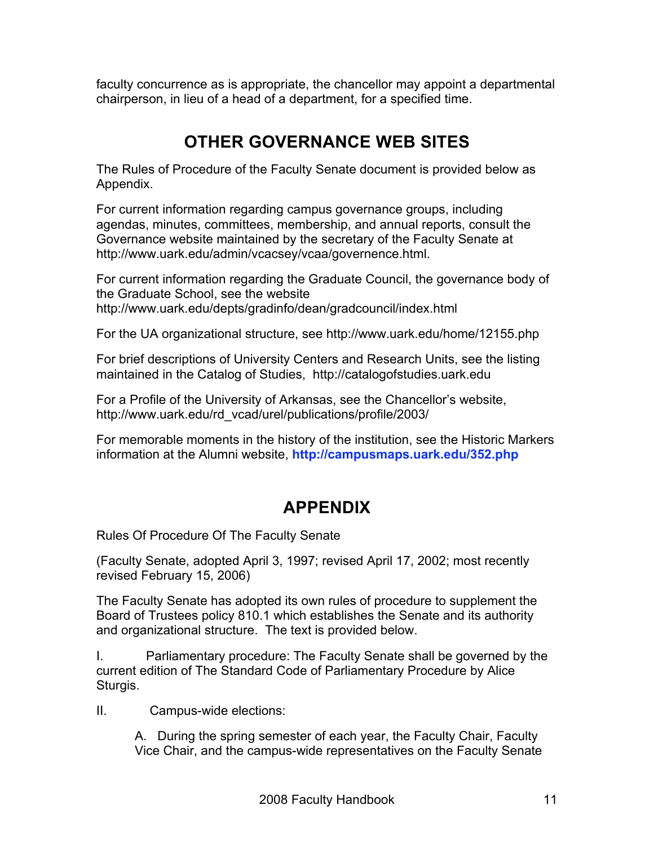faculty concurrence as is appropriate, the chancellor may appoint a departmental chairperson, in lieu of a head of a department, for a specified time.

# **OTHER GOVERNANCE WEB SITES**

The Rules of Procedure of the Faculty Senate document is provided below as Appendix.

For current information regarding campus governance groups, including agendas, minutes, committees, membership, and annual reports, consult the Governance website maintained by the secretary of the Faculty Senate at http://www.uark.edu/admin/vcacsey/vcaa/governence.html.

For current information regarding the Graduate Council, the governance body of the Graduate School, see the website http://www.uark.edu/depts/gradinfo/dean/gradcouncil/index.html

For the UA organizational structure, see http://www.uark.edu/home/12155.php

For brief descriptions of University Centers and Research Units, see the listing maintained in the Catalog of Studies, http://catalogofstudies.uark.edu

For a Profile of the University of Arkansas, see the Chancellor's website, http://www.uark.edu/rd\_vcad/urel/publications/profile/2003/

For memorable moments in the history of the institution, see the Historic Markers information at the Alumni website, **http://campusmaps.uark.edu/352.php**

### **APPENDIX**

Rules Of Procedure Of The Faculty Senate

(Faculty Senate, adopted April 3, 1997; revised April 17, 2002; most recently revised February 15, 2006)

The Faculty Senate has adopted its own rules of procedure to supplement the Board of Trustees policy 810.1 which establishes the Senate and its authority and organizational structure. The text is provided below.

I. Parliamentary procedure: The Faculty Senate shall be governed by the current edition of The Standard Code of Parliamentary Procedure by Alice Sturgis.

II. Campus-wide elections:

A. During the spring semester of each year, the Faculty Chair, Faculty Vice Chair, and the campus-wide representatives on the Faculty Senate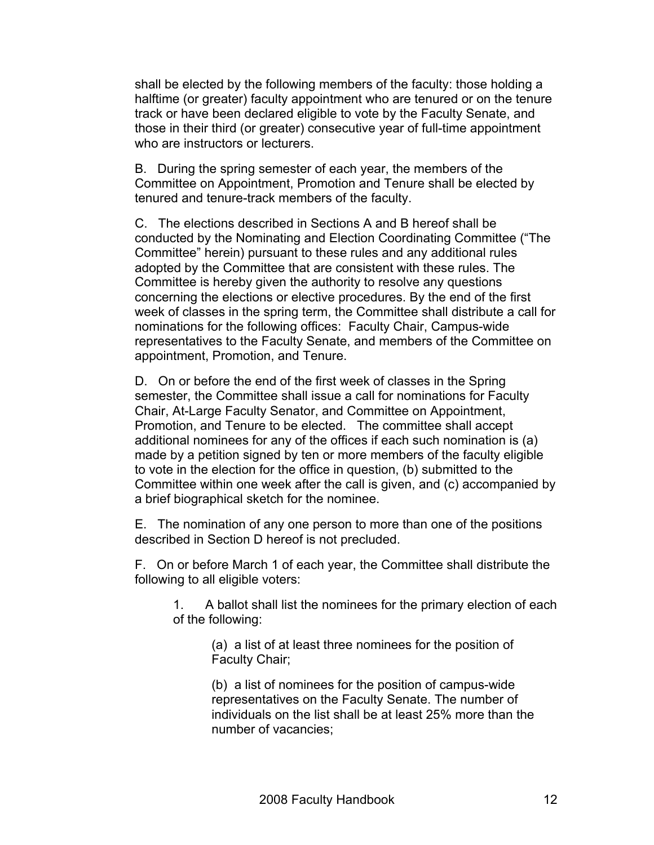shall be elected by the following members of the faculty: those holding a halftime (or greater) faculty appointment who are tenured or on the tenure track or have been declared eligible to vote by the Faculty Senate, and those in their third (or greater) consecutive year of full-time appointment who are instructors or lecturers.

B. During the spring semester of each year, the members of the Committee on Appointment, Promotion and Tenure shall be elected by tenured and tenure-track members of the faculty.

C. The elections described in Sections A and B hereof shall be conducted by the Nominating and Election Coordinating Committee ("The Committee" herein) pursuant to these rules and any additional rules adopted by the Committee that are consistent with these rules. The Committee is hereby given the authority to resolve any questions concerning the elections or elective procedures. By the end of the first week of classes in the spring term, the Committee shall distribute a call for nominations for the following offices: Faculty Chair, Campus-wide representatives to the Faculty Senate, and members of the Committee on appointment, Promotion, and Tenure.

D. On or before the end of the first week of classes in the Spring semester, the Committee shall issue a call for nominations for Faculty Chair, At-Large Faculty Senator, and Committee on Appointment, Promotion, and Tenure to be elected. The committee shall accept additional nominees for any of the offices if each such nomination is (a) made by a petition signed by ten or more members of the faculty eligible to vote in the election for the office in question, (b) submitted to the Committee within one week after the call is given, and (c) accompanied by a brief biographical sketch for the nominee.

E. The nomination of any one person to more than one of the positions described in Section D hereof is not precluded.

F. On or before March 1 of each year, the Committee shall distribute the following to all eligible voters:

1. A ballot shall list the nominees for the primary election of each of the following:

> (a) a list of at least three nominees for the position of Faculty Chair;

(b) a list of nominees for the position of campus-wide representatives on the Faculty Senate. The number of individuals on the list shall be at least 25% more than the number of vacancies;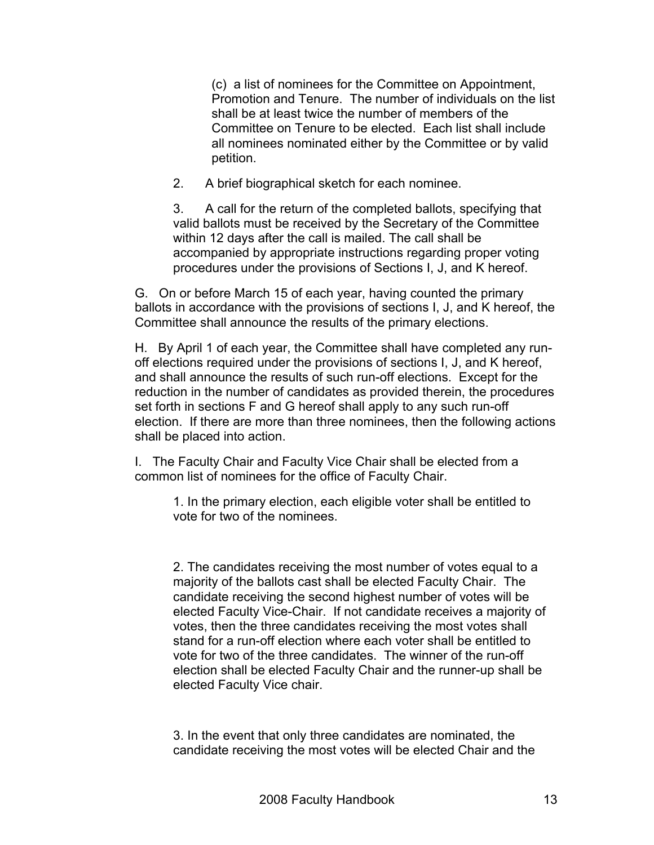(c) a list of nominees for the Committee on Appointment, Promotion and Tenure. The number of individuals on the list shall be at least twice the number of members of the Committee on Tenure to be elected. Each list shall include all nominees nominated either by the Committee or by valid petition.

2. A brief biographical sketch for each nominee.

3. A call for the return of the completed ballots, specifying that valid ballots must be received by the Secretary of the Committee within 12 days after the call is mailed. The call shall be accompanied by appropriate instructions regarding proper voting procedures under the provisions of Sections I, J, and K hereof.

G. On or before March 15 of each year, having counted the primary ballots in accordance with the provisions of sections I, J, and K hereof, the Committee shall announce the results of the primary elections.

H. By April 1 of each year, the Committee shall have completed any runoff elections required under the provisions of sections I, J, and K hereof, and shall announce the results of such run-off elections. Except for the reduction in the number of candidates as provided therein, the procedures set forth in sections F and G hereof shall apply to any such run-off election. If there are more than three nominees, then the following actions shall be placed into action.

I. The Faculty Chair and Faculty Vice Chair shall be elected from a common list of nominees for the office of Faculty Chair.

1. In the primary election, each eligible voter shall be entitled to vote for two of the nominees.

2. The candidates receiving the most number of votes equal to a majority of the ballots cast shall be elected Faculty Chair. The candidate receiving the second highest number of votes will be elected Faculty Vice-Chair. If not candidate receives a majority of votes, then the three candidates receiving the most votes shall stand for a run-off election where each voter shall be entitled to vote for two of the three candidates. The winner of the run-off election shall be elected Faculty Chair and the runner-up shall be elected Faculty Vice chair.

3. In the event that only three candidates are nominated, the candidate receiving the most votes will be elected Chair and the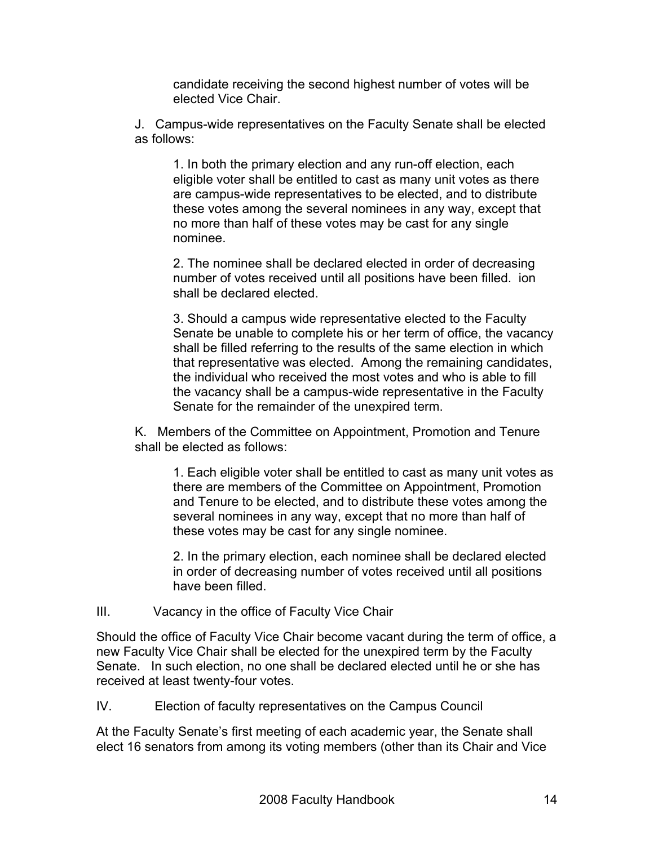candidate receiving the second highest number of votes will be elected Vice Chair.

J. Campus-wide representatives on the Faculty Senate shall be elected as follows:

1. In both the primary election and any run-off election, each eligible voter shall be entitled to cast as many unit votes as there are campus-wide representatives to be elected, and to distribute these votes among the several nominees in any way, except that no more than half of these votes may be cast for any single nominee.

2. The nominee shall be declared elected in order of decreasing number of votes received until all positions have been filled. ion shall be declared elected.

3. Should a campus wide representative elected to the Faculty Senate be unable to complete his or her term of office, the vacancy shall be filled referring to the results of the same election in which that representative was elected. Among the remaining candidates, the individual who received the most votes and who is able to fill the vacancy shall be a campus-wide representative in the Faculty Senate for the remainder of the unexpired term.

K. Members of the Committee on Appointment, Promotion and Tenure shall be elected as follows:

1. Each eligible voter shall be entitled to cast as many unit votes as there are members of the Committee on Appointment, Promotion and Tenure to be elected, and to distribute these votes among the several nominees in any way, except that no more than half of these votes may be cast for any single nominee.

2. In the primary election, each nominee shall be declared elected in order of decreasing number of votes received until all positions have been filled.

III. Vacancy in the office of Faculty Vice Chair

Should the office of Faculty Vice Chair become vacant during the term of office, a new Faculty Vice Chair shall be elected for the unexpired term by the Faculty Senate. In such election, no one shall be declared elected until he or she has received at least twenty-four votes.

IV. Election of faculty representatives on the Campus Council

At the Faculty Senate's first meeting of each academic year, the Senate shall elect 16 senators from among its voting members (other than its Chair and Vice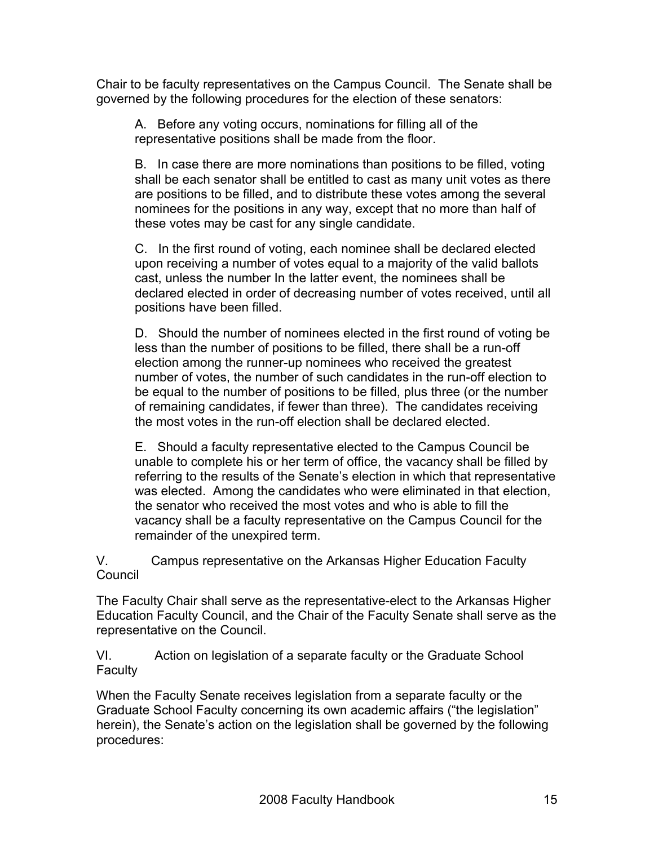Chair to be faculty representatives on the Campus Council. The Senate shall be governed by the following procedures for the election of these senators:

A. Before any voting occurs, nominations for filling all of the representative positions shall be made from the floor.

B. In case there are more nominations than positions to be filled, voting shall be each senator shall be entitled to cast as many unit votes as there are positions to be filled, and to distribute these votes among the several nominees for the positions in any way, except that no more than half of these votes may be cast for any single candidate.

C. In the first round of voting, each nominee shall be declared elected upon receiving a number of votes equal to a majority of the valid ballots cast, unless the number In the latter event, the nominees shall be declared elected in order of decreasing number of votes received, until all positions have been filled.

D. Should the number of nominees elected in the first round of voting be less than the number of positions to be filled, there shall be a run-off election among the runner-up nominees who received the greatest number of votes, the number of such candidates in the run-off election to be equal to the number of positions to be filled, plus three (or the number of remaining candidates, if fewer than three). The candidates receiving the most votes in the run-off election shall be declared elected.

E. Should a faculty representative elected to the Campus Council be unable to complete his or her term of office, the vacancy shall be filled by referring to the results of the Senate's election in which that representative was elected. Among the candidates who were eliminated in that election, the senator who received the most votes and who is able to fill the vacancy shall be a faculty representative on the Campus Council for the remainder of the unexpired term.

V. Campus representative on the Arkansas Higher Education Faculty Council

The Faculty Chair shall serve as the representative-elect to the Arkansas Higher Education Faculty Council, and the Chair of the Faculty Senate shall serve as the representative on the Council.

VI. Action on legislation of a separate faculty or the Graduate School **Faculty** 

When the Faculty Senate receives legislation from a separate faculty or the Graduate School Faculty concerning its own academic affairs ("the legislation" herein), the Senate's action on the legislation shall be governed by the following procedures: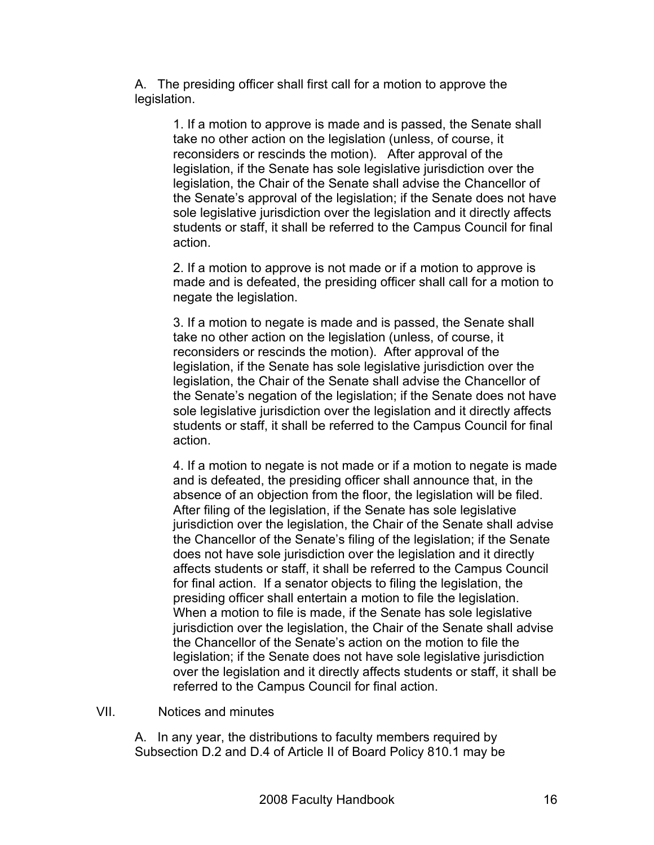A. The presiding officer shall first call for a motion to approve the legislation.

> 1. If a motion to approve is made and is passed, the Senate shall take no other action on the legislation (unless, of course, it reconsiders or rescinds the motion). After approval of the legislation, if the Senate has sole legislative jurisdiction over the legislation, the Chair of the Senate shall advise the Chancellor of the Senate's approval of the legislation; if the Senate does not have sole legislative jurisdiction over the legislation and it directly affects students or staff, it shall be referred to the Campus Council for final action.

> 2. If a motion to approve is not made or if a motion to approve is made and is defeated, the presiding officer shall call for a motion to negate the legislation.

> 3. If a motion to negate is made and is passed, the Senate shall take no other action on the legislation (unless, of course, it reconsiders or rescinds the motion). After approval of the legislation, if the Senate has sole legislative jurisdiction over the legislation, the Chair of the Senate shall advise the Chancellor of the Senate's negation of the legislation; if the Senate does not have sole legislative jurisdiction over the legislation and it directly affects students or staff, it shall be referred to the Campus Council for final action.

> 4. If a motion to negate is not made or if a motion to negate is made and is defeated, the presiding officer shall announce that, in the absence of an objection from the floor, the legislation will be filed. After filing of the legislation, if the Senate has sole legislative jurisdiction over the legislation, the Chair of the Senate shall advise the Chancellor of the Senate's filing of the legislation; if the Senate does not have sole jurisdiction over the legislation and it directly affects students or staff, it shall be referred to the Campus Council for final action. If a senator objects to filing the legislation, the presiding officer shall entertain a motion to file the legislation. When a motion to file is made, if the Senate has sole legislative jurisdiction over the legislation, the Chair of the Senate shall advise the Chancellor of the Senate's action on the motion to file the legislation; if the Senate does not have sole legislative jurisdiction over the legislation and it directly affects students or staff, it shall be referred to the Campus Council for final action.

VII. Notices and minutes

A. In any year, the distributions to faculty members required by Subsection D.2 and D.4 of Article II of Board Policy 810.1 may be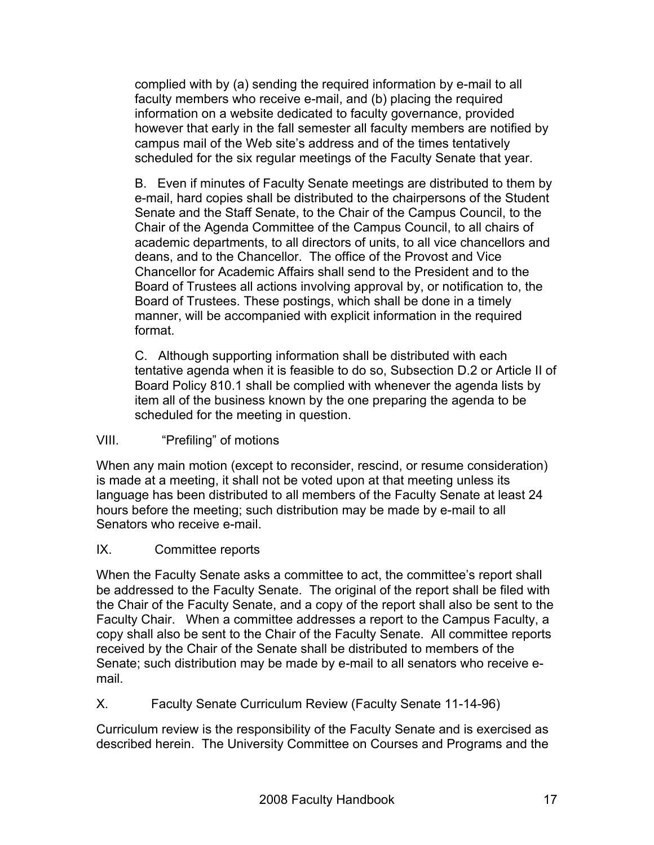complied with by (a) sending the required information by e-mail to all faculty members who receive e-mail, and (b) placing the required information on a website dedicated to faculty governance, provided however that early in the fall semester all faculty members are notified by campus mail of the Web site's address and of the times tentatively scheduled for the six regular meetings of the Faculty Senate that year.

B. Even if minutes of Faculty Senate meetings are distributed to them by e-mail, hard copies shall be distributed to the chairpersons of the Student Senate and the Staff Senate, to the Chair of the Campus Council, to the Chair of the Agenda Committee of the Campus Council, to all chairs of academic departments, to all directors of units, to all vice chancellors and deans, and to the Chancellor. The office of the Provost and Vice Chancellor for Academic Affairs shall send to the President and to the Board of Trustees all actions involving approval by, or notification to, the Board of Trustees. These postings, which shall be done in a timely manner, will be accompanied with explicit information in the required format.

C. Although supporting information shall be distributed with each tentative agenda when it is feasible to do so, Subsection D.2 or Article II of Board Policy 810.1 shall be complied with whenever the agenda lists by item all of the business known by the one preparing the agenda to be scheduled for the meeting in question.

#### VIII. "Prefiling" of motions

When any main motion (except to reconsider, rescind, or resume consideration) is made at a meeting, it shall not be voted upon at that meeting unless its language has been distributed to all members of the Faculty Senate at least 24 hours before the meeting; such distribution may be made by e-mail to all Senators who receive e-mail.

#### IX. Committee reports

When the Faculty Senate asks a committee to act, the committee's report shall be addressed to the Faculty Senate. The original of the report shall be filed with the Chair of the Faculty Senate, and a copy of the report shall also be sent to the Faculty Chair. When a committee addresses a report to the Campus Faculty, a copy shall also be sent to the Chair of the Faculty Senate. All committee reports received by the Chair of the Senate shall be distributed to members of the Senate; such distribution may be made by e-mail to all senators who receive email.

#### X. Faculty Senate Curriculum Review (Faculty Senate 11-14-96)

Curriculum review is the responsibility of the Faculty Senate and is exercised as described herein. The University Committee on Courses and Programs and the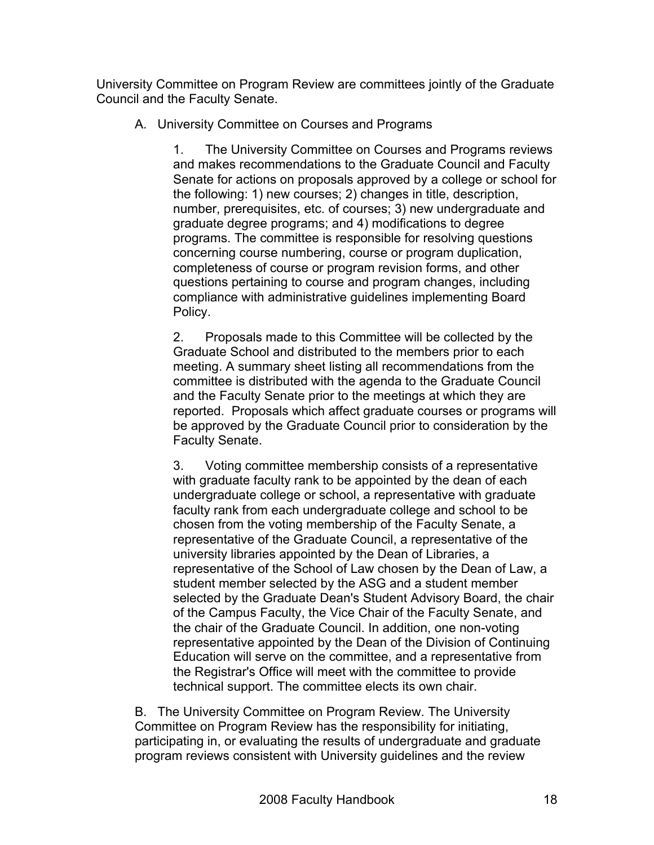University Committee on Program Review are committees jointly of the Graduate Council and the Faculty Senate.

A. University Committee on Courses and Programs

1. The University Committee on Courses and Programs reviews and makes recommendations to the Graduate Council and Faculty Senate for actions on proposals approved by a college or school for the following: 1) new courses; 2) changes in title, description, number, prerequisites, etc. of courses; 3) new undergraduate and graduate degree programs; and 4) modifications to degree programs. The committee is responsible for resolving questions concerning course numbering, course or program duplication, completeness of course or program revision forms, and other questions pertaining to course and program changes, including compliance with administrative guidelines implementing Board Policy.

2. Proposals made to this Committee will be collected by the Graduate School and distributed to the members prior to each meeting. A summary sheet listing all recommendations from the committee is distributed with the agenda to the Graduate Council and the Faculty Senate prior to the meetings at which they are reported. Proposals which affect graduate courses or programs will be approved by the Graduate Council prior to consideration by the Faculty Senate.

3. Voting committee membership consists of a representative with graduate faculty rank to be appointed by the dean of each undergraduate college or school, a representative with graduate faculty rank from each undergraduate college and school to be chosen from the voting membership of the Faculty Senate, a representative of the Graduate Council, a representative of the university libraries appointed by the Dean of Libraries, a representative of the School of Law chosen by the Dean of Law, a student member selected by the ASG and a student member selected by the Graduate Dean's Student Advisory Board, the chair of the Campus Faculty, the Vice Chair of the Faculty Senate, and the chair of the Graduate Council. In addition, one non-voting representative appointed by the Dean of the Division of Continuing Education will serve on the committee, and a representative from the Registrar's Office will meet with the committee to provide technical support. The committee elects its own chair.

B. The University Committee on Program Review. The University Committee on Program Review has the responsibility for initiating, participating in, or evaluating the results of undergraduate and graduate program reviews consistent with University guidelines and the review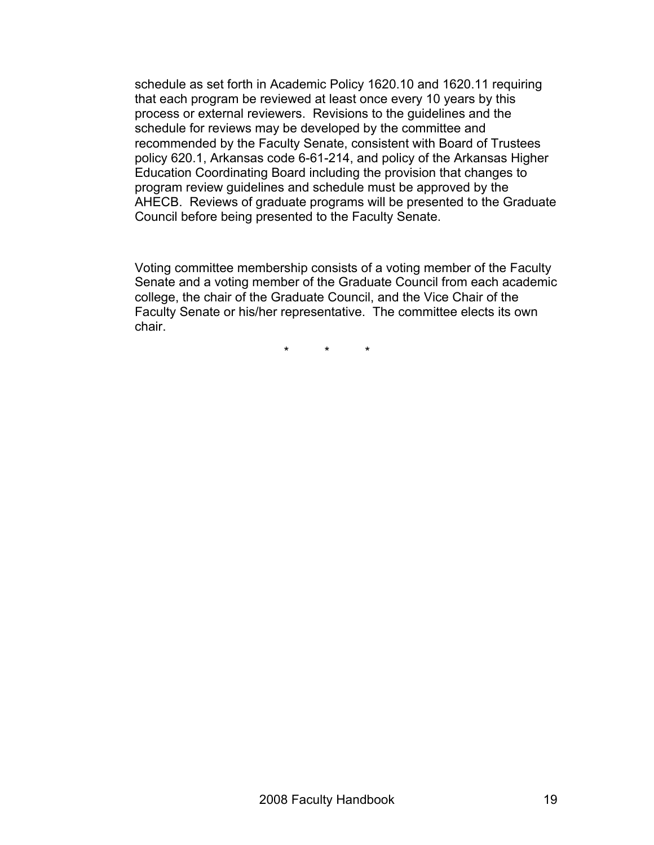schedule as set forth in Academic Policy 1620.10 and 1620.11 requiring that each program be reviewed at least once every 10 years by this process or external reviewers. Revisions to the guidelines and the schedule for reviews may be developed by the committee and recommended by the Faculty Senate, consistent with Board of Trustees policy 620.1, Arkansas code 6-61-214, and policy of the Arkansas Higher Education Coordinating Board including the provision that changes to program review guidelines and schedule must be approved by the AHECB. Reviews of graduate programs will be presented to the Graduate Council before being presented to the Faculty Senate.

Voting committee membership consists of a voting member of the Faculty Senate and a voting member of the Graduate Council from each academic college, the chair of the Graduate Council, and the Vice Chair of the Faculty Senate or his/her representative. The committee elects its own chair.

\* \* \*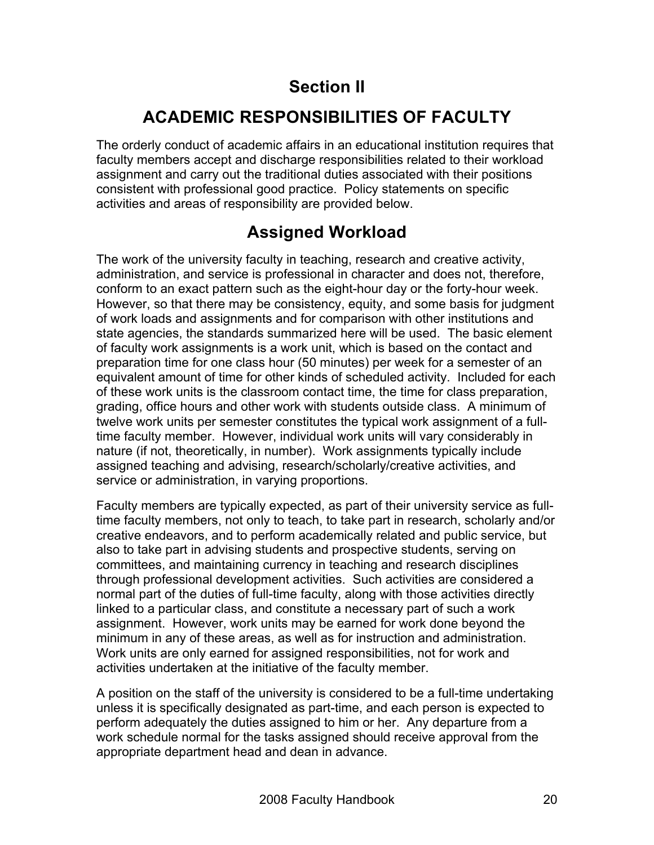# **Section II**

# **ACADEMIC RESPONSIBILITIES OF FACULTY**

The orderly conduct of academic affairs in an educational institution requires that faculty members accept and discharge responsibilities related to their workload assignment and carry out the traditional duties associated with their positions consistent with professional good practice. Policy statements on specific activities and areas of responsibility are provided below.

# **Assigned Workload**

The work of the university faculty in teaching, research and creative activity, administration, and service is professional in character and does not, therefore, conform to an exact pattern such as the eight-hour day or the forty-hour week. However, so that there may be consistency, equity, and some basis for judgment of work loads and assignments and for comparison with other institutions and state agencies, the standards summarized here will be used. The basic element of faculty work assignments is a work unit, which is based on the contact and preparation time for one class hour (50 minutes) per week for a semester of an equivalent amount of time for other kinds of scheduled activity. Included for each of these work units is the classroom contact time, the time for class preparation, grading, office hours and other work with students outside class. A minimum of twelve work units per semester constitutes the typical work assignment of a fulltime faculty member. However, individual work units will vary considerably in nature (if not, theoretically, in number). Work assignments typically include assigned teaching and advising, research/scholarly/creative activities, and service or administration, in varying proportions.

Faculty members are typically expected, as part of their university service as fulltime faculty members, not only to teach, to take part in research, scholarly and/or creative endeavors, and to perform academically related and public service, but also to take part in advising students and prospective students, serving on committees, and maintaining currency in teaching and research disciplines through professional development activities. Such activities are considered a normal part of the duties of full-time faculty, along with those activities directly linked to a particular class, and constitute a necessary part of such a work assignment. However, work units may be earned for work done beyond the minimum in any of these areas, as well as for instruction and administration. Work units are only earned for assigned responsibilities, not for work and activities undertaken at the initiative of the faculty member.

A position on the staff of the university is considered to be a full-time undertaking unless it is specifically designated as part-time, and each person is expected to perform adequately the duties assigned to him or her. Any departure from a work schedule normal for the tasks assigned should receive approval from the appropriate department head and dean in advance.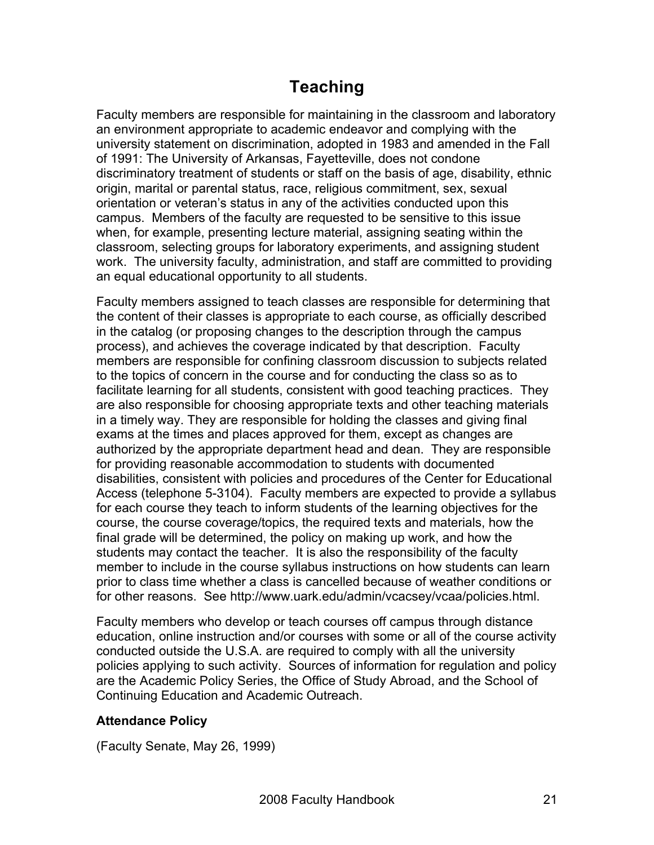# **Teaching**

Faculty members are responsible for maintaining in the classroom and laboratory an environment appropriate to academic endeavor and complying with the university statement on discrimination, adopted in 1983 and amended in the Fall of 1991: The University of Arkansas, Fayetteville, does not condone discriminatory treatment of students or staff on the basis of age, disability, ethnic origin, marital or parental status, race, religious commitment, sex, sexual orientation or veteran's status in any of the activities conducted upon this campus. Members of the faculty are requested to be sensitive to this issue when, for example, presenting lecture material, assigning seating within the classroom, selecting groups for laboratory experiments, and assigning student work. The university faculty, administration, and staff are committed to providing an equal educational opportunity to all students.

Faculty members assigned to teach classes are responsible for determining that the content of their classes is appropriate to each course, as officially described in the catalog (or proposing changes to the description through the campus process), and achieves the coverage indicated by that description. Faculty members are responsible for confining classroom discussion to subjects related to the topics of concern in the course and for conducting the class so as to facilitate learning for all students, consistent with good teaching practices. They are also responsible for choosing appropriate texts and other teaching materials in a timely way. They are responsible for holding the classes and giving final exams at the times and places approved for them, except as changes are authorized by the appropriate department head and dean. They are responsible for providing reasonable accommodation to students with documented disabilities, consistent with policies and procedures of the Center for Educational Access (telephone 5-3104). Faculty members are expected to provide a syllabus for each course they teach to inform students of the learning objectives for the course, the course coverage/topics, the required texts and materials, how the final grade will be determined, the policy on making up work, and how the students may contact the teacher. It is also the responsibility of the faculty member to include in the course syllabus instructions on how students can learn prior to class time whether a class is cancelled because of weather conditions or for other reasons. See http://www.uark.edu/admin/vcacsey/vcaa/policies.html.

Faculty members who develop or teach courses off campus through distance education, online instruction and/or courses with some or all of the course activity conducted outside the U.S.A. are required to comply with all the university policies applying to such activity. Sources of information for regulation and policy are the Academic Policy Series, the Office of Study Abroad, and the School of Continuing Education and Academic Outreach.

#### **Attendance Policy**

(Faculty Senate, May 26, 1999)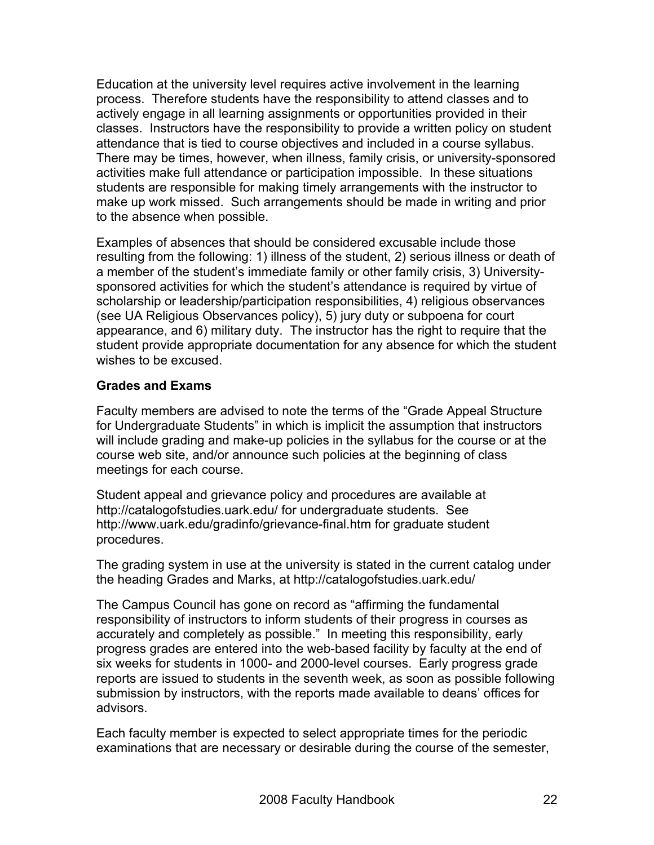Education at the university level requires active involvement in the learning process. Therefore students have the responsibility to attend classes and to actively engage in all learning assignments or opportunities provided in their classes. Instructors have the responsibility to provide a written policy on student attendance that is tied to course objectives and included in a course syllabus. There may be times, however, when illness, family crisis, or university-sponsored activities make full attendance or participation impossible. In these situations students are responsible for making timely arrangements with the instructor to make up work missed. Such arrangements should be made in writing and prior to the absence when possible.

Examples of absences that should be considered excusable include those resulting from the following: 1) illness of the student, 2) serious illness or death of a member of the student's immediate family or other family crisis, 3) Universitysponsored activities for which the student's attendance is required by virtue of scholarship or leadership/participation responsibilities, 4) religious observances (see UA Religious Observances policy), 5) jury duty or subpoena for court appearance, and 6) military duty. The instructor has the right to require that the student provide appropriate documentation for any absence for which the student wishes to be excused.

#### **Grades and Exams**

Faculty members are advised to note the terms of the "Grade Appeal Structure for Undergraduate Students" in which is implicit the assumption that instructors will include grading and make-up policies in the syllabus for the course or at the course web site, and/or announce such policies at the beginning of class meetings for each course.

Student appeal and grievance policy and procedures are available at http://catalogofstudies.uark.edu/ for undergraduate students. See http://www.uark.edu/gradinfo/grievance-final.htm for graduate student procedures.

The grading system in use at the university is stated in the current catalog under the heading Grades and Marks, at http://catalogofstudies.uark.edu/

The Campus Council has gone on record as "affirming the fundamental responsibility of instructors to inform students of their progress in courses as accurately and completely as possible." In meeting this responsibility, early progress grades are entered into the web-based facility by faculty at the end of six weeks for students in 1000- and 2000-level courses. Early progress grade reports are issued to students in the seventh week, as soon as possible following submission by instructors, with the reports made available to deans' offices for advisors.

Each faculty member is expected to select appropriate times for the periodic examinations that are necessary or desirable during the course of the semester,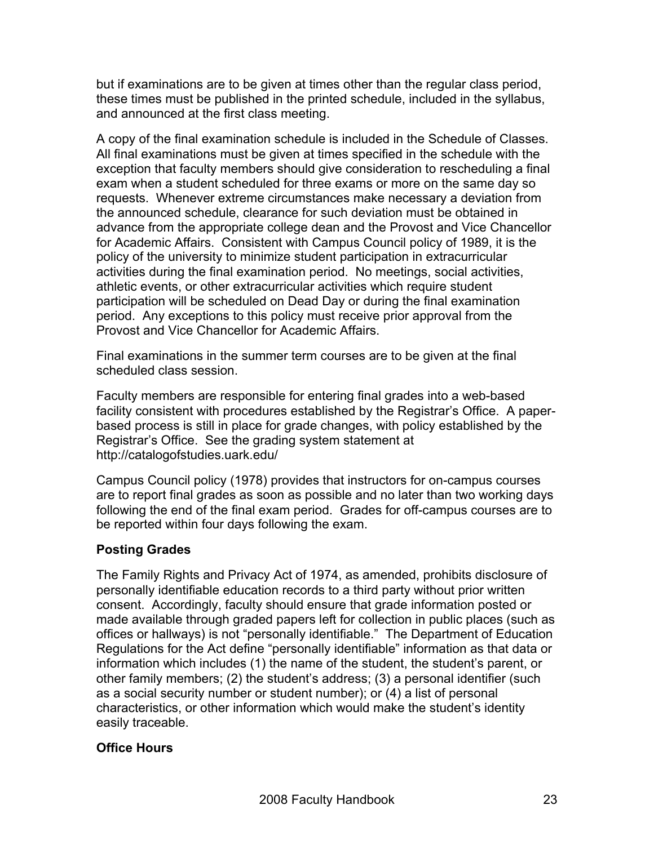but if examinations are to be given at times other than the regular class period, these times must be published in the printed schedule, included in the syllabus, and announced at the first class meeting.

A copy of the final examination schedule is included in the Schedule of Classes. All final examinations must be given at times specified in the schedule with the exception that faculty members should give consideration to rescheduling a final exam when a student scheduled for three exams or more on the same day so requests. Whenever extreme circumstances make necessary a deviation from the announced schedule, clearance for such deviation must be obtained in advance from the appropriate college dean and the Provost and Vice Chancellor for Academic Affairs. Consistent with Campus Council policy of 1989, it is the policy of the university to minimize student participation in extracurricular activities during the final examination period. No meetings, social activities, athletic events, or other extracurricular activities which require student participation will be scheduled on Dead Day or during the final examination period. Any exceptions to this policy must receive prior approval from the Provost and Vice Chancellor for Academic Affairs.

Final examinations in the summer term courses are to be given at the final scheduled class session.

Faculty members are responsible for entering final grades into a web-based facility consistent with procedures established by the Registrar's Office. A paperbased process is still in place for grade changes, with policy established by the Registrar's Office. See the grading system statement at http://catalogofstudies.uark.edu/

Campus Council policy (1978) provides that instructors for on-campus courses are to report final grades as soon as possible and no later than two working days following the end of the final exam period. Grades for off-campus courses are to be reported within four days following the exam.

#### **Posting Grades**

The Family Rights and Privacy Act of 1974, as amended, prohibits disclosure of personally identifiable education records to a third party without prior written consent. Accordingly, faculty should ensure that grade information posted or made available through graded papers left for collection in public places (such as offices or hallways) is not "personally identifiable." The Department of Education Regulations for the Act define "personally identifiable" information as that data or information which includes (1) the name of the student, the student's parent, or other family members; (2) the student's address; (3) a personal identifier (such as a social security number or student number); or (4) a list of personal characteristics, or other information which would make the student's identity easily traceable.

#### **Office Hours**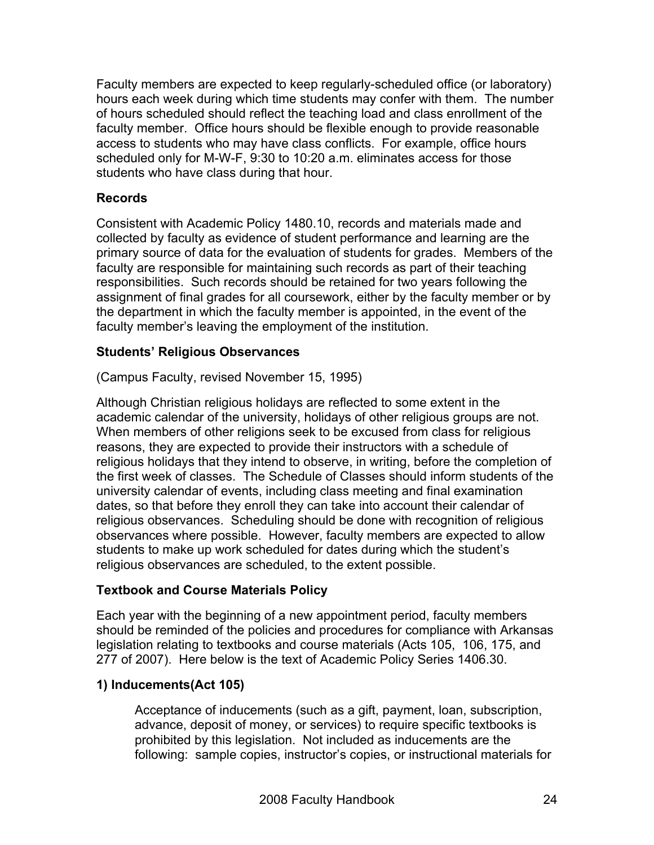Faculty members are expected to keep regularly-scheduled office (or laboratory) hours each week during which time students may confer with them. The number of hours scheduled should reflect the teaching load and class enrollment of the faculty member. Office hours should be flexible enough to provide reasonable access to students who may have class conflicts. For example, office hours scheduled only for M-W-F, 9:30 to 10:20 a.m. eliminates access for those students who have class during that hour.

#### **Records**

Consistent with Academic Policy 1480.10, records and materials made and collected by faculty as evidence of student performance and learning are the primary source of data for the evaluation of students for grades. Members of the faculty are responsible for maintaining such records as part of their teaching responsibilities. Such records should be retained for two years following the assignment of final grades for all coursework, either by the faculty member or by the department in which the faculty member is appointed, in the event of the faculty member's leaving the employment of the institution.

#### **Students' Religious Observances**

(Campus Faculty, revised November 15, 1995)

Although Christian religious holidays are reflected to some extent in the academic calendar of the university, holidays of other religious groups are not. When members of other religions seek to be excused from class for religious reasons, they are expected to provide their instructors with a schedule of religious holidays that they intend to observe, in writing, before the completion of the first week of classes. The Schedule of Classes should inform students of the university calendar of events, including class meeting and final examination dates, so that before they enroll they can take into account their calendar of religious observances. Scheduling should be done with recognition of religious observances where possible. However, faculty members are expected to allow students to make up work scheduled for dates during which the student's religious observances are scheduled, to the extent possible.

#### **Textbook and Course Materials Policy**

Each year with the beginning of a new appointment period, faculty members should be reminded of the policies and procedures for compliance with Arkansas legislation relating to textbooks and course materials (Acts 105, 106, 175, and 277 of 2007). Here below is the text of Academic Policy Series 1406.30.

#### **1) Inducements(Act 105)**

Acceptance of inducements (such as a gift, payment, loan, subscription, advance, deposit of money, or services) to require specific textbooks is prohibited by this legislation. Not included as inducements are the following: sample copies, instructor's copies, or instructional materials for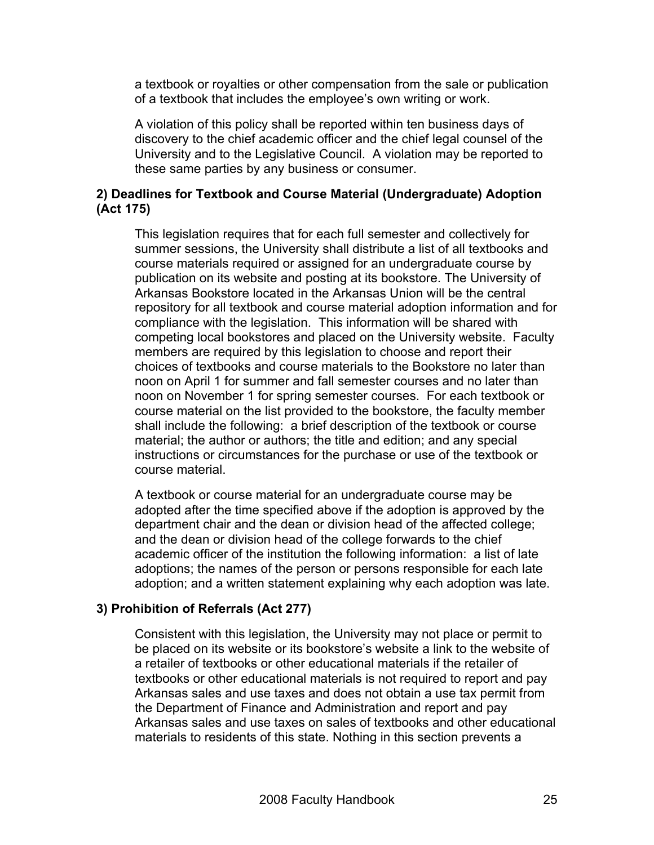a textbook or royalties or other compensation from the sale or publication of a textbook that includes the employee's own writing or work.

A violation of this policy shall be reported within ten business days of discovery to the chief academic officer and the chief legal counsel of the University and to the Legislative Council. A violation may be reported to these same parties by any business or consumer.

#### **2) Deadlines for Textbook and Course Material (Undergraduate) Adoption (Act 175)**

This legislation requires that for each full semester and collectively for summer sessions, the University shall distribute a list of all textbooks and course materials required or assigned for an undergraduate course by publication on its website and posting at its bookstore. The University of Arkansas Bookstore located in the Arkansas Union will be the central repository for all textbook and course material adoption information and for compliance with the legislation. This information will be shared with competing local bookstores and placed on the University website. Faculty members are required by this legislation to choose and report their choices of textbooks and course materials to the Bookstore no later than noon on April 1 for summer and fall semester courses and no later than noon on November 1 for spring semester courses. For each textbook or course material on the list provided to the bookstore, the faculty member shall include the following: a brief description of the textbook or course material; the author or authors; the title and edition; and any special instructions or circumstances for the purchase or use of the textbook or course material.

A textbook or course material for an undergraduate course may be adopted after the time specified above if the adoption is approved by the department chair and the dean or division head of the affected college; and the dean or division head of the college forwards to the chief academic officer of the institution the following information: a list of late adoptions; the names of the person or persons responsible for each late adoption; and a written statement explaining why each adoption was late.

#### **3) Prohibition of Referrals (Act 277)**

Consistent with this legislation, the University may not place or permit to be placed on its website or its bookstore's website a link to the website of a retailer of textbooks or other educational materials if the retailer of textbooks or other educational materials is not required to report and pay Arkansas sales and use taxes and does not obtain a use tax permit from the Department of Finance and Administration and report and pay Arkansas sales and use taxes on sales of textbooks and other educational materials to residents of this state. Nothing in this section prevents a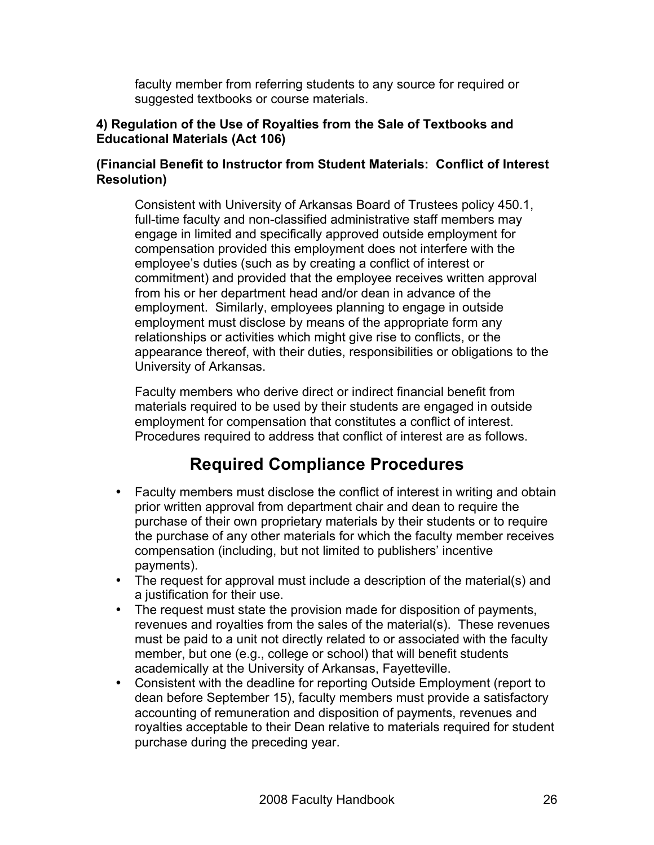faculty member from referring students to any source for required or suggested textbooks or course materials.

#### **4) Regulation of the Use of Royalties from the Sale of Textbooks and Educational Materials (Act 106)**

#### **(Financial Benefit to Instructor from Student Materials: Conflict of Interest Resolution)**

Consistent with University of Arkansas Board of Trustees policy 450.1, full-time faculty and non-classified administrative staff members may engage in limited and specifically approved outside employment for compensation provided this employment does not interfere with the employee's duties (such as by creating a conflict of interest or commitment) and provided that the employee receives written approval from his or her department head and/or dean in advance of the employment. Similarly, employees planning to engage in outside employment must disclose by means of the appropriate form any relationships or activities which might give rise to conflicts, or the appearance thereof, with their duties, responsibilities or obligations to the University of Arkansas.

Faculty members who derive direct or indirect financial benefit from materials required to be used by their students are engaged in outside employment for compensation that constitutes a conflict of interest. Procedures required to address that conflict of interest are as follows.

# **Required Compliance Procedures**

- Faculty members must disclose the conflict of interest in writing and obtain prior written approval from department chair and dean to require the purchase of their own proprietary materials by their students or to require the purchase of any other materials for which the faculty member receives compensation (including, but not limited to publishers' incentive payments).
- The request for approval must include a description of the material(s) and a justification for their use.
- The request must state the provision made for disposition of payments, revenues and royalties from the sales of the material(s). These revenues must be paid to a unit not directly related to or associated with the faculty member, but one (e.g., college or school) that will benefit students academically at the University of Arkansas, Fayetteville.
- Consistent with the deadline for reporting Outside Employment (report to dean before September 15), faculty members must provide a satisfactory accounting of remuneration and disposition of payments, revenues and royalties acceptable to their Dean relative to materials required for student purchase during the preceding year.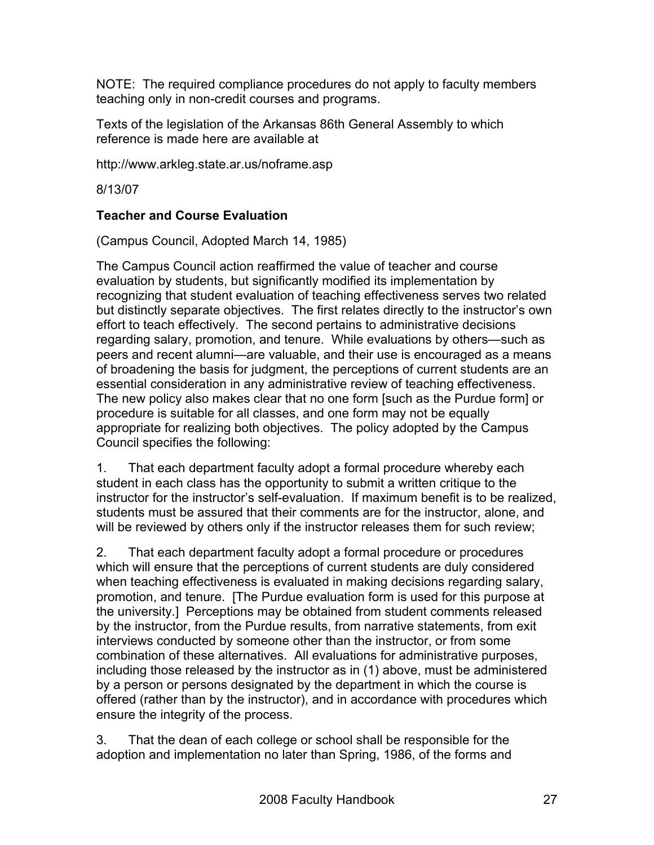NOTE: The required compliance procedures do not apply to faculty members teaching only in non-credit courses and programs.

Texts of the legislation of the Arkansas 86th General Assembly to which reference is made here are available at

http://www.arkleg.state.ar.us/noframe.asp

8/13/07

#### **Teacher and Course Evaluation**

(Campus Council, Adopted March 14, 1985)

The Campus Council action reaffirmed the value of teacher and course evaluation by students, but significantly modified its implementation by recognizing that student evaluation of teaching effectiveness serves two related but distinctly separate objectives. The first relates directly to the instructor's own effort to teach effectively. The second pertains to administrative decisions regarding salary, promotion, and tenure. While evaluations by others—such as peers and recent alumni—are valuable, and their use is encouraged as a means of broadening the basis for judgment, the perceptions of current students are an essential consideration in any administrative review of teaching effectiveness. The new policy also makes clear that no one form [such as the Purdue form] or procedure is suitable for all classes, and one form may not be equally appropriate for realizing both objectives. The policy adopted by the Campus Council specifies the following:

1. That each department faculty adopt a formal procedure whereby each student in each class has the opportunity to submit a written critique to the instructor for the instructor's self-evaluation. If maximum benefit is to be realized, students must be assured that their comments are for the instructor, alone, and will be reviewed by others only if the instructor releases them for such review;

2. That each department faculty adopt a formal procedure or procedures which will ensure that the perceptions of current students are duly considered when teaching effectiveness is evaluated in making decisions regarding salary, promotion, and tenure. [The Purdue evaluation form is used for this purpose at the university.] Perceptions may be obtained from student comments released by the instructor, from the Purdue results, from narrative statements, from exit interviews conducted by someone other than the instructor, or from some combination of these alternatives. All evaluations for administrative purposes, including those released by the instructor as in (1) above, must be administered by a person or persons designated by the department in which the course is offered (rather than by the instructor), and in accordance with procedures which ensure the integrity of the process.

3. That the dean of each college or school shall be responsible for the adoption and implementation no later than Spring, 1986, of the forms and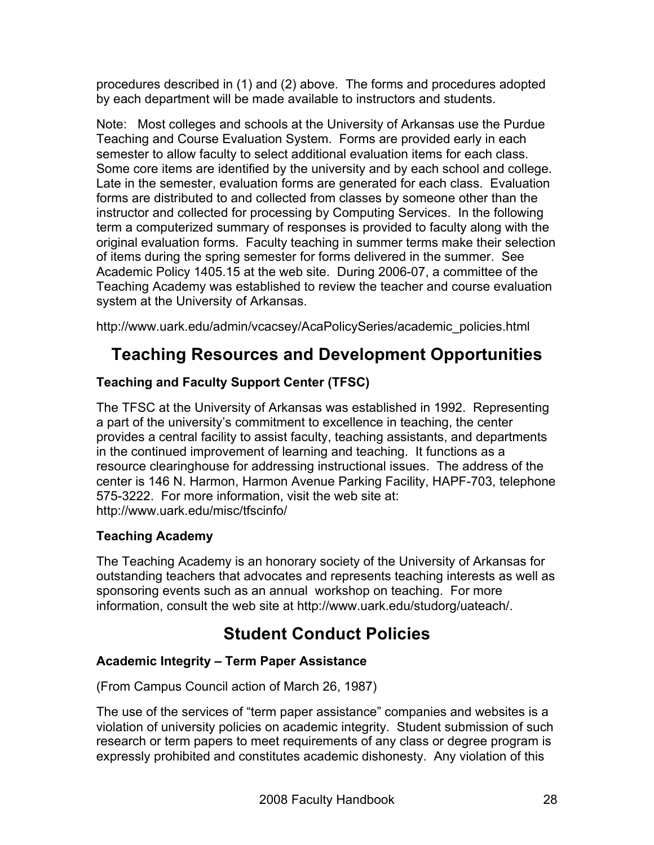procedures described in (1) and (2) above. The forms and procedures adopted by each department will be made available to instructors and students.

Note: Most colleges and schools at the University of Arkansas use the Purdue Teaching and Course Evaluation System. Forms are provided early in each semester to allow faculty to select additional evaluation items for each class. Some core items are identified by the university and by each school and college. Late in the semester, evaluation forms are generated for each class. Evaluation forms are distributed to and collected from classes by someone other than the instructor and collected for processing by Computing Services. In the following term a computerized summary of responses is provided to faculty along with the original evaluation forms. Faculty teaching in summer terms make their selection of items during the spring semester for forms delivered in the summer. See Academic Policy 1405.15 at the web site. During 2006-07, a committee of the Teaching Academy was established to review the teacher and course evaluation system at the University of Arkansas.

http://www.uark.edu/admin/vcacsey/AcaPolicySeries/academic\_policies.html

# **Teaching Resources and Development Opportunities**

#### **Teaching and Faculty Support Center (TFSC)**

The TFSC at the University of Arkansas was established in 1992. Representing a part of the university's commitment to excellence in teaching, the center provides a central facility to assist faculty, teaching assistants, and departments in the continued improvement of learning and teaching. It functions as a resource clearinghouse for addressing instructional issues. The address of the center is 146 N. Harmon, Harmon Avenue Parking Facility, HAPF-703, telephone 575-3222. For more information, visit the web site at: http://www.uark.edu/misc/tfscinfo/

#### **Teaching Academy**

The Teaching Academy is an honorary society of the University of Arkansas for outstanding teachers that advocates and represents teaching interests as well as sponsoring events such as an annual workshop on teaching. For more information, consult the web site at http://www.uark.edu/studorg/uateach/.

# **Student Conduct Policies**

#### **Academic Integrity – Term Paper Assistance**

(From Campus Council action of March 26, 1987)

The use of the services of "term paper assistance" companies and websites is a violation of university policies on academic integrity. Student submission of such research or term papers to meet requirements of any class or degree program is expressly prohibited and constitutes academic dishonesty. Any violation of this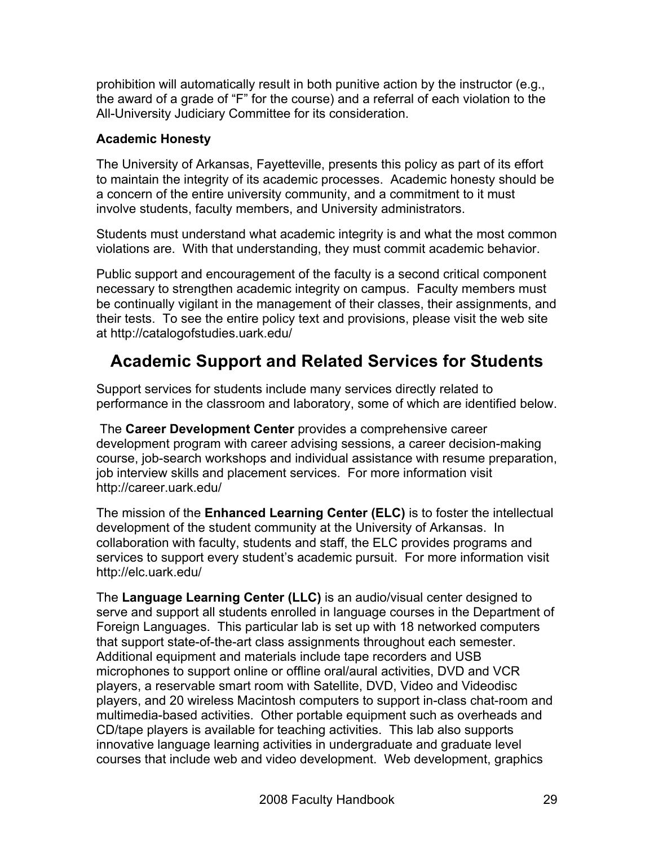prohibition will automatically result in both punitive action by the instructor (e.g., the award of a grade of "F" for the course) and a referral of each violation to the All-University Judiciary Committee for its consideration.

#### **Academic Honesty**

The University of Arkansas, Fayetteville, presents this policy as part of its effort to maintain the integrity of its academic processes. Academic honesty should be a concern of the entire university community, and a commitment to it must involve students, faculty members, and University administrators.

Students must understand what academic integrity is and what the most common violations are. With that understanding, they must commit academic behavior.

Public support and encouragement of the faculty is a second critical component necessary to strengthen academic integrity on campus. Faculty members must be continually vigilant in the management of their classes, their assignments, and their tests. To see the entire policy text and provisions, please visit the web site at http://catalogofstudies.uark.edu/

# **Academic Support and Related Services for Students**

Support services for students include many services directly related to performance in the classroom and laboratory, some of which are identified below.

The **Career Development Center** provides a comprehensive career development program with career advising sessions, a career decision-making course, job-search workshops and individual assistance with resume preparation, job interview skills and placement services. For more information visit http://career.uark.edu/

The mission of the **Enhanced Learning Center (ELC)** is to foster the intellectual development of the student community at the University of Arkansas. In collaboration with faculty, students and staff, the ELC provides programs and services to support every student's academic pursuit. For more information visit http://elc.uark.edu/

The **Language Learning Center (LLC)** is an audio/visual center designed to serve and support all students enrolled in language courses in the Department of Foreign Languages. This particular lab is set up with 18 networked computers that support state-of-the-art class assignments throughout each semester. Additional equipment and materials include tape recorders and USB microphones to support online or offline oral/aural activities, DVD and VCR players, a reservable smart room with Satellite, DVD, Video and Videodisc players, and 20 wireless Macintosh computers to support in-class chat-room and multimedia-based activities. Other portable equipment such as overheads and CD/tape players is available for teaching activities. This lab also supports innovative language learning activities in undergraduate and graduate level courses that include web and video development. Web development, graphics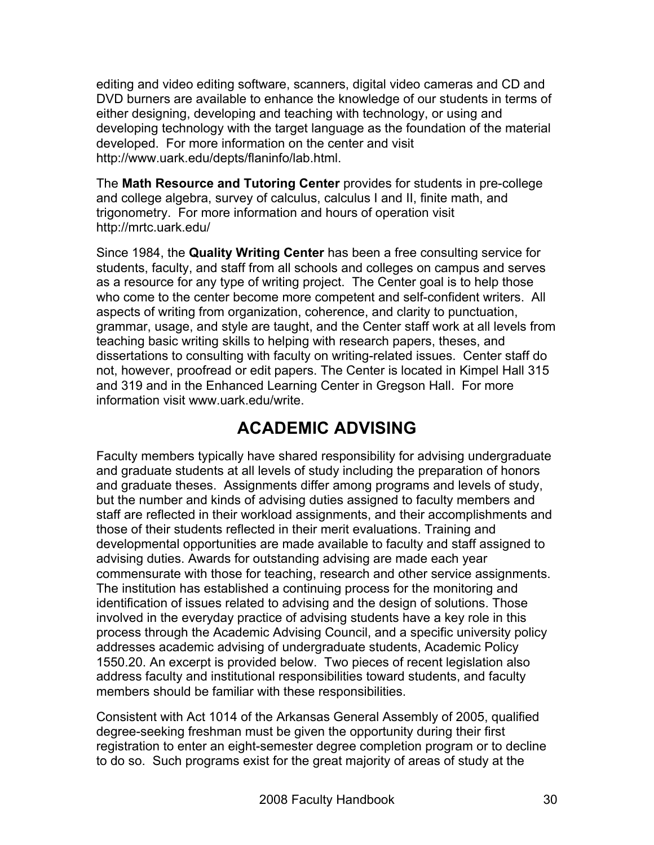editing and video editing software, scanners, digital video cameras and CD and DVD burners are available to enhance the knowledge of our students in terms of either designing, developing and teaching with technology, or using and developing technology with the target language as the foundation of the material developed. For more information on the center and visit http://www.uark.edu/depts/flaninfo/lab.html.

The **Math Resource and Tutoring Center** provides for students in pre-college and college algebra, survey of calculus, calculus I and II, finite math, and trigonometry. For more information and hours of operation visit http://mrtc.uark.edu/

Since 1984, the **Quality Writing Center** has been a free consulting service for students, faculty, and staff from all schools and colleges on campus and serves as a resource for any type of writing project. The Center goal is to help those who come to the center become more competent and self-confident writers. All aspects of writing from organization, coherence, and clarity to punctuation, grammar, usage, and style are taught, and the Center staff work at all levels from teaching basic writing skills to helping with research papers, theses, and dissertations to consulting with faculty on writing-related issues. Center staff do not, however, proofread or edit papers. The Center is located in Kimpel Hall 315 and 319 and in the Enhanced Learning Center in Gregson Hall. For more information visit www.uark.edu/write.

### **ACADEMIC ADVISING**

Faculty members typically have shared responsibility for advising undergraduate and graduate students at all levels of study including the preparation of honors and graduate theses. Assignments differ among programs and levels of study, but the number and kinds of advising duties assigned to faculty members and staff are reflected in their workload assignments, and their accomplishments and those of their students reflected in their merit evaluations. Training and developmental opportunities are made available to faculty and staff assigned to advising duties. Awards for outstanding advising are made each year commensurate with those for teaching, research and other service assignments. The institution has established a continuing process for the monitoring and identification of issues related to advising and the design of solutions. Those involved in the everyday practice of advising students have a key role in this process through the Academic Advising Council, and a specific university policy addresses academic advising of undergraduate students, Academic Policy 1550.20. An excerpt is provided below. Two pieces of recent legislation also address faculty and institutional responsibilities toward students, and faculty members should be familiar with these responsibilities.

Consistent with Act 1014 of the Arkansas General Assembly of 2005, qualified degree-seeking freshman must be given the opportunity during their first registration to enter an eight-semester degree completion program or to decline to do so. Such programs exist for the great majority of areas of study at the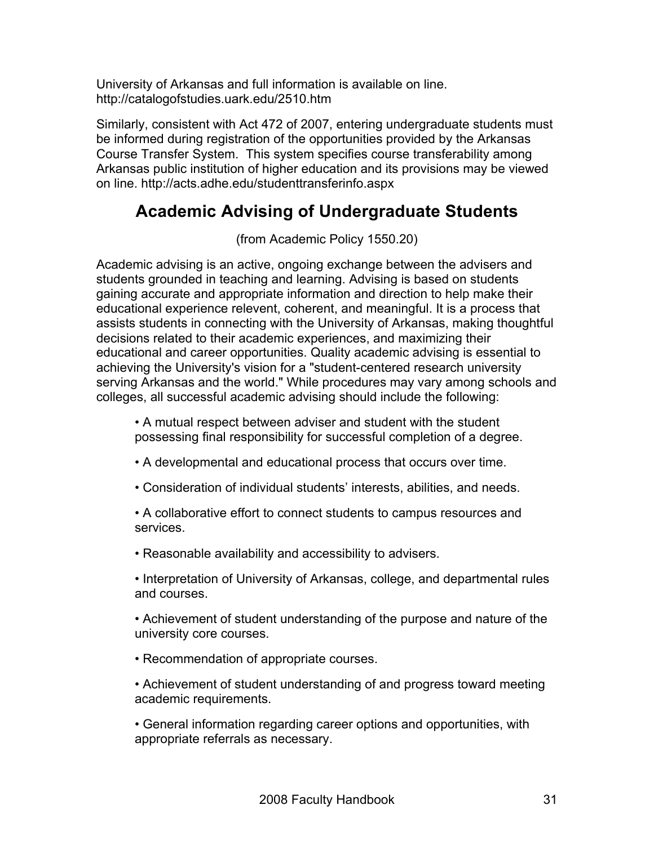University of Arkansas and full information is available on line. http://catalogofstudies.uark.edu/2510.htm

Similarly, consistent with Act 472 of 2007, entering undergraduate students must be informed during registration of the opportunities provided by the Arkansas Course Transfer System. This system specifies course transferability among Arkansas public institution of higher education and its provisions may be viewed on line. http://acts.adhe.edu/studenttransferinfo.aspx

### **Academic Advising of Undergraduate Students**

(from Academic Policy 1550.20)

Academic advising is an active, ongoing exchange between the advisers and students grounded in teaching and learning. Advising is based on students gaining accurate and appropriate information and direction to help make their educational experience relevent, coherent, and meaningful. It is a process that assists students in connecting with the University of Arkansas, making thoughtful decisions related to their academic experiences, and maximizing their educational and career opportunities. Quality academic advising is essential to achieving the University's vision for a "student-centered research university serving Arkansas and the world." While procedures may vary among schools and colleges, all successful academic advising should include the following:

• A mutual respect between adviser and student with the student possessing final responsibility for successful completion of a degree.

• A developmental and educational process that occurs over time.

• Consideration of individual students' interests, abilities, and needs.

• A collaborative effort to connect students to campus resources and services.

• Reasonable availability and accessibility to advisers.

• Interpretation of University of Arkansas, college, and departmental rules and courses.

• Achievement of student understanding of the purpose and nature of the university core courses.

- Recommendation of appropriate courses.
- Achievement of student understanding of and progress toward meeting academic requirements.

• General information regarding career options and opportunities, with appropriate referrals as necessary.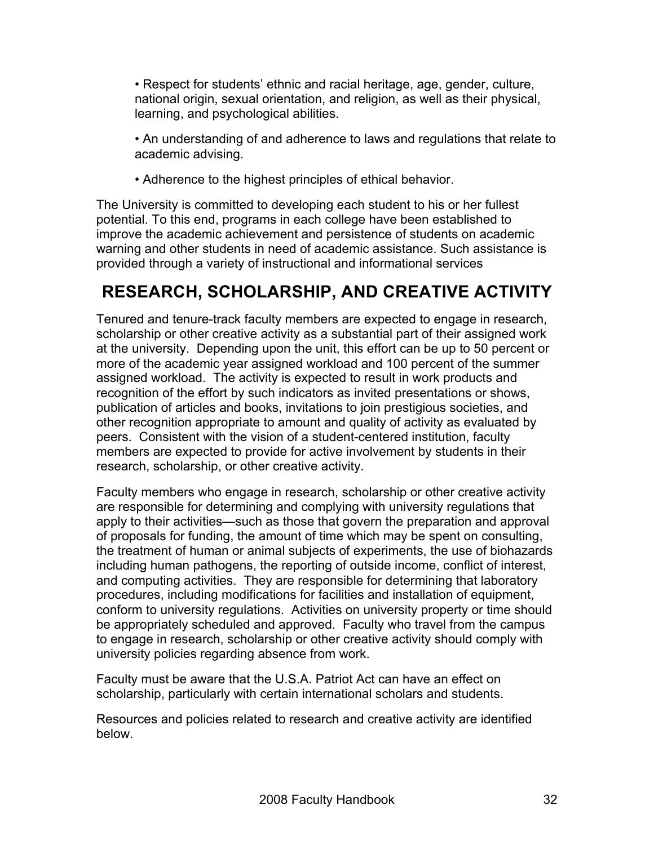• Respect for students' ethnic and racial heritage, age, gender, culture, national origin, sexual orientation, and religion, as well as their physical, learning, and psychological abilities.

• An understanding of and adherence to laws and regulations that relate to academic advising.

• Adherence to the highest principles of ethical behavior.

The University is committed to developing each student to his or her fullest potential. To this end, programs in each college have been established to improve the academic achievement and persistence of students on academic warning and other students in need of academic assistance. Such assistance is provided through a variety of instructional and informational services

# **RESEARCH, SCHOLARSHIP, AND CREATIVE ACTIVITY**

Tenured and tenure-track faculty members are expected to engage in research, scholarship or other creative activity as a substantial part of their assigned work at the university. Depending upon the unit, this effort can be up to 50 percent or more of the academic year assigned workload and 100 percent of the summer assigned workload. The activity is expected to result in work products and recognition of the effort by such indicators as invited presentations or shows, publication of articles and books, invitations to join prestigious societies, and other recognition appropriate to amount and quality of activity as evaluated by peers. Consistent with the vision of a student-centered institution, faculty members are expected to provide for active involvement by students in their research, scholarship, or other creative activity.

Faculty members who engage in research, scholarship or other creative activity are responsible for determining and complying with university regulations that apply to their activities—such as those that govern the preparation and approval of proposals for funding, the amount of time which may be spent on consulting, the treatment of human or animal subjects of experiments, the use of biohazards including human pathogens, the reporting of outside income, conflict of interest, and computing activities. They are responsible for determining that laboratory procedures, including modifications for facilities and installation of equipment, conform to university regulations. Activities on university property or time should be appropriately scheduled and approved. Faculty who travel from the campus to engage in research, scholarship or other creative activity should comply with university policies regarding absence from work.

Faculty must be aware that the U.S.A. Patriot Act can have an effect on scholarship, particularly with certain international scholars and students.

Resources and policies related to research and creative activity are identified below.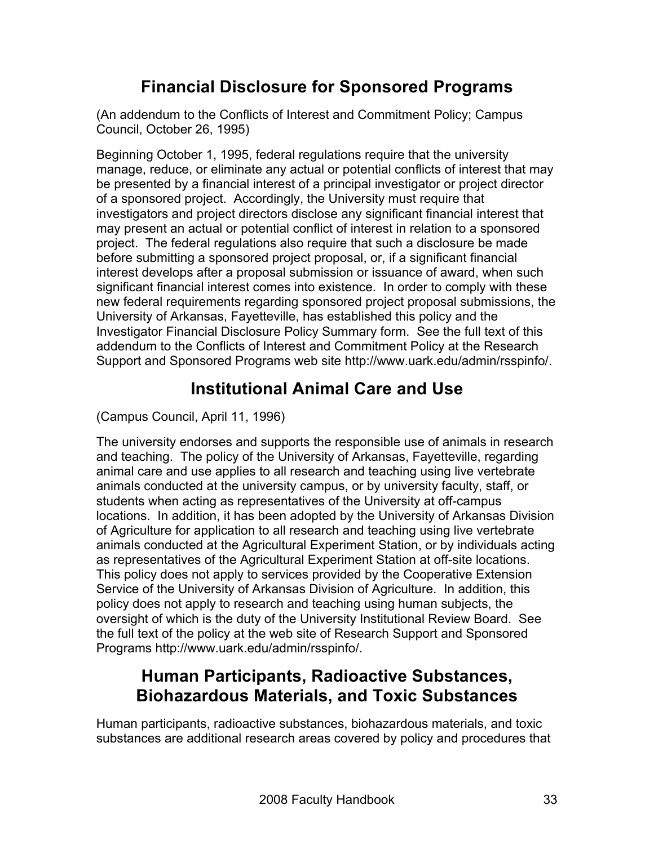# **Financial Disclosure for Sponsored Programs**

(An addendum to the Conflicts of Interest and Commitment Policy; Campus Council, October 26, 1995)

Beginning October 1, 1995, federal regulations require that the university manage, reduce, or eliminate any actual or potential conflicts of interest that may be presented by a financial interest of a principal investigator or project director of a sponsored project. Accordingly, the University must require that investigators and project directors disclose any significant financial interest that may present an actual or potential conflict of interest in relation to a sponsored project. The federal regulations also require that such a disclosure be made before submitting a sponsored project proposal, or, if a significant financial interest develops after a proposal submission or issuance of award, when such significant financial interest comes into existence. In order to comply with these new federal requirements regarding sponsored project proposal submissions, the University of Arkansas, Fayetteville, has established this policy and the Investigator Financial Disclosure Policy Summary form. See the full text of this addendum to the Conflicts of Interest and Commitment Policy at the Research Support and Sponsored Programs web site http://www.uark.edu/admin/rsspinfo/.

### **Institutional Animal Care and Use**

(Campus Council, April 11, 1996)

The university endorses and supports the responsible use of animals in research and teaching. The policy of the University of Arkansas, Fayetteville, regarding animal care and use applies to all research and teaching using live vertebrate animals conducted at the university campus, or by university faculty, staff, or students when acting as representatives of the University at off-campus locations. In addition, it has been adopted by the University of Arkansas Division of Agriculture for application to all research and teaching using live vertebrate animals conducted at the Agricultural Experiment Station, or by individuals acting as representatives of the Agricultural Experiment Station at off-site locations. This policy does not apply to services provided by the Cooperative Extension Service of the University of Arkansas Division of Agriculture. In addition, this policy does not apply to research and teaching using human subjects, the oversight of which is the duty of the University Institutional Review Board. See the full text of the policy at the web site of Research Support and Sponsored Programs http://www.uark.edu/admin/rsspinfo/.

### **Human Participants, Radioactive Substances, Biohazardous Materials, and Toxic Substances**

Human participants, radioactive substances, biohazardous materials, and toxic substances are additional research areas covered by policy and procedures that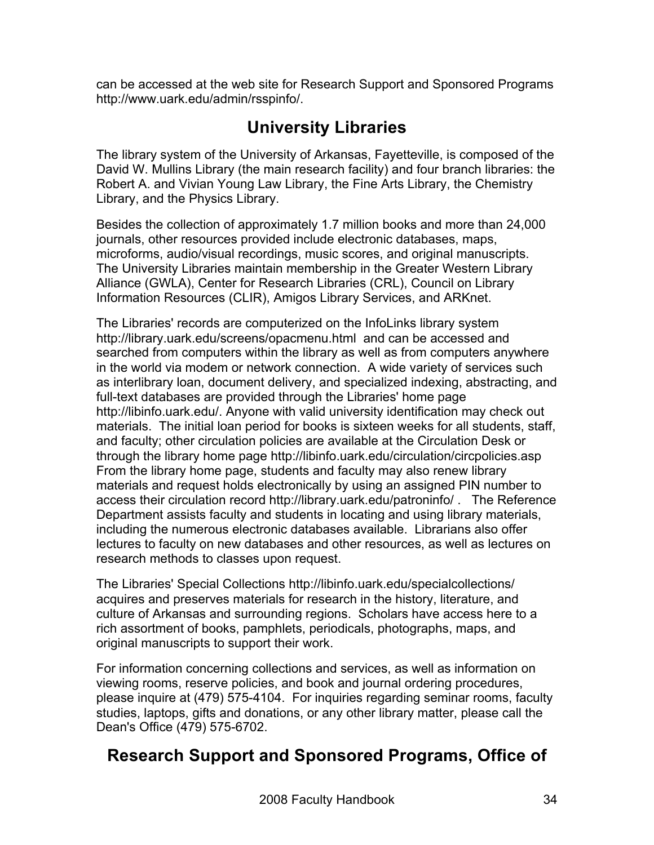can be accessed at the web site for Research Support and Sponsored Programs http://www.uark.edu/admin/rsspinfo/.

# **University Libraries**

The library system of the University of Arkansas, Fayetteville, is composed of the David W. Mullins Library (the main research facility) and four branch libraries: the Robert A. and Vivian Young Law Library, the Fine Arts Library, the Chemistry Library, and the Physics Library.

Besides the collection of approximately 1.7 million books and more than 24,000 journals, other resources provided include electronic databases, maps, microforms, audio/visual recordings, music scores, and original manuscripts. The University Libraries maintain membership in the Greater Western Library Alliance (GWLA), Center for Research Libraries (CRL), Council on Library Information Resources (CLIR), Amigos Library Services, and ARKnet.

The Libraries' records are computerized on the InfoLinks library system http://library.uark.edu/screens/opacmenu.html and can be accessed and searched from computers within the library as well as from computers anywhere in the world via modem or network connection. A wide variety of services such as interlibrary loan, document delivery, and specialized indexing, abstracting, and full-text databases are provided through the Libraries' home page http://libinfo.uark.edu/. Anyone with valid university identification may check out materials. The initial loan period for books is sixteen weeks for all students, staff, and faculty; other circulation policies are available at the Circulation Desk or through the library home page http://libinfo.uark.edu/circulation/circpolicies.asp From the library home page, students and faculty may also renew library materials and request holds electronically by using an assigned PIN number to access their circulation record http://library.uark.edu/patroninfo/ . The Reference Department assists faculty and students in locating and using library materials, including the numerous electronic databases available. Librarians also offer lectures to faculty on new databases and other resources, as well as lectures on research methods to classes upon request.

The Libraries' Special Collections http://libinfo.uark.edu/specialcollections/ acquires and preserves materials for research in the history, literature, and culture of Arkansas and surrounding regions. Scholars have access here to a rich assortment of books, pamphlets, periodicals, photographs, maps, and original manuscripts to support their work.

For information concerning collections and services, as well as information on viewing rooms, reserve policies, and book and journal ordering procedures, please inquire at (479) 575-4104. For inquiries regarding seminar rooms, faculty studies, laptops, gifts and donations, or any other library matter, please call the Dean's Office (479) 575-6702.

# **Research Support and Sponsored Programs, Office of**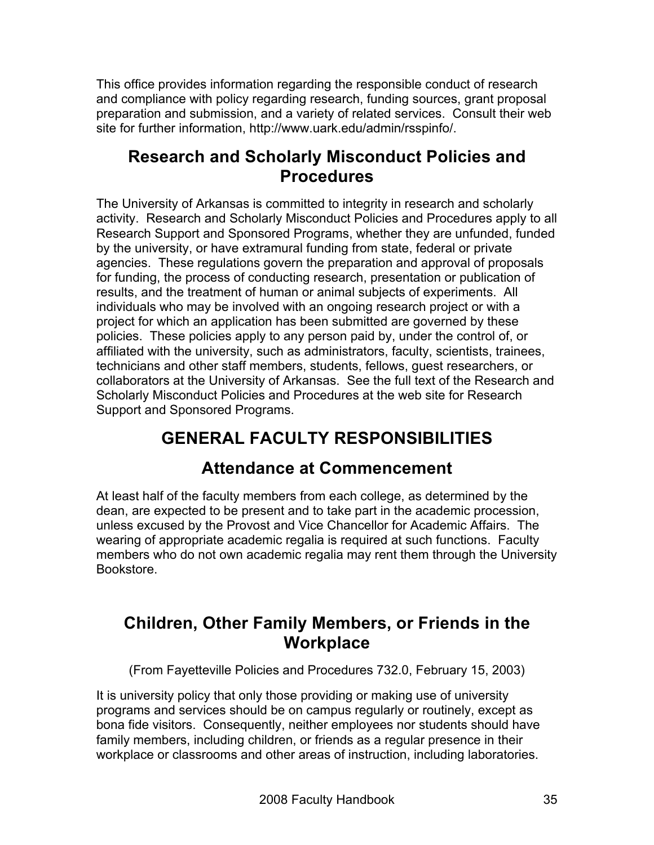This office provides information regarding the responsible conduct of research and compliance with policy regarding research, funding sources, grant proposal preparation and submission, and a variety of related services. Consult their web site for further information, http://www.uark.edu/admin/rsspinfo/.

### **Research and Scholarly Misconduct Policies and Procedures**

The University of Arkansas is committed to integrity in research and scholarly activity. Research and Scholarly Misconduct Policies and Procedures apply to all Research Support and Sponsored Programs, whether they are unfunded, funded by the university, or have extramural funding from state, federal or private agencies. These regulations govern the preparation and approval of proposals for funding, the process of conducting research, presentation or publication of results, and the treatment of human or animal subjects of experiments. All individuals who may be involved with an ongoing research project or with a project for which an application has been submitted are governed by these policies. These policies apply to any person paid by, under the control of, or affiliated with the university, such as administrators, faculty, scientists, trainees, technicians and other staff members, students, fellows, guest researchers, or collaborators at the University of Arkansas. See the full text of the Research and Scholarly Misconduct Policies and Procedures at the web site for Research Support and Sponsored Programs.

# **GENERAL FACULTY RESPONSIBILITIES**

# **Attendance at Commencement**

At least half of the faculty members from each college, as determined by the dean, are expected to be present and to take part in the academic procession, unless excused by the Provost and Vice Chancellor for Academic Affairs. The wearing of appropriate academic regalia is required at such functions. Faculty members who do not own academic regalia may rent them through the University Bookstore.

### **Children, Other Family Members, or Friends in the Workplace**

(From Fayetteville Policies and Procedures 732.0, February 15, 2003)

It is university policy that only those providing or making use of university programs and services should be on campus regularly or routinely, except as bona fide visitors. Consequently, neither employees nor students should have family members, including children, or friends as a regular presence in their workplace or classrooms and other areas of instruction, including laboratories.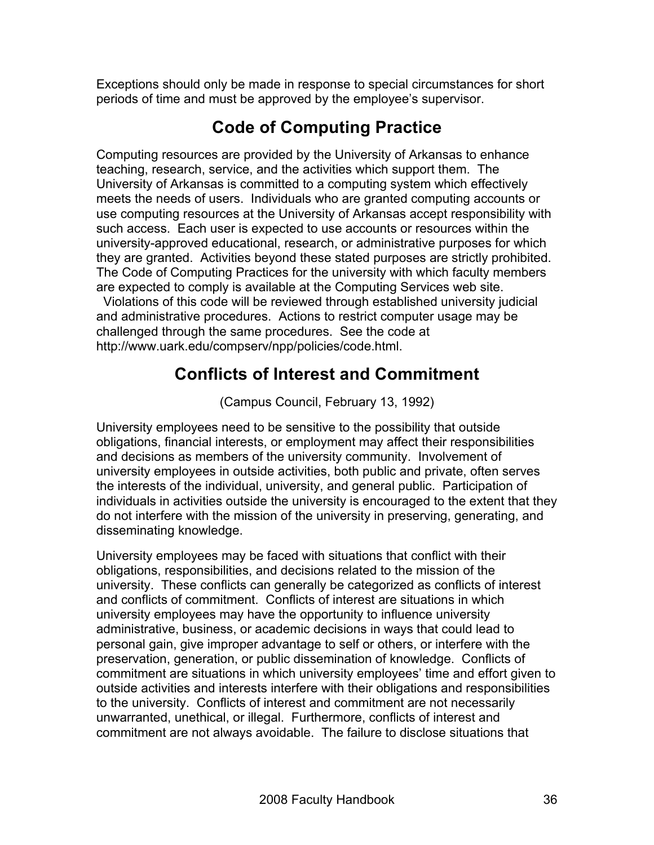Exceptions should only be made in response to special circumstances for short periods of time and must be approved by the employee's supervisor.

# **Code of Computing Practice**

Computing resources are provided by the University of Arkansas to enhance teaching, research, service, and the activities which support them. The University of Arkansas is committed to a computing system which effectively meets the needs of users. Individuals who are granted computing accounts or use computing resources at the University of Arkansas accept responsibility with such access. Each user is expected to use accounts or resources within the university-approved educational, research, or administrative purposes for which they are granted. Activities beyond these stated purposes are strictly prohibited. The Code of Computing Practices for the university with which faculty members are expected to comply is available at the Computing Services web site.

 Violations of this code will be reviewed through established university judicial and administrative procedures. Actions to restrict computer usage may be challenged through the same procedures. See the code at http://www.uark.edu/compserv/npp/policies/code.html.

### **Conflicts of Interest and Commitment**

(Campus Council, February 13, 1992)

University employees need to be sensitive to the possibility that outside obligations, financial interests, or employment may affect their responsibilities and decisions as members of the university community. Involvement of university employees in outside activities, both public and private, often serves the interests of the individual, university, and general public. Participation of individuals in activities outside the university is encouraged to the extent that they do not interfere with the mission of the university in preserving, generating, and disseminating knowledge.

University employees may be faced with situations that conflict with their obligations, responsibilities, and decisions related to the mission of the university. These conflicts can generally be categorized as conflicts of interest and conflicts of commitment. Conflicts of interest are situations in which university employees may have the opportunity to influence university administrative, business, or academic decisions in ways that could lead to personal gain, give improper advantage to self or others, or interfere with the preservation, generation, or public dissemination of knowledge. Conflicts of commitment are situations in which university employees' time and effort given to outside activities and interests interfere with their obligations and responsibilities to the university. Conflicts of interest and commitment are not necessarily unwarranted, unethical, or illegal. Furthermore, conflicts of interest and commitment are not always avoidable. The failure to disclose situations that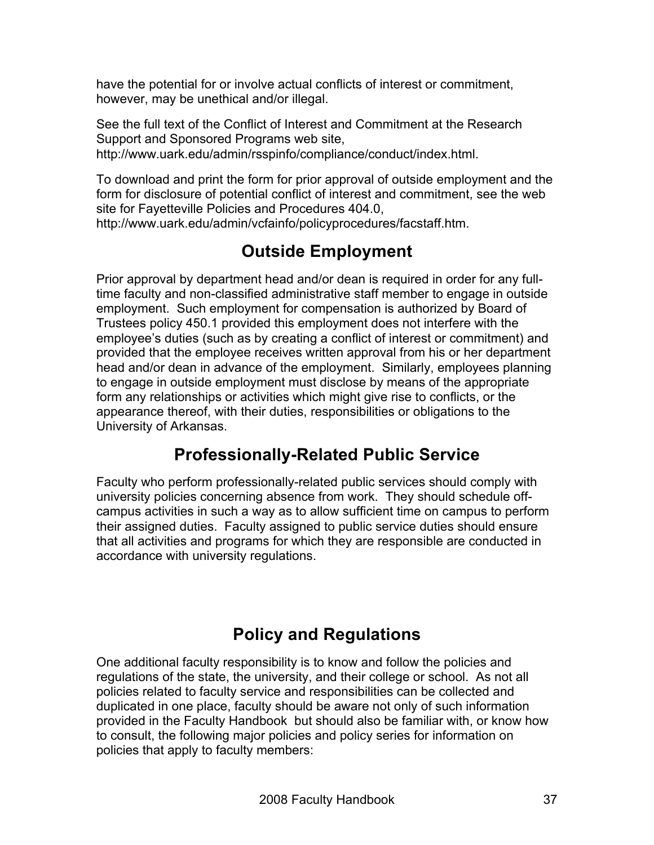have the potential for or involve actual conflicts of interest or commitment, however, may be unethical and/or illegal.

See the full text of the Conflict of Interest and Commitment at the Research Support and Sponsored Programs web site, http://www.uark.edu/admin/rsspinfo/compliance/conduct/index.html.

To download and print the form for prior approval of outside employment and the form for disclosure of potential conflict of interest and commitment, see the web site for Fayetteville Policies and Procedures 404.0,

http://www.uark.edu/admin/vcfainfo/policyprocedures/facstaff.htm.

# **Outside Employment**

Prior approval by department head and/or dean is required in order for any fulltime faculty and non-classified administrative staff member to engage in outside employment. Such employment for compensation is authorized by Board of Trustees policy 450.1 provided this employment does not interfere with the employee's duties (such as by creating a conflict of interest or commitment) and provided that the employee receives written approval from his or her department head and/or dean in advance of the employment. Similarly, employees planning to engage in outside employment must disclose by means of the appropriate form any relationships or activities which might give rise to conflicts, or the appearance thereof, with their duties, responsibilities or obligations to the University of Arkansas.

# **Professionally-Related Public Service**

Faculty who perform professionally-related public services should comply with university policies concerning absence from work. They should schedule offcampus activities in such a way as to allow sufficient time on campus to perform their assigned duties. Faculty assigned to public service duties should ensure that all activities and programs for which they are responsible are conducted in accordance with university regulations.

# **Policy and Regulations**

One additional faculty responsibility is to know and follow the policies and regulations of the state, the university, and their college or school. As not all policies related to faculty service and responsibilities can be collected and duplicated in one place, faculty should be aware not only of such information provided in the Faculty Handbook but should also be familiar with, or know how to consult, the following major policies and policy series for information on policies that apply to faculty members: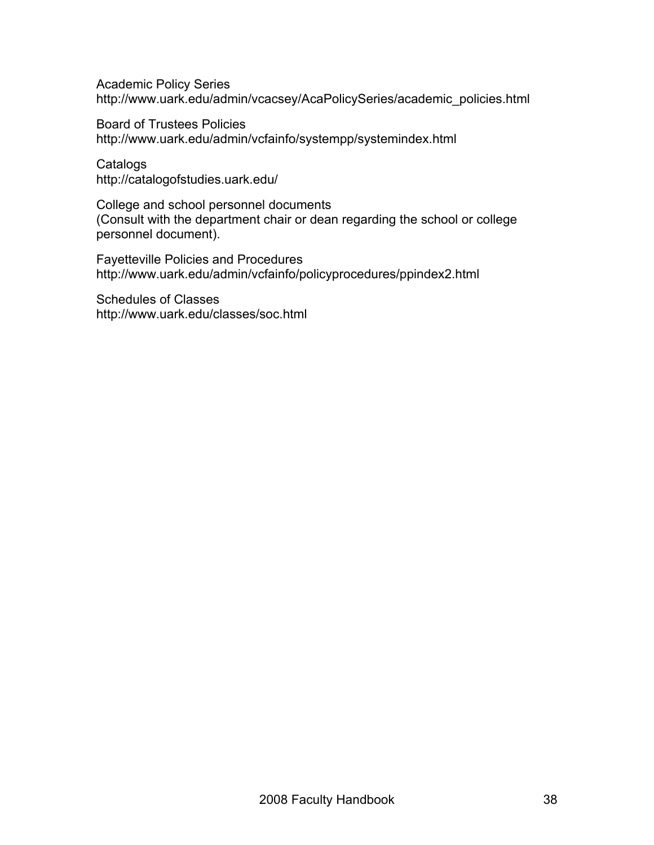Academic Policy Series http://www.uark.edu/admin/vcacsey/AcaPolicySeries/academic\_policies.html

Board of Trustees Policies http://www.uark.edu/admin/vcfainfo/systempp/systemindex.html

**Catalogs** http://catalogofstudies.uark.edu/

College and school personnel documents (Consult with the department chair or dean regarding the school or college personnel document).

Fayetteville Policies and Procedures http://www.uark.edu/admin/vcfainfo/policyprocedures/ppindex2.html

Schedules of Classes http://www.uark.edu/classes/soc.html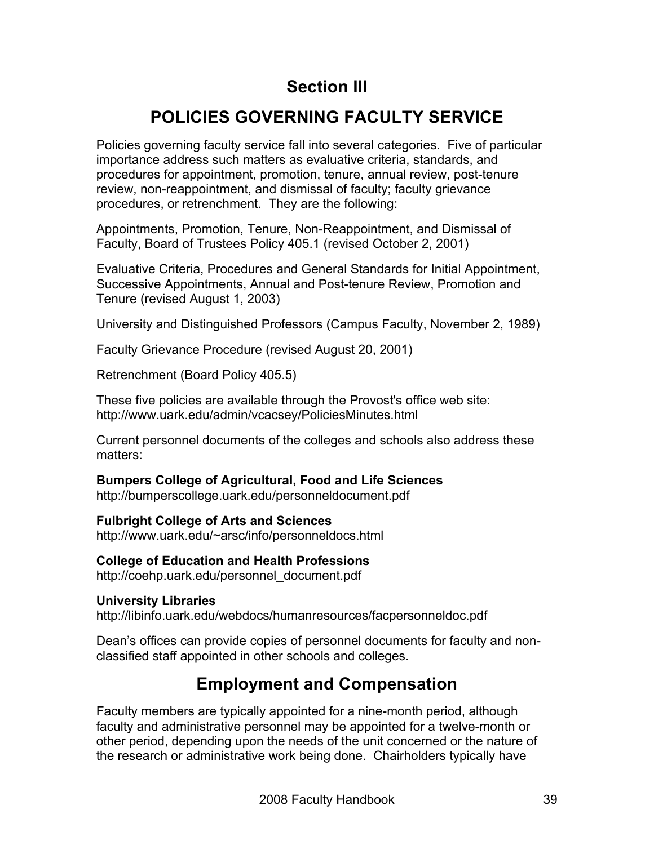# **Section III**

# **POLICIES GOVERNING FACULTY SERVICE**

Policies governing faculty service fall into several categories. Five of particular importance address such matters as evaluative criteria, standards, and procedures for appointment, promotion, tenure, annual review, post-tenure review, non-reappointment, and dismissal of faculty; faculty grievance procedures, or retrenchment. They are the following:

Appointments, Promotion, Tenure, Non-Reappointment, and Dismissal of Faculty, Board of Trustees Policy 405.1 (revised October 2, 2001)

Evaluative Criteria, Procedures and General Standards for Initial Appointment, Successive Appointments, Annual and Post-tenure Review, Promotion and Tenure (revised August 1, 2003)

University and Distinguished Professors (Campus Faculty, November 2, 1989)

Faculty Grievance Procedure (revised August 20, 2001)

Retrenchment (Board Policy 405.5)

These five policies are available through the Provost's office web site: http://www.uark.edu/admin/vcacsey/PoliciesMinutes.html

Current personnel documents of the colleges and schools also address these matters:

#### **Bumpers College of Agricultural, Food and Life Sciences** http://bumperscollege.uark.edu/personneldocument.pdf

## **Fulbright College of Arts and Sciences**

http://www.uark.edu/~arsc/info/personneldocs.html

**College of Education and Health Professions** http://coehp.uark.edu/personnel\_document.pdf

## **University Libraries**

http://libinfo.uark.edu/webdocs/humanresources/facpersonneldoc.pdf

Dean's offices can provide copies of personnel documents for faculty and nonclassified staff appointed in other schools and colleges.

# **Employment and Compensation**

Faculty members are typically appointed for a nine-month period, although faculty and administrative personnel may be appointed for a twelve-month or other period, depending upon the needs of the unit concerned or the nature of the research or administrative work being done. Chairholders typically have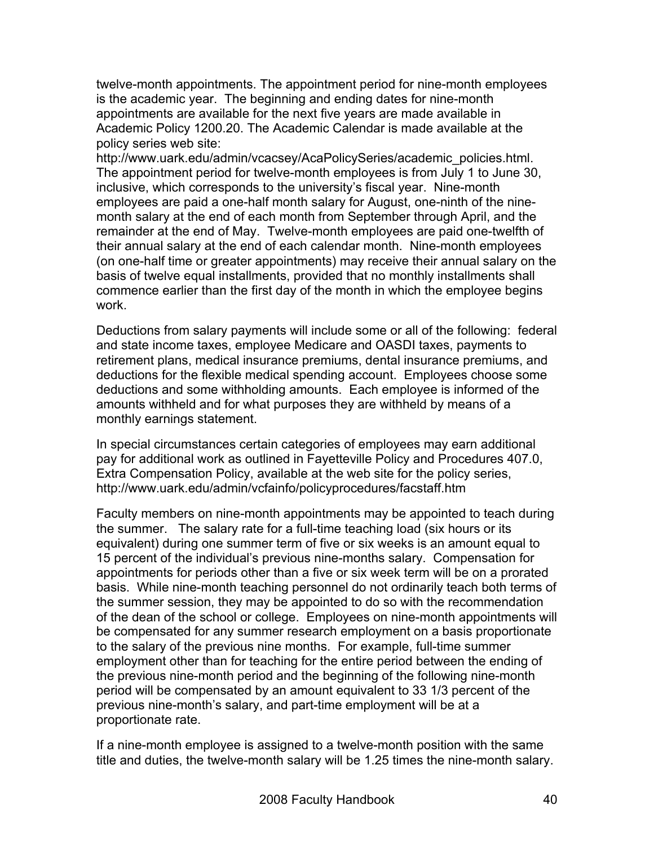twelve-month appointments. The appointment period for nine-month employees is the academic year. The beginning and ending dates for nine-month appointments are available for the next five years are made available in Academic Policy 1200.20. The Academic Calendar is made available at the policy series web site:

http://www.uark.edu/admin/vcacsey/AcaPolicySeries/academic\_policies.html. The appointment period for twelve-month employees is from July 1 to June 30, inclusive, which corresponds to the university's fiscal year. Nine-month employees are paid a one-half month salary for August, one-ninth of the ninemonth salary at the end of each month from September through April, and the remainder at the end of May. Twelve-month employees are paid one-twelfth of their annual salary at the end of each calendar month. Nine-month employees (on one-half time or greater appointments) may receive their annual salary on the basis of twelve equal installments, provided that no monthly installments shall commence earlier than the first day of the month in which the employee begins work.

Deductions from salary payments will include some or all of the following: federal and state income taxes, employee Medicare and OASDI taxes, payments to retirement plans, medical insurance premiums, dental insurance premiums, and deductions for the flexible medical spending account. Employees choose some deductions and some withholding amounts. Each employee is informed of the amounts withheld and for what purposes they are withheld by means of a monthly earnings statement.

In special circumstances certain categories of employees may earn additional pay for additional work as outlined in Fayetteville Policy and Procedures 407.0, Extra Compensation Policy, available at the web site for the policy series, http://www.uark.edu/admin/vcfainfo/policyprocedures/facstaff.htm

Faculty members on nine-month appointments may be appointed to teach during the summer. The salary rate for a full-time teaching load (six hours or its equivalent) during one summer term of five or six weeks is an amount equal to 15 percent of the individual's previous nine-months salary. Compensation for appointments for periods other than a five or six week term will be on a prorated basis. While nine-month teaching personnel do not ordinarily teach both terms of the summer session, they may be appointed to do so with the recommendation of the dean of the school or college. Employees on nine-month appointments will be compensated for any summer research employment on a basis proportionate to the salary of the previous nine months. For example, full-time summer employment other than for teaching for the entire period between the ending of the previous nine-month period and the beginning of the following nine-month period will be compensated by an amount equivalent to 33 1/3 percent of the previous nine-month's salary, and part-time employment will be at a proportionate rate.

If a nine-month employee is assigned to a twelve-month position with the same title and duties, the twelve-month salary will be 1.25 times the nine-month salary.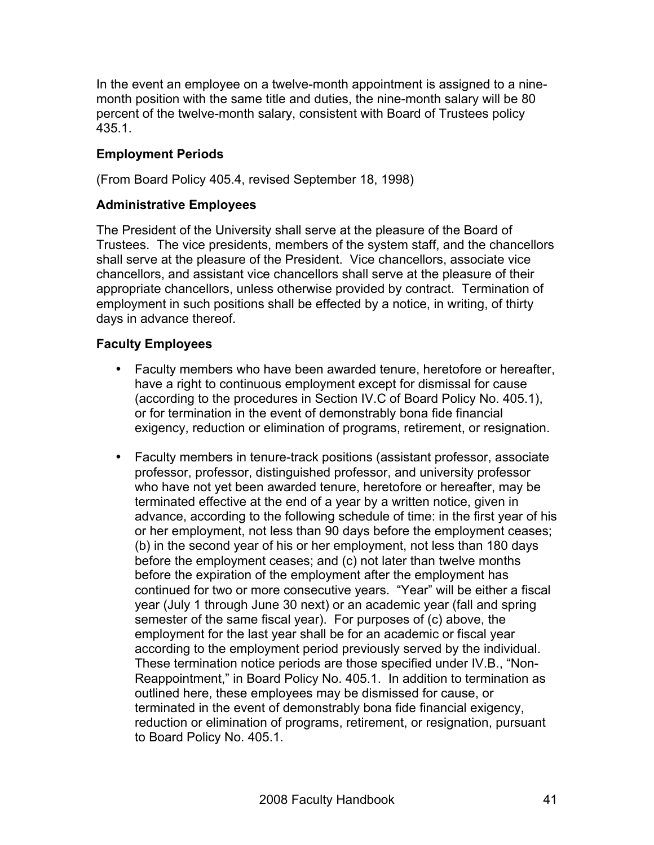In the event an employee on a twelve-month appointment is assigned to a ninemonth position with the same title and duties, the nine-month salary will be 80 percent of the twelve-month salary, consistent with Board of Trustees policy 435.1.

## **Employment Periods**

(From Board Policy 405.4, revised September 18, 1998)

### **Administrative Employees**

The President of the University shall serve at the pleasure of the Board of Trustees. The vice presidents, members of the system staff, and the chancellors shall serve at the pleasure of the President. Vice chancellors, associate vice chancellors, and assistant vice chancellors shall serve at the pleasure of their appropriate chancellors, unless otherwise provided by contract. Termination of employment in such positions shall be effected by a notice, in writing, of thirty days in advance thereof.

### **Faculty Employees**

- Faculty members who have been awarded tenure, heretofore or hereafter, have a right to continuous employment except for dismissal for cause (according to the procedures in Section IV.C of Board Policy No. 405.1), or for termination in the event of demonstrably bona fide financial exigency, reduction or elimination of programs, retirement, or resignation.
- Faculty members in tenure-track positions (assistant professor, associate professor, professor, distinguished professor, and university professor who have not yet been awarded tenure, heretofore or hereafter, may be terminated effective at the end of a year by a written notice, given in advance, according to the following schedule of time: in the first year of his or her employment, not less than 90 days before the employment ceases; (b) in the second year of his or her employment, not less than 180 days before the employment ceases; and (c) not later than twelve months before the expiration of the employment after the employment has continued for two or more consecutive years. "Year" will be either a fiscal year (July 1 through June 30 next) or an academic year (fall and spring semester of the same fiscal year). For purposes of (c) above, the employment for the last year shall be for an academic or fiscal year according to the employment period previously served by the individual. These termination notice periods are those specified under IV.B., "Non-Reappointment," in Board Policy No. 405.1. In addition to termination as outlined here, these employees may be dismissed for cause, or terminated in the event of demonstrably bona fide financial exigency, reduction or elimination of programs, retirement, or resignation, pursuant to Board Policy No. 405.1.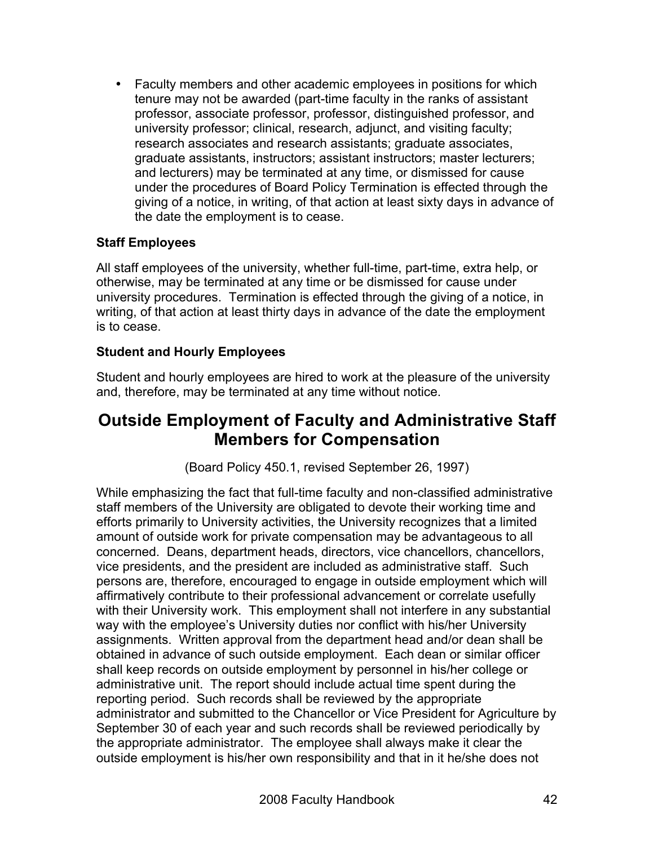• Faculty members and other academic employees in positions for which tenure may not be awarded (part-time faculty in the ranks of assistant professor, associate professor, professor, distinguished professor, and university professor; clinical, research, adjunct, and visiting faculty; research associates and research assistants; graduate associates, graduate assistants, instructors; assistant instructors; master lecturers; and lecturers) may be terminated at any time, or dismissed for cause under the procedures of Board Policy Termination is effected through the giving of a notice, in writing, of that action at least sixty days in advance of the date the employment is to cease.

## **Staff Employees**

All staff employees of the university, whether full-time, part-time, extra help, or otherwise, may be terminated at any time or be dismissed for cause under university procedures. Termination is effected through the giving of a notice, in writing, of that action at least thirty days in advance of the date the employment is to cease.

## **Student and Hourly Employees**

Student and hourly employees are hired to work at the pleasure of the university and, therefore, may be terminated at any time without notice.

# **Outside Employment of Faculty and Administrative Staff Members for Compensation**

(Board Policy 450.1, revised September 26, 1997)

While emphasizing the fact that full-time faculty and non-classified administrative staff members of the University are obligated to devote their working time and efforts primarily to University activities, the University recognizes that a limited amount of outside work for private compensation may be advantageous to all concerned. Deans, department heads, directors, vice chancellors, chancellors, vice presidents, and the president are included as administrative staff. Such persons are, therefore, encouraged to engage in outside employment which will affirmatively contribute to their professional advancement or correlate usefully with their University work. This employment shall not interfere in any substantial way with the employee's University duties nor conflict with his/her University assignments. Written approval from the department head and/or dean shall be obtained in advance of such outside employment. Each dean or similar officer shall keep records on outside employment by personnel in his/her college or administrative unit. The report should include actual time spent during the reporting period. Such records shall be reviewed by the appropriate administrator and submitted to the Chancellor or Vice President for Agriculture by September 30 of each year and such records shall be reviewed periodically by the appropriate administrator. The employee shall always make it clear the outside employment is his/her own responsibility and that in it he/she does not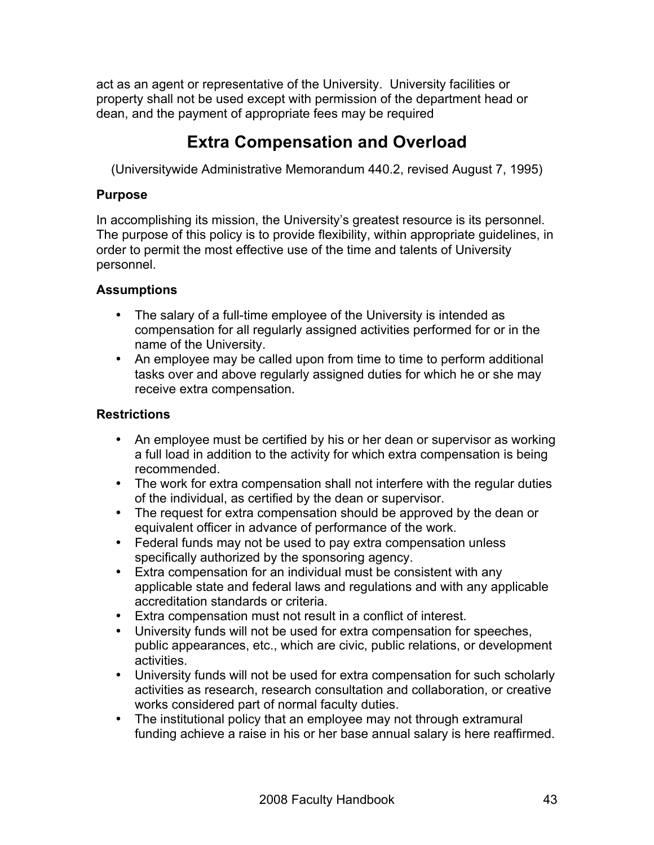act as an agent or representative of the University. University facilities or property shall not be used except with permission of the department head or dean, and the payment of appropriate fees may be required

# **Extra Compensation and Overload**

(Universitywide Administrative Memorandum 440.2, revised August 7, 1995)

#### **Purpose**

In accomplishing its mission, the University's greatest resource is its personnel. The purpose of this policy is to provide flexibility, within appropriate guidelines, in order to permit the most effective use of the time and talents of University personnel.

## **Assumptions**

- The salary of a full-time employee of the University is intended as compensation for all regularly assigned activities performed for or in the name of the University.
- An employee may be called upon from time to time to perform additional tasks over and above regularly assigned duties for which he or she may receive extra compensation.

### **Restrictions**

- An employee must be certified by his or her dean or supervisor as working a full load in addition to the activity for which extra compensation is being recommended.
- The work for extra compensation shall not interfere with the regular duties of the individual, as certified by the dean or supervisor.
- The request for extra compensation should be approved by the dean or equivalent officer in advance of performance of the work.
- Federal funds may not be used to pay extra compensation unless specifically authorized by the sponsoring agency.
- Extra compensation for an individual must be consistent with any applicable state and federal laws and regulations and with any applicable accreditation standards or criteria.
- Extra compensation must not result in a conflict of interest.
- University funds will not be used for extra compensation for speeches, public appearances, etc., which are civic, public relations, or development activities.
- University funds will not be used for extra compensation for such scholarly activities as research, research consultation and collaboration, or creative works considered part of normal faculty duties.
- The institutional policy that an employee may not through extramural funding achieve a raise in his or her base annual salary is here reaffirmed.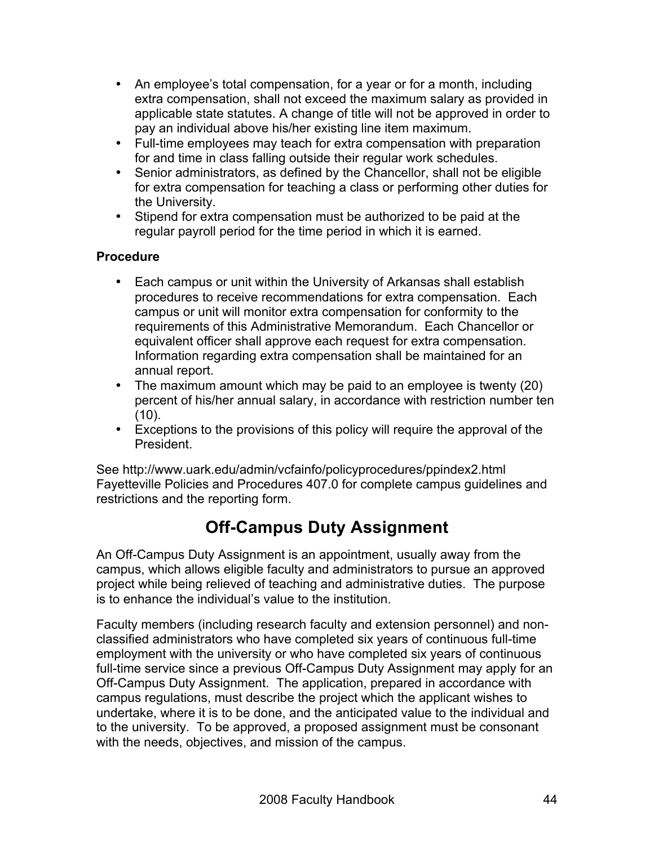- An employee's total compensation, for a year or for a month, including extra compensation, shall not exceed the maximum salary as provided in applicable state statutes. A change of title will not be approved in order to pay an individual above his/her existing line item maximum.
- Full-time employees may teach for extra compensation with preparation for and time in class falling outside their regular work schedules.
- Senior administrators, as defined by the Chancellor, shall not be eligible for extra compensation for teaching a class or performing other duties for the University.
- Stipend for extra compensation must be authorized to be paid at the regular payroll period for the time period in which it is earned.

## **Procedure**

- Each campus or unit within the University of Arkansas shall establish procedures to receive recommendations for extra compensation. Each campus or unit will monitor extra compensation for conformity to the requirements of this Administrative Memorandum. Each Chancellor or equivalent officer shall approve each request for extra compensation. Information regarding extra compensation shall be maintained for an annual report.
- The maximum amount which may be paid to an employee is twenty (20) percent of his/her annual salary, in accordance with restriction number ten  $(10)$ .
- Exceptions to the provisions of this policy will require the approval of the President.

See http://www.uark.edu/admin/vcfainfo/policyprocedures/ppindex2.html Fayetteville Policies and Procedures 407.0 for complete campus guidelines and restrictions and the reporting form.

# **Off-Campus Duty Assignment**

An Off-Campus Duty Assignment is an appointment, usually away from the campus, which allows eligible faculty and administrators to pursue an approved project while being relieved of teaching and administrative duties. The purpose is to enhance the individual's value to the institution.

Faculty members (including research faculty and extension personnel) and nonclassified administrators who have completed six years of continuous full-time employment with the university or who have completed six years of continuous full-time service since a previous Off-Campus Duty Assignment may apply for an Off-Campus Duty Assignment. The application, prepared in accordance with campus regulations, must describe the project which the applicant wishes to undertake, where it is to be done, and the anticipated value to the individual and to the university. To be approved, a proposed assignment must be consonant with the needs, objectives, and mission of the campus.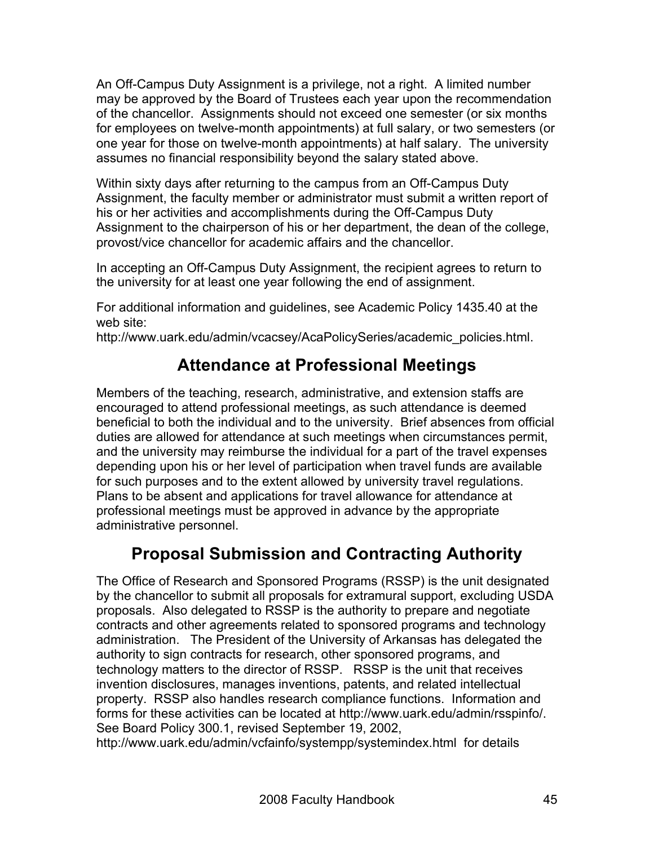An Off-Campus Duty Assignment is a privilege, not a right. A limited number may be approved by the Board of Trustees each year upon the recommendation of the chancellor. Assignments should not exceed one semester (or six months for employees on twelve-month appointments) at full salary, or two semesters (or one year for those on twelve-month appointments) at half salary. The university assumes no financial responsibility beyond the salary stated above.

Within sixty days after returning to the campus from an Off-Campus Duty Assignment, the faculty member or administrator must submit a written report of his or her activities and accomplishments during the Off-Campus Duty Assignment to the chairperson of his or her department, the dean of the college, provost/vice chancellor for academic affairs and the chancellor.

In accepting an Off-Campus Duty Assignment, the recipient agrees to return to the university for at least one year following the end of assignment.

For additional information and guidelines, see Academic Policy 1435.40 at the web site:

http://www.uark.edu/admin/vcacsey/AcaPolicySeries/academic\_policies.html.

# **Attendance at Professional Meetings**

Members of the teaching, research, administrative, and extension staffs are encouraged to attend professional meetings, as such attendance is deemed beneficial to both the individual and to the university. Brief absences from official duties are allowed for attendance at such meetings when circumstances permit, and the university may reimburse the individual for a part of the travel expenses depending upon his or her level of participation when travel funds are available for such purposes and to the extent allowed by university travel regulations. Plans to be absent and applications for travel allowance for attendance at professional meetings must be approved in advance by the appropriate administrative personnel.

# **Proposal Submission and Contracting Authority**

The Office of Research and Sponsored Programs (RSSP) is the unit designated by the chancellor to submit all proposals for extramural support, excluding USDA proposals. Also delegated to RSSP is the authority to prepare and negotiate contracts and other agreements related to sponsored programs and technology administration. The President of the University of Arkansas has delegated the authority to sign contracts for research, other sponsored programs, and technology matters to the director of RSSP. RSSP is the unit that receives invention disclosures, manages inventions, patents, and related intellectual property. RSSP also handles research compliance functions. Information and forms for these activities can be located at http://www.uark.edu/admin/rsspinfo/. See Board Policy 300.1, revised September 19, 2002,

http://www.uark.edu/admin/vcfainfo/systempp/systemindex.html for details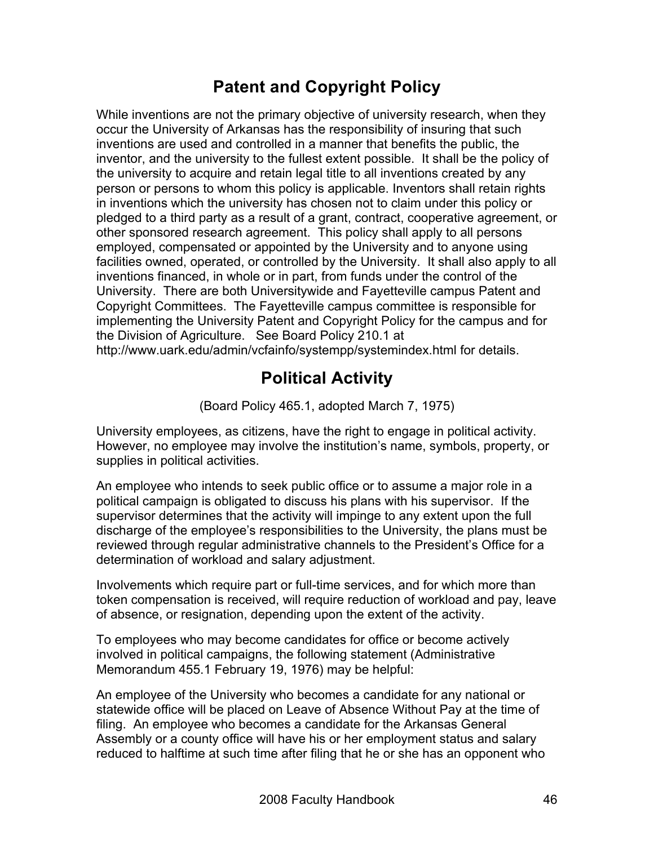# **Patent and Copyright Policy**

While inventions are not the primary objective of university research, when they occur the University of Arkansas has the responsibility of insuring that such inventions are used and controlled in a manner that benefits the public, the inventor, and the university to the fullest extent possible. It shall be the policy of the university to acquire and retain legal title to all inventions created by any person or persons to whom this policy is applicable. Inventors shall retain rights in inventions which the university has chosen not to claim under this policy or pledged to a third party as a result of a grant, contract, cooperative agreement, or other sponsored research agreement. This policy shall apply to all persons employed, compensated or appointed by the University and to anyone using facilities owned, operated, or controlled by the University. It shall also apply to all inventions financed, in whole or in part, from funds under the control of the University. There are both Universitywide and Fayetteville campus Patent and Copyright Committees. The Fayetteville campus committee is responsible for implementing the University Patent and Copyright Policy for the campus and for the Division of Agriculture. See Board Policy 210.1 at http://www.uark.edu/admin/vcfainfo/systempp/systemindex.html for details.

# **Political Activity**

(Board Policy 465.1, adopted March 7, 1975)

University employees, as citizens, have the right to engage in political activity. However, no employee may involve the institution's name, symbols, property, or supplies in political activities.

An employee who intends to seek public office or to assume a major role in a political campaign is obligated to discuss his plans with his supervisor. If the supervisor determines that the activity will impinge to any extent upon the full discharge of the employee's responsibilities to the University, the plans must be reviewed through regular administrative channels to the President's Office for a determination of workload and salary adjustment.

Involvements which require part or full-time services, and for which more than token compensation is received, will require reduction of workload and pay, leave of absence, or resignation, depending upon the extent of the activity.

To employees who may become candidates for office or become actively involved in political campaigns, the following statement (Administrative Memorandum 455.1 February 19, 1976) may be helpful:

An employee of the University who becomes a candidate for any national or statewide office will be placed on Leave of Absence Without Pay at the time of filing. An employee who becomes a candidate for the Arkansas General Assembly or a county office will have his or her employment status and salary reduced to halftime at such time after filing that he or she has an opponent who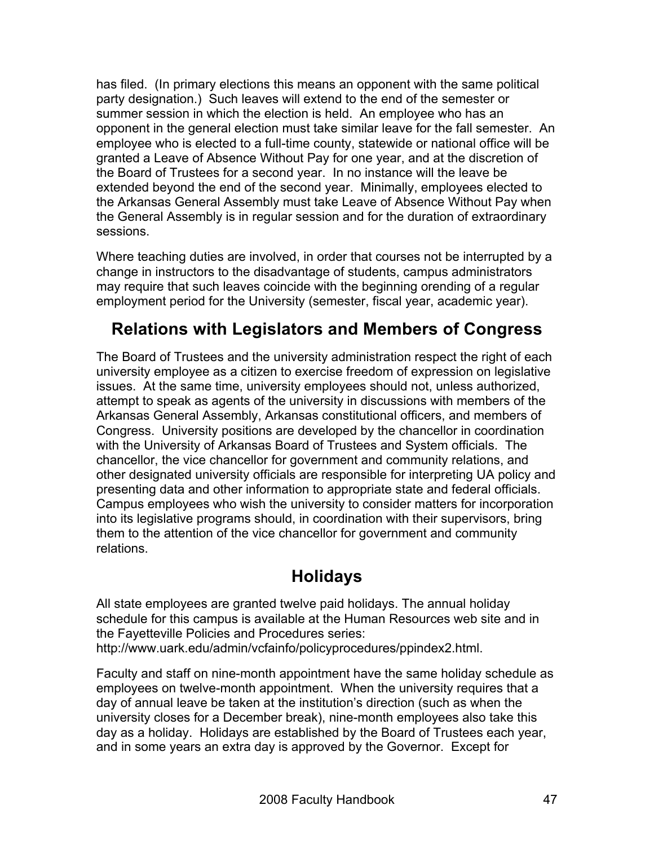has filed. (In primary elections this means an opponent with the same political party designation.) Such leaves will extend to the end of the semester or summer session in which the election is held. An employee who has an opponent in the general election must take similar leave for the fall semester. An employee who is elected to a full-time county, statewide or national office will be granted a Leave of Absence Without Pay for one year, and at the discretion of the Board of Trustees for a second year. In no instance will the leave be extended beyond the end of the second year. Minimally, employees elected to the Arkansas General Assembly must take Leave of Absence Without Pay when the General Assembly is in regular session and for the duration of extraordinary sessions.

Where teaching duties are involved, in order that courses not be interrupted by a change in instructors to the disadvantage of students, campus administrators may require that such leaves coincide with the beginning orending of a regular employment period for the University (semester, fiscal year, academic year).

# **Relations with Legislators and Members of Congress**

The Board of Trustees and the university administration respect the right of each university employee as a citizen to exercise freedom of expression on legislative issues. At the same time, university employees should not, unless authorized, attempt to speak as agents of the university in discussions with members of the Arkansas General Assembly, Arkansas constitutional officers, and members of Congress. University positions are developed by the chancellor in coordination with the University of Arkansas Board of Trustees and System officials. The chancellor, the vice chancellor for government and community relations, and other designated university officials are responsible for interpreting UA policy and presenting data and other information to appropriate state and federal officials. Campus employees who wish the university to consider matters for incorporation into its legislative programs should, in coordination with their supervisors, bring them to the attention of the vice chancellor for government and community relations.

# **Holidays**

All state employees are granted twelve paid holidays. The annual holiday schedule for this campus is available at the Human Resources web site and in the Fayetteville Policies and Procedures series: http://www.uark.edu/admin/vcfainfo/policyprocedures/ppindex2.html.

Faculty and staff on nine-month appointment have the same holiday schedule as employees on twelve-month appointment. When the university requires that a day of annual leave be taken at the institution's direction (such as when the university closes for a December break), nine-month employees also take this day as a holiday. Holidays are established by the Board of Trustees each year, and in some years an extra day is approved by the Governor. Except for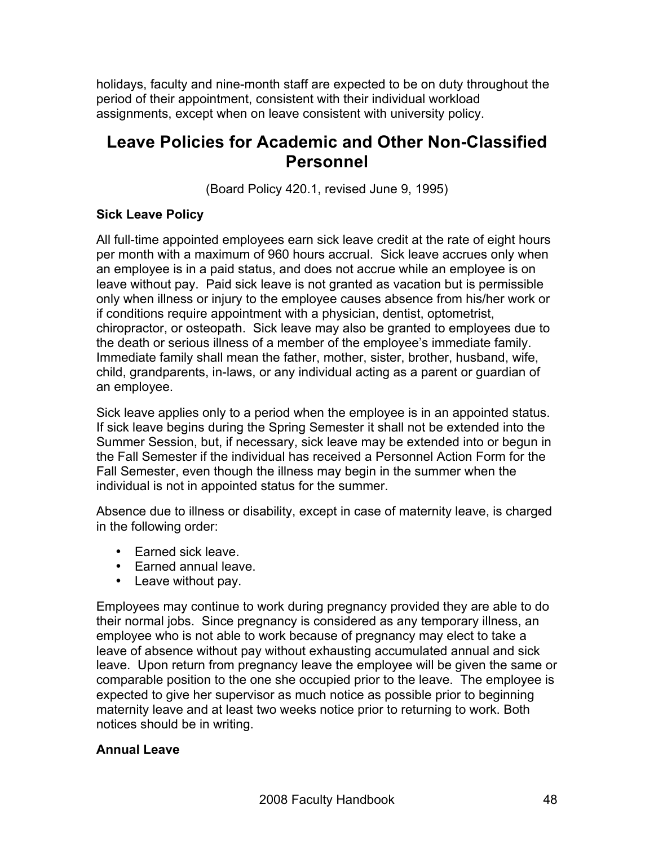holidays, faculty and nine-month staff are expected to be on duty throughout the period of their appointment, consistent with their individual workload assignments, except when on leave consistent with university policy.

# **Leave Policies for Academic and Other Non-Classified Personnel**

(Board Policy 420.1, revised June 9, 1995)

### **Sick Leave Policy**

All full-time appointed employees earn sick leave credit at the rate of eight hours per month with a maximum of 960 hours accrual. Sick leave accrues only when an employee is in a paid status, and does not accrue while an employee is on leave without pay. Paid sick leave is not granted as vacation but is permissible only when illness or injury to the employee causes absence from his/her work or if conditions require appointment with a physician, dentist, optometrist, chiropractor, or osteopath. Sick leave may also be granted to employees due to the death or serious illness of a member of the employee's immediate family. Immediate family shall mean the father, mother, sister, brother, husband, wife, child, grandparents, in-laws, or any individual acting as a parent or guardian of an employee.

Sick leave applies only to a period when the employee is in an appointed status. If sick leave begins during the Spring Semester it shall not be extended into the Summer Session, but, if necessary, sick leave may be extended into or begun in the Fall Semester if the individual has received a Personnel Action Form for the Fall Semester, even though the illness may begin in the summer when the individual is not in appointed status for the summer.

Absence due to illness or disability, except in case of maternity leave, is charged in the following order:

- Earned sick leave.
- Earned annual leave.
- Leave without pay.

Employees may continue to work during pregnancy provided they are able to do their normal jobs. Since pregnancy is considered as any temporary illness, an employee who is not able to work because of pregnancy may elect to take a leave of absence without pay without exhausting accumulated annual and sick leave. Upon return from pregnancy leave the employee will be given the same or comparable position to the one she occupied prior to the leave. The employee is expected to give her supervisor as much notice as possible prior to beginning maternity leave and at least two weeks notice prior to returning to work. Both notices should be in writing.

#### **Annual Leave**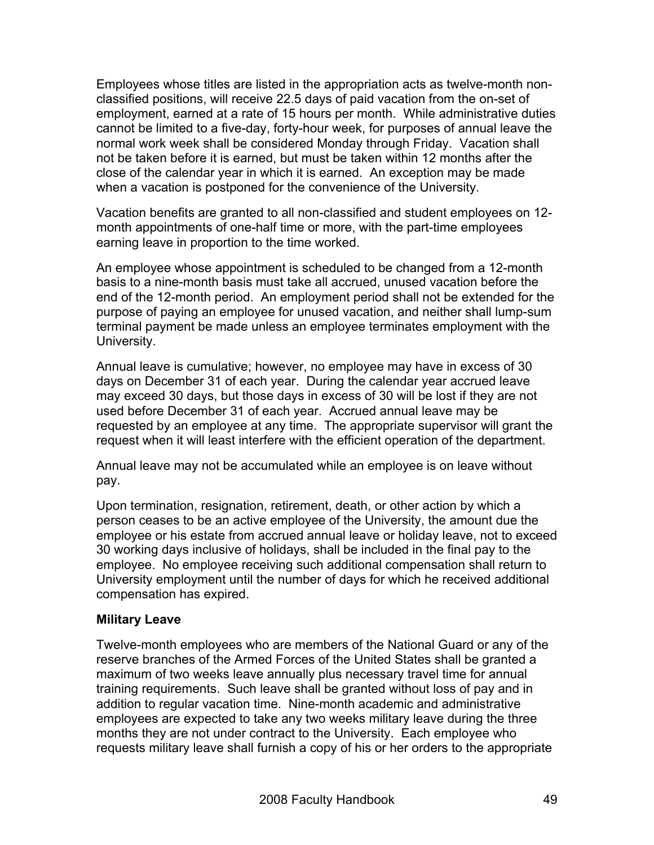Employees whose titles are listed in the appropriation acts as twelve-month nonclassified positions, will receive 22.5 days of paid vacation from the on-set of employment, earned at a rate of 15 hours per month. While administrative duties cannot be limited to a five-day, forty-hour week, for purposes of annual leave the normal work week shall be considered Monday through Friday. Vacation shall not be taken before it is earned, but must be taken within 12 months after the close of the calendar year in which it is earned. An exception may be made when a vacation is postponed for the convenience of the University.

Vacation benefits are granted to all non-classified and student employees on 12 month appointments of one-half time or more, with the part-time employees earning leave in proportion to the time worked.

An employee whose appointment is scheduled to be changed from a 12-month basis to a nine-month basis must take all accrued, unused vacation before the end of the 12-month period. An employment period shall not be extended for the purpose of paying an employee for unused vacation, and neither shall lump-sum terminal payment be made unless an employee terminates employment with the University.

Annual leave is cumulative; however, no employee may have in excess of 30 days on December 31 of each year. During the calendar year accrued leave may exceed 30 days, but those days in excess of 30 will be lost if they are not used before December 31 of each year. Accrued annual leave may be requested by an employee at any time. The appropriate supervisor will grant the request when it will least interfere with the efficient operation of the department.

Annual leave may not be accumulated while an employee is on leave without pay.

Upon termination, resignation, retirement, death, or other action by which a person ceases to be an active employee of the University, the amount due the employee or his estate from accrued annual leave or holiday leave, not to exceed 30 working days inclusive of holidays, shall be included in the final pay to the employee. No employee receiving such additional compensation shall return to University employment until the number of days for which he received additional compensation has expired.

#### **Military Leave**

Twelve-month employees who are members of the National Guard or any of the reserve branches of the Armed Forces of the United States shall be granted a maximum of two weeks leave annually plus necessary travel time for annual training requirements. Such leave shall be granted without loss of pay and in addition to regular vacation time. Nine-month academic and administrative employees are expected to take any two weeks military leave during the three months they are not under contract to the University. Each employee who requests military leave shall furnish a copy of his or her orders to the appropriate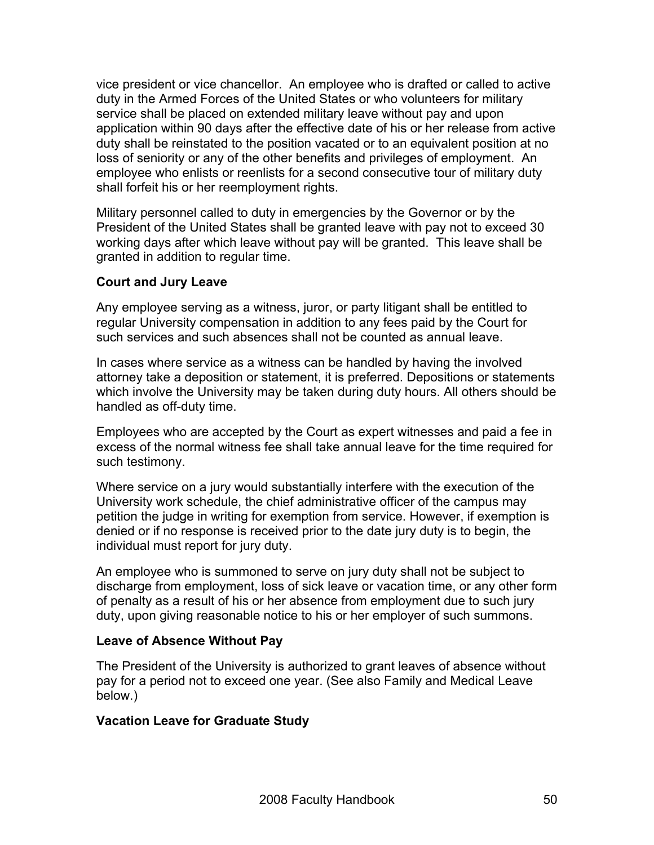vice president or vice chancellor. An employee who is drafted or called to active duty in the Armed Forces of the United States or who volunteers for military service shall be placed on extended military leave without pay and upon application within 90 days after the effective date of his or her release from active duty shall be reinstated to the position vacated or to an equivalent position at no loss of seniority or any of the other benefits and privileges of employment. An employee who enlists or reenlists for a second consecutive tour of military duty shall forfeit his or her reemployment rights.

Military personnel called to duty in emergencies by the Governor or by the President of the United States shall be granted leave with pay not to exceed 30 working days after which leave without pay will be granted. This leave shall be granted in addition to regular time.

#### **Court and Jury Leave**

Any employee serving as a witness, juror, or party litigant shall be entitled to regular University compensation in addition to any fees paid by the Court for such services and such absences shall not be counted as annual leave.

In cases where service as a witness can be handled by having the involved attorney take a deposition or statement, it is preferred. Depositions or statements which involve the University may be taken during duty hours. All others should be handled as off-duty time.

Employees who are accepted by the Court as expert witnesses and paid a fee in excess of the normal witness fee shall take annual leave for the time required for such testimony.

Where service on a jury would substantially interfere with the execution of the University work schedule, the chief administrative officer of the campus may petition the judge in writing for exemption from service. However, if exemption is denied or if no response is received prior to the date jury duty is to begin, the individual must report for jury duty.

An employee who is summoned to serve on jury duty shall not be subject to discharge from employment, loss of sick leave or vacation time, or any other form of penalty as a result of his or her absence from employment due to such jury duty, upon giving reasonable notice to his or her employer of such summons.

#### **Leave of Absence Without Pay**

The President of the University is authorized to grant leaves of absence without pay for a period not to exceed one year. (See also Family and Medical Leave below.)

#### **Vacation Leave for Graduate Study**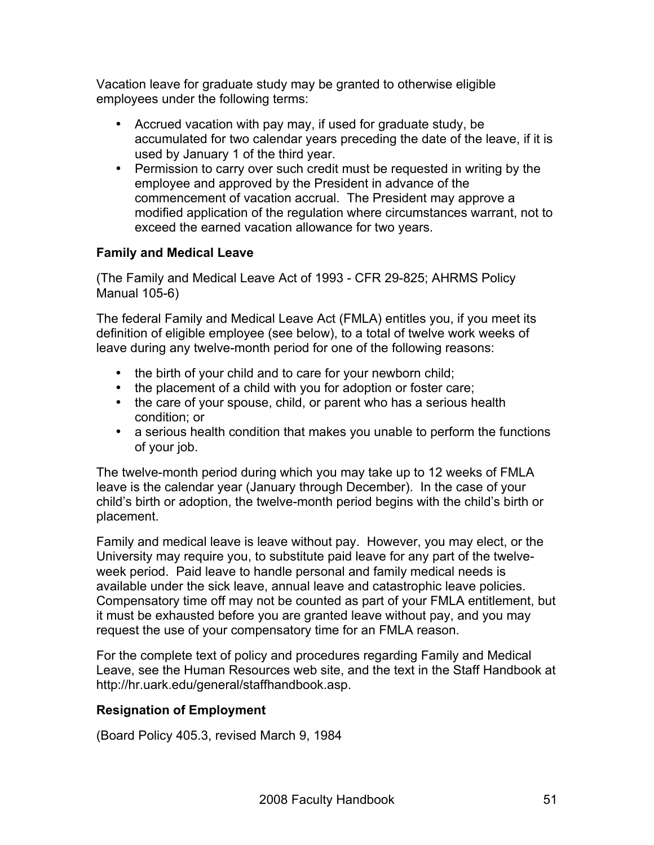Vacation leave for graduate study may be granted to otherwise eligible employees under the following terms:

- Accrued vacation with pay may, if used for graduate study, be accumulated for two calendar years preceding the date of the leave, if it is used by January 1 of the third year.
- Permission to carry over such credit must be requested in writing by the employee and approved by the President in advance of the commencement of vacation accrual. The President may approve a modified application of the regulation where circumstances warrant, not to exceed the earned vacation allowance for two years.

### **Family and Medical Leave**

(The Family and Medical Leave Act of 1993 - CFR 29-825; AHRMS Policy Manual 105-6)

The federal Family and Medical Leave Act (FMLA) entitles you, if you meet its definition of eligible employee (see below), to a total of twelve work weeks of leave during any twelve-month period for one of the following reasons:

- the birth of your child and to care for your newborn child;
- the placement of a child with you for adoption or foster care;
- the care of your spouse, child, or parent who has a serious health condition; or
- a serious health condition that makes you unable to perform the functions of your job.

The twelve-month period during which you may take up to 12 weeks of FMLA leave is the calendar year (January through December). In the case of your child's birth or adoption, the twelve-month period begins with the child's birth or placement.

Family and medical leave is leave without pay. However, you may elect, or the University may require you, to substitute paid leave for any part of the twelveweek period. Paid leave to handle personal and family medical needs is available under the sick leave, annual leave and catastrophic leave policies. Compensatory time off may not be counted as part of your FMLA entitlement, but it must be exhausted before you are granted leave without pay, and you may request the use of your compensatory time for an FMLA reason.

For the complete text of policy and procedures regarding Family and Medical Leave, see the Human Resources web site, and the text in the Staff Handbook at http://hr.uark.edu/general/staffhandbook.asp.

#### **Resignation of Employment**

(Board Policy 405.3, revised March 9, 1984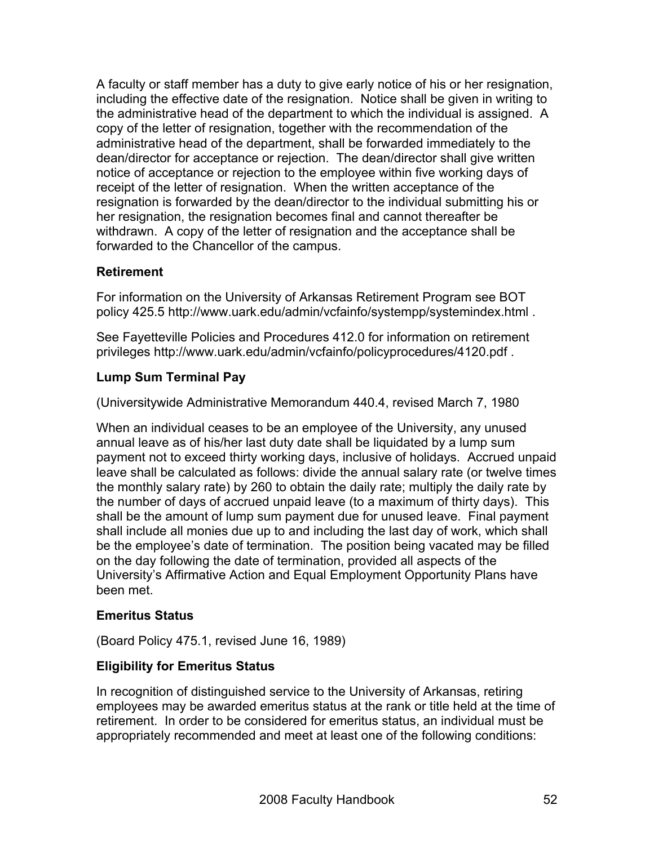A faculty or staff member has a duty to give early notice of his or her resignation, including the effective date of the resignation. Notice shall be given in writing to the administrative head of the department to which the individual is assigned. A copy of the letter of resignation, together with the recommendation of the administrative head of the department, shall be forwarded immediately to the dean/director for acceptance or rejection. The dean/director shall give written notice of acceptance or rejection to the employee within five working days of receipt of the letter of resignation. When the written acceptance of the resignation is forwarded by the dean/director to the individual submitting his or her resignation, the resignation becomes final and cannot thereafter be withdrawn. A copy of the letter of resignation and the acceptance shall be forwarded to the Chancellor of the campus.

## **Retirement**

For information on the University of Arkansas Retirement Program see BOT policy 425.5 http://www.uark.edu/admin/vcfainfo/systempp/systemindex.html .

See Fayetteville Policies and Procedures 412.0 for information on retirement privileges http://www.uark.edu/admin/vcfainfo/policyprocedures/4120.pdf .

## **Lump Sum Terminal Pay**

(Universitywide Administrative Memorandum 440.4, revised March 7, 1980

When an individual ceases to be an employee of the University, any unused annual leave as of his/her last duty date shall be liquidated by a lump sum payment not to exceed thirty working days, inclusive of holidays. Accrued unpaid leave shall be calculated as follows: divide the annual salary rate (or twelve times the monthly salary rate) by 260 to obtain the daily rate; multiply the daily rate by the number of days of accrued unpaid leave (to a maximum of thirty days). This shall be the amount of lump sum payment due for unused leave. Final payment shall include all monies due up to and including the last day of work, which shall be the employee's date of termination. The position being vacated may be filled on the day following the date of termination, provided all aspects of the University's Affirmative Action and Equal Employment Opportunity Plans have been met.

## **Emeritus Status**

(Board Policy 475.1, revised June 16, 1989)

## **Eligibility for Emeritus Status**

In recognition of distinguished service to the University of Arkansas, retiring employees may be awarded emeritus status at the rank or title held at the time of retirement. In order to be considered for emeritus status, an individual must be appropriately recommended and meet at least one of the following conditions: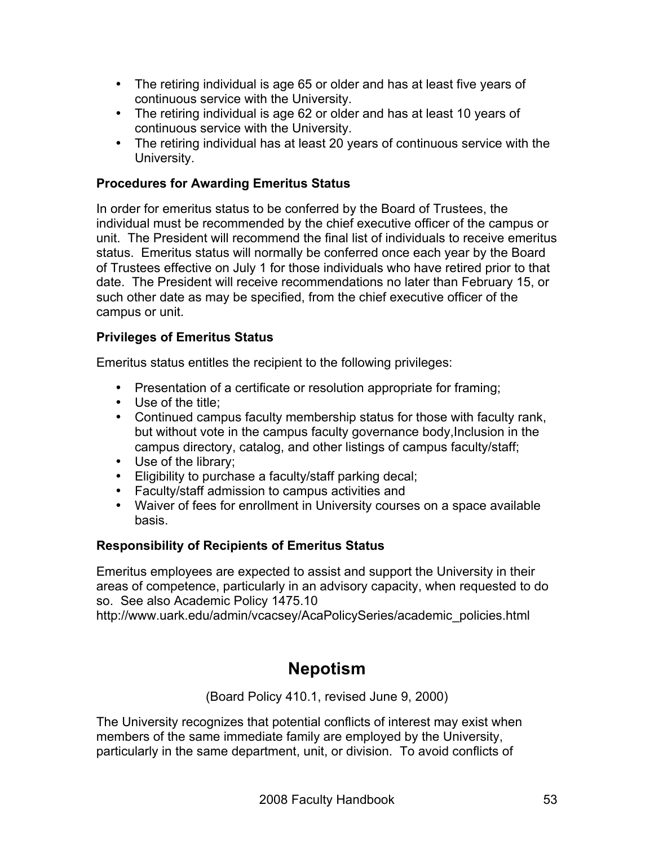- The retiring individual is age 65 or older and has at least five years of continuous service with the University.
- The retiring individual is age 62 or older and has at least 10 years of continuous service with the University.
- The retiring individual has at least 20 years of continuous service with the University.

## **Procedures for Awarding Emeritus Status**

In order for emeritus status to be conferred by the Board of Trustees, the individual must be recommended by the chief executive officer of the campus or unit. The President will recommend the final list of individuals to receive emeritus status. Emeritus status will normally be conferred once each year by the Board of Trustees effective on July 1 for those individuals who have retired prior to that date. The President will receive recommendations no later than February 15, or such other date as may be specified, from the chief executive officer of the campus or unit.

## **Privileges of Emeritus Status**

Emeritus status entitles the recipient to the following privileges:

- Presentation of a certificate or resolution appropriate for framing;
- Use of the title:
- Continued campus faculty membership status for those with faculty rank, but without vote in the campus faculty governance body,Inclusion in the campus directory, catalog, and other listings of campus faculty/staff;
- Use of the library;
- Eligibility to purchase a faculty/staff parking decal;
- Faculty/staff admission to campus activities and
- Waiver of fees for enrollment in University courses on a space available basis.

#### **Responsibility of Recipients of Emeritus Status**

Emeritus employees are expected to assist and support the University in their areas of competence, particularly in an advisory capacity, when requested to do so. See also Academic Policy 1475.10

http://www.uark.edu/admin/vcacsey/AcaPolicySeries/academic\_policies.html

# **Nepotism**

(Board Policy 410.1, revised June 9, 2000)

The University recognizes that potential conflicts of interest may exist when members of the same immediate family are employed by the University, particularly in the same department, unit, or division. To avoid conflicts of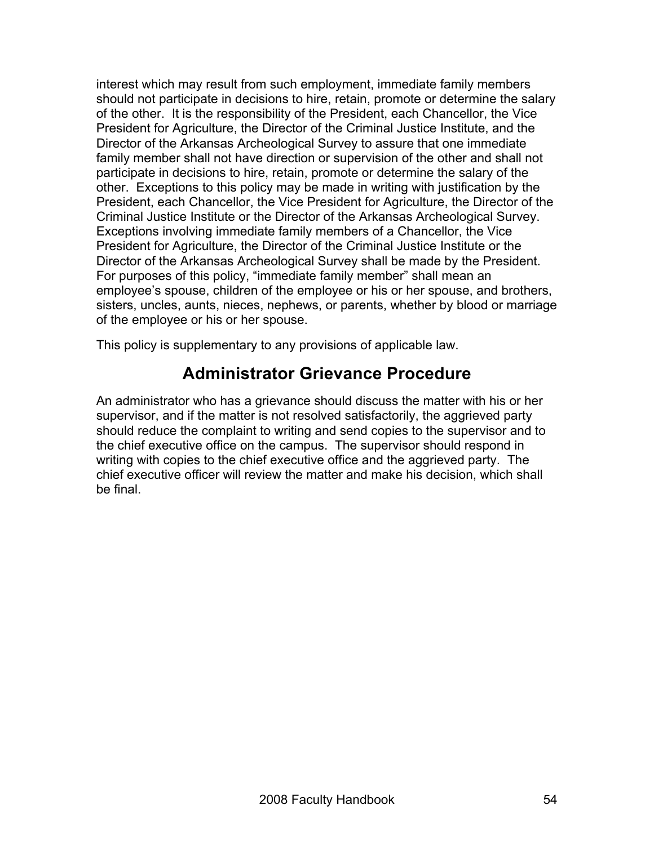interest which may result from such employment, immediate family members should not participate in decisions to hire, retain, promote or determine the salary of the other. It is the responsibility of the President, each Chancellor, the Vice President for Agriculture, the Director of the Criminal Justice Institute, and the Director of the Arkansas Archeological Survey to assure that one immediate family member shall not have direction or supervision of the other and shall not participate in decisions to hire, retain, promote or determine the salary of the other. Exceptions to this policy may be made in writing with justification by the President, each Chancellor, the Vice President for Agriculture, the Director of the Criminal Justice Institute or the Director of the Arkansas Archeological Survey. Exceptions involving immediate family members of a Chancellor, the Vice President for Agriculture, the Director of the Criminal Justice Institute or the Director of the Arkansas Archeological Survey shall be made by the President. For purposes of this policy, "immediate family member" shall mean an employee's spouse, children of the employee or his or her spouse, and brothers, sisters, uncles, aunts, nieces, nephews, or parents, whether by blood or marriage of the employee or his or her spouse.

This policy is supplementary to any provisions of applicable law.

# **Administrator Grievance Procedure**

An administrator who has a grievance should discuss the matter with his or her supervisor, and if the matter is not resolved satisfactorily, the aggrieved party should reduce the complaint to writing and send copies to the supervisor and to the chief executive office on the campus. The supervisor should respond in writing with copies to the chief executive office and the aggrieved party. The chief executive officer will review the matter and make his decision, which shall be final.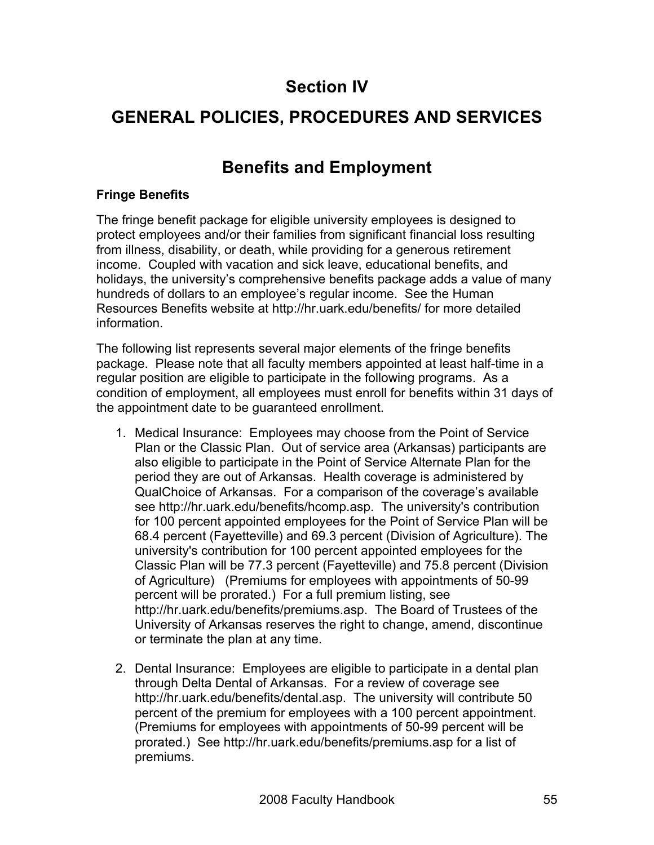# **Section IV**

# **GENERAL POLICIES, PROCEDURES AND SERVICES**

# **Benefits and Employment**

### **Fringe Benefits**

The fringe benefit package for eligible university employees is designed to protect employees and/or their families from significant financial loss resulting from illness, disability, or death, while providing for a generous retirement income. Coupled with vacation and sick leave, educational benefits, and holidays, the university's comprehensive benefits package adds a value of many hundreds of dollars to an employee's regular income. See the Human Resources Benefits website at http://hr.uark.edu/benefits/ for more detailed information.

The following list represents several major elements of the fringe benefits package. Please note that all faculty members appointed at least half-time in a regular position are eligible to participate in the following programs. As a condition of employment, all employees must enroll for benefits within 31 days of the appointment date to be guaranteed enrollment.

- 1. Medical Insurance: Employees may choose from the Point of Service Plan or the Classic Plan. Out of service area (Arkansas) participants are also eligible to participate in the Point of Service Alternate Plan for the period they are out of Arkansas. Health coverage is administered by QualChoice of Arkansas. For a comparison of the coverage's available see http://hr.uark.edu/benefits/hcomp.asp. The university's contribution for 100 percent appointed employees for the Point of Service Plan will be 68.4 percent (Fayetteville) and 69.3 percent (Division of Agriculture). The university's contribution for 100 percent appointed employees for the Classic Plan will be 77.3 percent (Fayetteville) and 75.8 percent (Division of Agriculture) (Premiums for employees with appointments of 50-99 percent will be prorated.) For a full premium listing, see http://hr.uark.edu/benefits/premiums.asp. The Board of Trustees of the University of Arkansas reserves the right to change, amend, discontinue or terminate the plan at any time.
- 2. Dental Insurance: Employees are eligible to participate in a dental plan through Delta Dental of Arkansas. For a review of coverage see http://hr.uark.edu/benefits/dental.asp. The university will contribute 50 percent of the premium for employees with a 100 percent appointment. (Premiums for employees with appointments of 50-99 percent will be prorated.) See http://hr.uark.edu/benefits/premiums.asp for a list of premiums.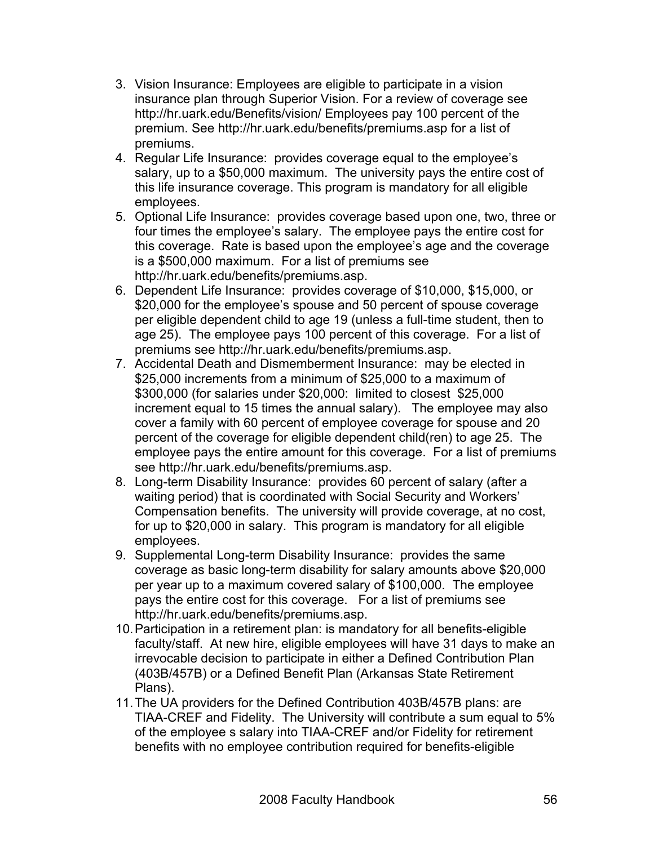- 3. Vision Insurance: Employees are eligible to participate in a vision insurance plan through Superior Vision. For a review of coverage see http://hr.uark.edu/Benefits/vision/ Employees pay 100 percent of the premium. See http://hr.uark.edu/benefits/premiums.asp for a list of premiums.
- 4. Regular Life Insurance: provides coverage equal to the employee's salary, up to a \$50,000 maximum. The university pays the entire cost of this life insurance coverage. This program is mandatory for all eligible employees.
- 5. Optional Life Insurance: provides coverage based upon one, two, three or four times the employee's salary. The employee pays the entire cost for this coverage. Rate is based upon the employee's age and the coverage is a \$500,000 maximum. For a list of premiums see http://hr.uark.edu/benefits/premiums.asp.
- 6. Dependent Life Insurance: provides coverage of \$10,000, \$15,000, or \$20,000 for the employee's spouse and 50 percent of spouse coverage per eligible dependent child to age 19 (unless a full-time student, then to age 25). The employee pays 100 percent of this coverage. For a list of premiums see http://hr.uark.edu/benefits/premiums.asp.
- 7. Accidental Death and Dismemberment Insurance: may be elected in \$25,000 increments from a minimum of \$25,000 to a maximum of \$300,000 (for salaries under \$20,000: limited to closest \$25,000 increment equal to 15 times the annual salary). The employee may also cover a family with 60 percent of employee coverage for spouse and 20 percent of the coverage for eligible dependent child(ren) to age 25. The employee pays the entire amount for this coverage. For a list of premiums see http://hr.uark.edu/benefits/premiums.asp.
- 8. Long-term Disability Insurance: provides 60 percent of salary (after a waiting period) that is coordinated with Social Security and Workers' Compensation benefits. The university will provide coverage, at no cost, for up to \$20,000 in salary. This program is mandatory for all eligible employees.
- 9. Supplemental Long-term Disability Insurance: provides the same coverage as basic long-term disability for salary amounts above \$20,000 per year up to a maximum covered salary of \$100,000. The employee pays the entire cost for this coverage. For a list of premiums see http://hr.uark.edu/benefits/premiums.asp.
- 10.Participation in a retirement plan: is mandatory for all benefits-eligible faculty/staff. At new hire, eligible employees will have 31 days to make an irrevocable decision to participate in either a Defined Contribution Plan (403B/457B) or a Defined Benefit Plan (Arkansas State Retirement Plans).
- 11.The UA providers for the Defined Contribution 403B/457B plans: are TIAA-CREF and Fidelity. The University will contribute a sum equal to 5% of the employee s salary into TIAA-CREF and/or Fidelity for retirement benefits with no employee contribution required for benefits-eligible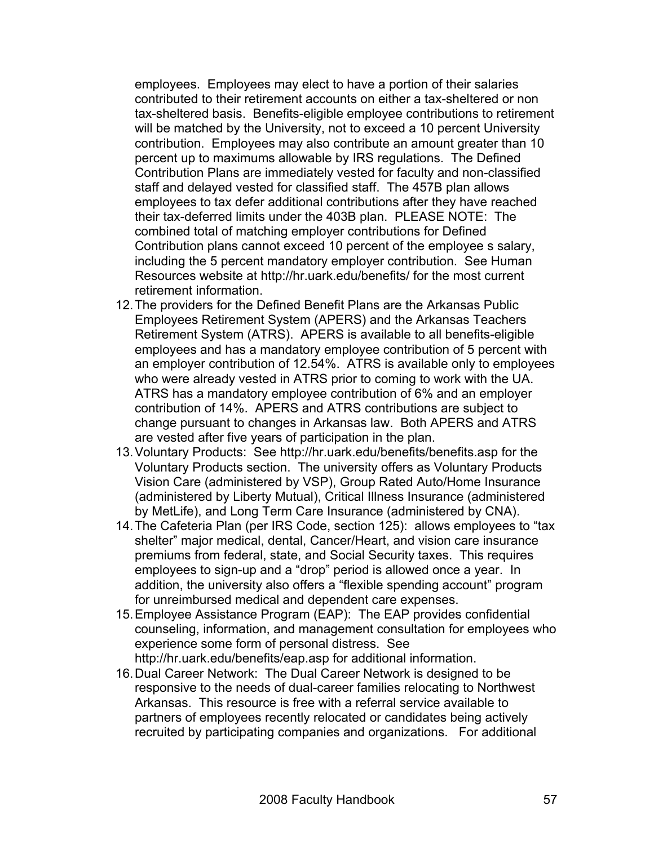employees. Employees may elect to have a portion of their salaries contributed to their retirement accounts on either a tax-sheltered or non tax-sheltered basis. Benefits-eligible employee contributions to retirement will be matched by the University, not to exceed a 10 percent University contribution. Employees may also contribute an amount greater than 10 percent up to maximums allowable by IRS regulations. The Defined Contribution Plans are immediately vested for faculty and non-classified staff and delayed vested for classified staff. The 457B plan allows employees to tax defer additional contributions after they have reached their tax-deferred limits under the 403B plan. PLEASE NOTE: The combined total of matching employer contributions for Defined Contribution plans cannot exceed 10 percent of the employee s salary, including the 5 percent mandatory employer contribution. See Human Resources website at http://hr.uark.edu/benefits/ for the most current retirement information.

- 12.The providers for the Defined Benefit Plans are the Arkansas Public Employees Retirement System (APERS) and the Arkansas Teachers Retirement System (ATRS). APERS is available to all benefits-eligible employees and has a mandatory employee contribution of 5 percent with an employer contribution of 12.54%. ATRS is available only to employees who were already vested in ATRS prior to coming to work with the UA. ATRS has a mandatory employee contribution of 6% and an employer contribution of 14%. APERS and ATRS contributions are subject to change pursuant to changes in Arkansas law. Both APERS and ATRS are vested after five years of participation in the plan.
- 13.Voluntary Products: See http://hr.uark.edu/benefits/benefits.asp for the Voluntary Products section. The university offers as Voluntary Products Vision Care (administered by VSP), Group Rated Auto/Home Insurance (administered by Liberty Mutual), Critical Illness Insurance (administered by MetLife), and Long Term Care Insurance (administered by CNA).
- 14.The Cafeteria Plan (per IRS Code, section 125): allows employees to "tax shelter" major medical, dental, Cancer/Heart, and vision care insurance premiums from federal, state, and Social Security taxes. This requires employees to sign-up and a "drop" period is allowed once a year. In addition, the university also offers a "flexible spending account" program for unreimbursed medical and dependent care expenses.
- 15.Employee Assistance Program (EAP): The EAP provides confidential counseling, information, and management consultation for employees who experience some form of personal distress. See http://hr.uark.edu/benefits/eap.asp for additional information.
- 16.Dual Career Network: The Dual Career Network is designed to be responsive to the needs of dual-career families relocating to Northwest Arkansas. This resource is free with a referral service available to partners of employees recently relocated or candidates being actively recruited by participating companies and organizations. For additional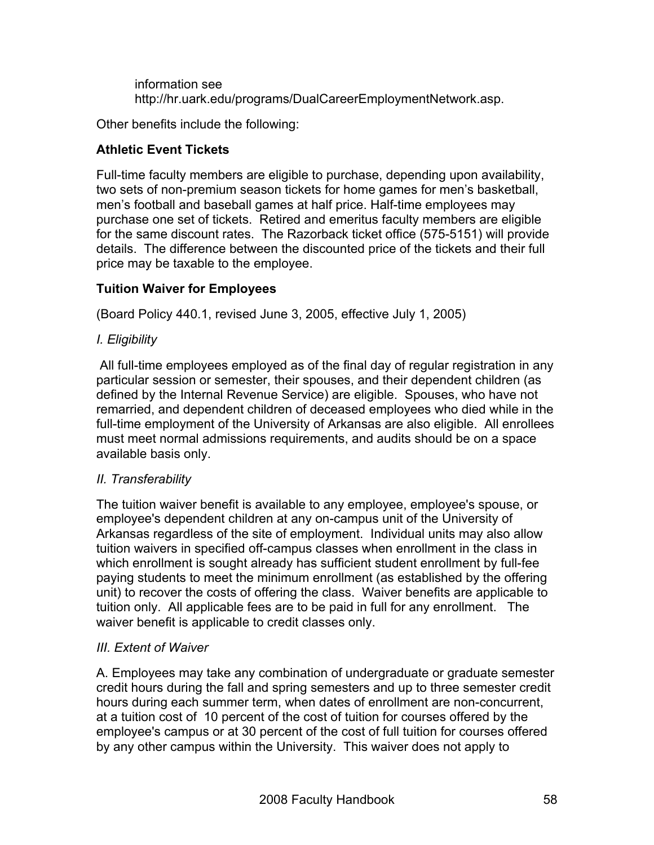information see http://hr.uark.edu/programs/DualCareerEmploymentNetwork.asp.

Other benefits include the following:

## **Athletic Event Tickets**

Full-time faculty members are eligible to purchase, depending upon availability, two sets of non-premium season tickets for home games for men's basketball, men's football and baseball games at half price. Half-time employees may purchase one set of tickets. Retired and emeritus faculty members are eligible for the same discount rates. The Razorback ticket office (575-5151) will provide details. The difference between the discounted price of the tickets and their full price may be taxable to the employee.

## **Tuition Waiver for Employees**

(Board Policy 440.1, revised June 3, 2005, effective July 1, 2005)

## *I. Eligibility*

All full-time employees employed as of the final day of regular registration in any particular session or semester, their spouses, and their dependent children (as defined by the Internal Revenue Service) are eligible. Spouses, who have not remarried, and dependent children of deceased employees who died while in the full-time employment of the University of Arkansas are also eligible. All enrollees must meet normal admissions requirements, and audits should be on a space available basis only.

## *II. Transferability*

The tuition waiver benefit is available to any employee, employee's spouse, or employee's dependent children at any on-campus unit of the University of Arkansas regardless of the site of employment. Individual units may also allow tuition waivers in specified off-campus classes when enrollment in the class in which enrollment is sought already has sufficient student enrollment by full-fee paying students to meet the minimum enrollment (as established by the offering unit) to recover the costs of offering the class. Waiver benefits are applicable to tuition only. All applicable fees are to be paid in full for any enrollment. The waiver benefit is applicable to credit classes only.

## *III. Extent of Waiver*

A. Employees may take any combination of undergraduate or graduate semester credit hours during the fall and spring semesters and up to three semester credit hours during each summer term, when dates of enrollment are non-concurrent, at a tuition cost of 10 percent of the cost of tuition for courses offered by the employee's campus or at 30 percent of the cost of full tuition for courses offered by any other campus within the University. This waiver does not apply to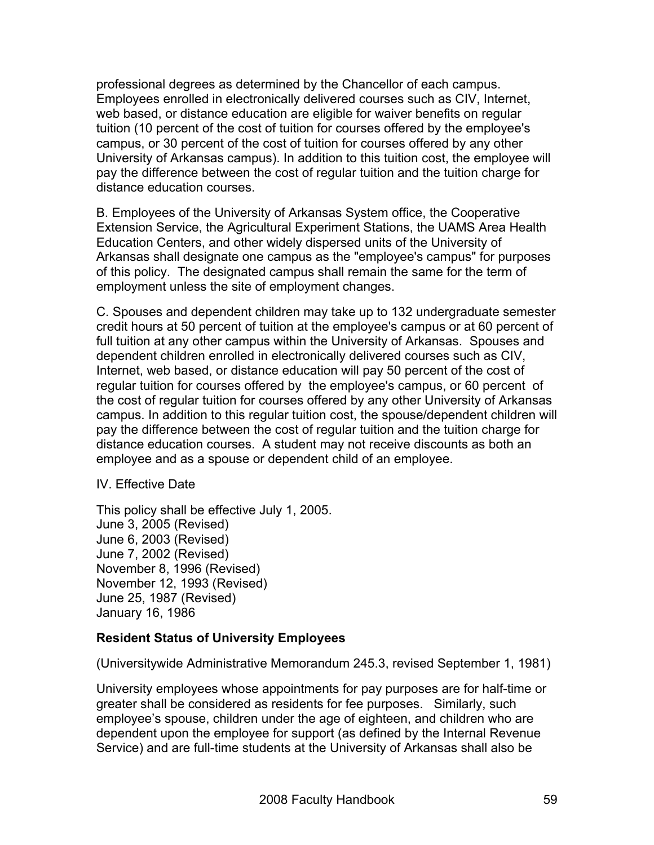professional degrees as determined by the Chancellor of each campus. Employees enrolled in electronically delivered courses such as CIV, Internet, web based, or distance education are eligible for waiver benefits on regular tuition (10 percent of the cost of tuition for courses offered by the employee's campus, or 30 percent of the cost of tuition for courses offered by any other University of Arkansas campus). In addition to this tuition cost, the employee will pay the difference between the cost of regular tuition and the tuition charge for distance education courses.

B. Employees of the University of Arkansas System office, the Cooperative Extension Service, the Agricultural Experiment Stations, the UAMS Area Health Education Centers, and other widely dispersed units of the University of Arkansas shall designate one campus as the "employee's campus" for purposes of this policy. The designated campus shall remain the same for the term of employment unless the site of employment changes.

C. Spouses and dependent children may take up to 132 undergraduate semester credit hours at 50 percent of tuition at the employee's campus or at 60 percent of full tuition at any other campus within the University of Arkansas. Spouses and dependent children enrolled in electronically delivered courses such as CIV, Internet, web based, or distance education will pay 50 percent of the cost of regular tuition for courses offered by the employee's campus, or 60 percent of the cost of regular tuition for courses offered by any other University of Arkansas campus. In addition to this regular tuition cost, the spouse/dependent children will pay the difference between the cost of regular tuition and the tuition charge for distance education courses. A student may not receive discounts as both an employee and as a spouse or dependent child of an employee.

#### IV. Effective Date

This policy shall be effective July 1, 2005. June 3, 2005 (Revised) June 6, 2003 (Revised) June 7, 2002 (Revised) November 8, 1996 (Revised) November 12, 1993 (Revised) June 25, 1987 (Revised) January 16, 1986

#### **Resident Status of University Employees**

(Universitywide Administrative Memorandum 245.3, revised September 1, 1981)

University employees whose appointments for pay purposes are for half-time or greater shall be considered as residents for fee purposes. Similarly, such employee's spouse, children under the age of eighteen, and children who are dependent upon the employee for support (as defined by the Internal Revenue Service) and are full-time students at the University of Arkansas shall also be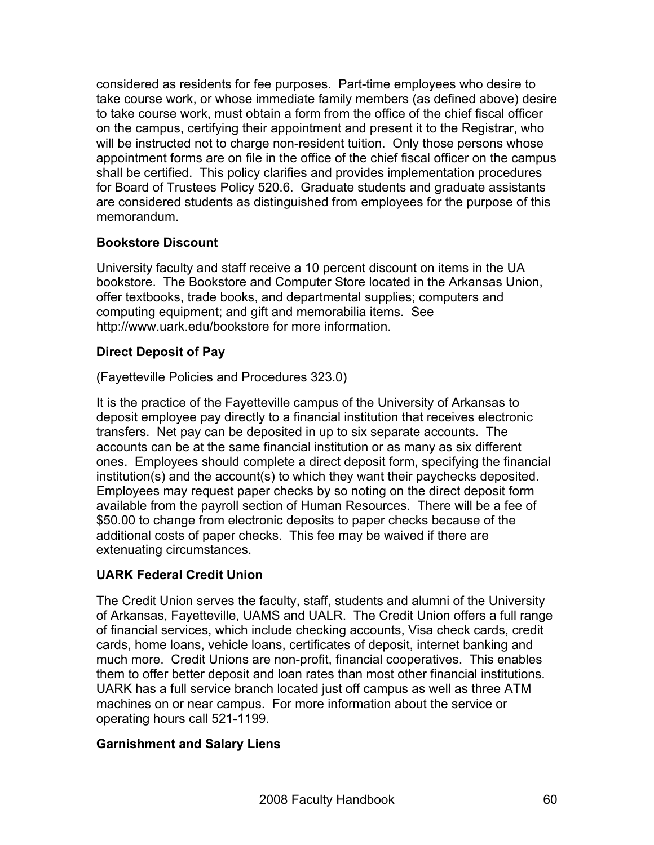considered as residents for fee purposes. Part-time employees who desire to take course work, or whose immediate family members (as defined above) desire to take course work, must obtain a form from the office of the chief fiscal officer on the campus, certifying their appointment and present it to the Registrar, who will be instructed not to charge non-resident tuition. Only those persons whose appointment forms are on file in the office of the chief fiscal officer on the campus shall be certified. This policy clarifies and provides implementation procedures for Board of Trustees Policy 520.6. Graduate students and graduate assistants are considered students as distinguished from employees for the purpose of this memorandum.

## **Bookstore Discount**

University faculty and staff receive a 10 percent discount on items in the UA bookstore. The Bookstore and Computer Store located in the Arkansas Union, offer textbooks, trade books, and departmental supplies; computers and computing equipment; and gift and memorabilia items. See http://www.uark.edu/bookstore for more information.

# **Direct Deposit of Pay**

(Fayetteville Policies and Procedures 323.0)

It is the practice of the Fayetteville campus of the University of Arkansas to deposit employee pay directly to a financial institution that receives electronic transfers. Net pay can be deposited in up to six separate accounts. The accounts can be at the same financial institution or as many as six different ones. Employees should complete a direct deposit form, specifying the financial institution(s) and the account(s) to which they want their paychecks deposited. Employees may request paper checks by so noting on the direct deposit form available from the payroll section of Human Resources. There will be a fee of \$50.00 to change from electronic deposits to paper checks because of the additional costs of paper checks. This fee may be waived if there are extenuating circumstances.

# **UARK Federal Credit Union**

The Credit Union serves the faculty, staff, students and alumni of the University of Arkansas, Fayetteville, UAMS and UALR. The Credit Union offers a full range of financial services, which include checking accounts, Visa check cards, credit cards, home loans, vehicle loans, certificates of deposit, internet banking and much more. Credit Unions are non-profit, financial cooperatives. This enables them to offer better deposit and loan rates than most other financial institutions. UARK has a full service branch located just off campus as well as three ATM machines on or near campus. For more information about the service or operating hours call 521-1199.

# **Garnishment and Salary Liens**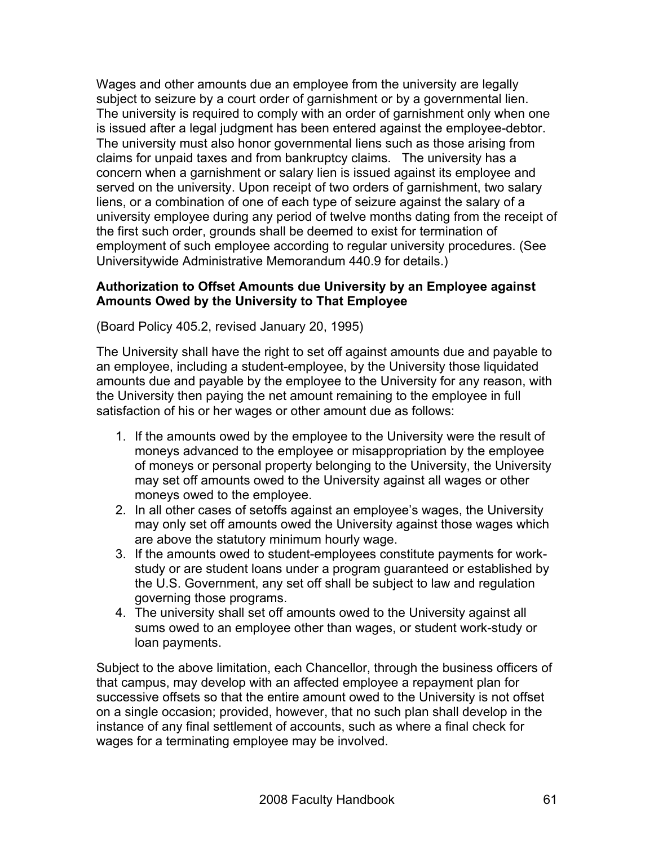Wages and other amounts due an employee from the university are legally subject to seizure by a court order of garnishment or by a governmental lien. The university is required to comply with an order of garnishment only when one is issued after a legal judgment has been entered against the employee-debtor. The university must also honor governmental liens such as those arising from claims for unpaid taxes and from bankruptcy claims. The university has a concern when a garnishment or salary lien is issued against its employee and served on the university. Upon receipt of two orders of garnishment, two salary liens, or a combination of one of each type of seizure against the salary of a university employee during any period of twelve months dating from the receipt of the first such order, grounds shall be deemed to exist for termination of employment of such employee according to regular university procedures. (See Universitywide Administrative Memorandum 440.9 for details.)

### **Authorization to Offset Amounts due University by an Employee against Amounts Owed by the University to That Employee**

(Board Policy 405.2, revised January 20, 1995)

The University shall have the right to set off against amounts due and payable to an employee, including a student-employee, by the University those liquidated amounts due and payable by the employee to the University for any reason, with the University then paying the net amount remaining to the employee in full satisfaction of his or her wages or other amount due as follows:

- 1. If the amounts owed by the employee to the University were the result of moneys advanced to the employee or misappropriation by the employee of moneys or personal property belonging to the University, the University may set off amounts owed to the University against all wages or other moneys owed to the employee.
- 2. In all other cases of setoffs against an employee's wages, the University may only set off amounts owed the University against those wages which are above the statutory minimum hourly wage.
- 3. If the amounts owed to student-employees constitute payments for workstudy or are student loans under a program guaranteed or established by the U.S. Government, any set off shall be subject to law and regulation governing those programs.
- 4. The university shall set off amounts owed to the University against all sums owed to an employee other than wages, or student work-study or loan payments.

Subject to the above limitation, each Chancellor, through the business officers of that campus, may develop with an affected employee a repayment plan for successive offsets so that the entire amount owed to the University is not offset on a single occasion; provided, however, that no such plan shall develop in the instance of any final settlement of accounts, such as where a final check for wages for a terminating employee may be involved.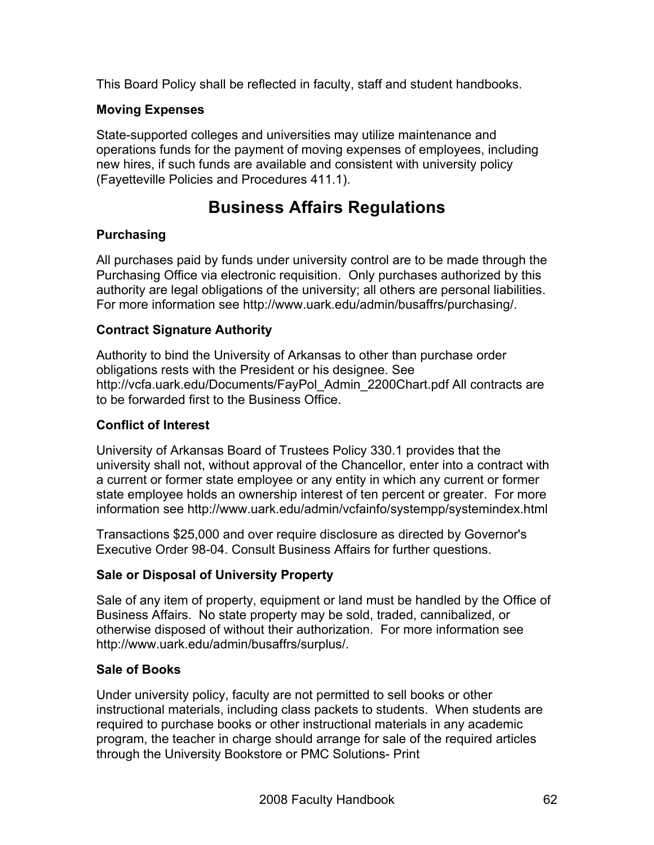This Board Policy shall be reflected in faculty, staff and student handbooks.

# **Moving Expenses**

State-supported colleges and universities may utilize maintenance and operations funds for the payment of moving expenses of employees, including new hires, if such funds are available and consistent with university policy (Fayetteville Policies and Procedures 411.1).

# **Business Affairs Regulations**

## **Purchasing**

All purchases paid by funds under university control are to be made through the Purchasing Office via electronic requisition. Only purchases authorized by this authority are legal obligations of the university; all others are personal liabilities. For more information see http://www.uark.edu/admin/busaffrs/purchasing/.

## **Contract Signature Authority**

Authority to bind the University of Arkansas to other than purchase order obligations rests with the President or his designee. See http://vcfa.uark.edu/Documents/FayPol\_Admin\_2200Chart.pdf All contracts are to be forwarded first to the Business Office.

## **Conflict of Interest**

University of Arkansas Board of Trustees Policy 330.1 provides that the university shall not, without approval of the Chancellor, enter into a contract with a current or former state employee or any entity in which any current or former state employee holds an ownership interest of ten percent or greater. For more information see http://www.uark.edu/admin/vcfainfo/systempp/systemindex.html

Transactions \$25,000 and over require disclosure as directed by Governor's Executive Order 98-04. Consult Business Affairs for further questions.

## **Sale or Disposal of University Property**

Sale of any item of property, equipment or land must be handled by the Office of Business Affairs. No state property may be sold, traded, cannibalized, or otherwise disposed of without their authorization. For more information see http://www.uark.edu/admin/busaffrs/surplus/.

## **Sale of Books**

Under university policy, faculty are not permitted to sell books or other instructional materials, including class packets to students. When students are required to purchase books or other instructional materials in any academic program, the teacher in charge should arrange for sale of the required articles through the University Bookstore or PMC Solutions- Print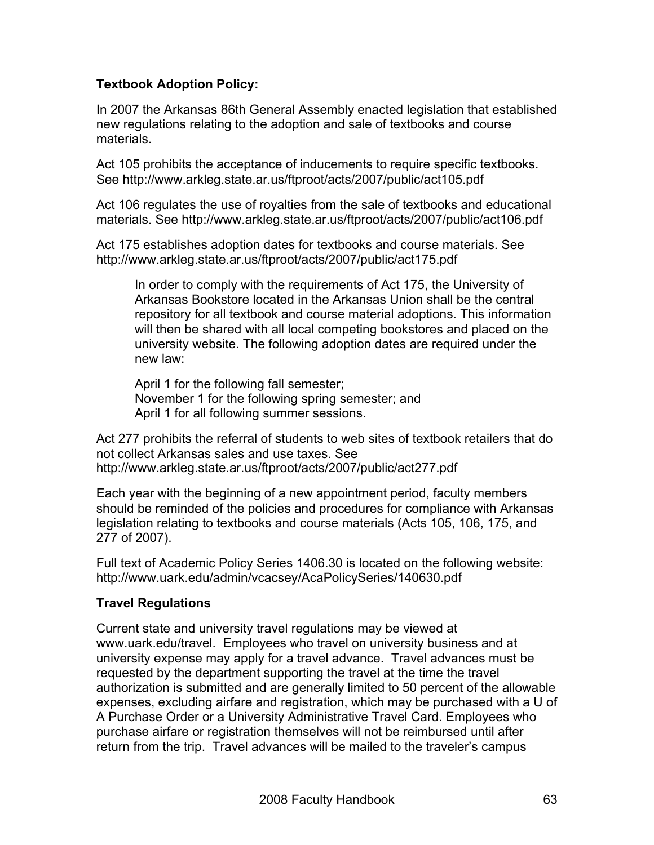## **Textbook Adoption Policy:**

In 2007 the Arkansas 86th General Assembly enacted legislation that established new regulations relating to the adoption and sale of textbooks and course materials.

Act 105 prohibits the acceptance of inducements to require specific textbooks. See http://www.arkleg.state.ar.us/ftproot/acts/2007/public/act105.pdf

Act 106 regulates the use of royalties from the sale of textbooks and educational materials. See http://www.arkleg.state.ar.us/ftproot/acts/2007/public/act106.pdf

Act 175 establishes adoption dates for textbooks and course materials. See http://www.arkleg.state.ar.us/ftproot/acts/2007/public/act175.pdf

In order to comply with the requirements of Act 175, the University of Arkansas Bookstore located in the Arkansas Union shall be the central repository for all textbook and course material adoptions. This information will then be shared with all local competing bookstores and placed on the university website. The following adoption dates are required under the new law:

April 1 for the following fall semester; November 1 for the following spring semester; and April 1 for all following summer sessions.

Act 277 prohibits the referral of students to web sites of textbook retailers that do not collect Arkansas sales and use taxes. See http://www.arkleg.state.ar.us/ftproot/acts/2007/public/act277.pdf

Each year with the beginning of a new appointment period, faculty members should be reminded of the policies and procedures for compliance with Arkansas legislation relating to textbooks and course materials (Acts 105, 106, 175, and 277 of 2007).

Full text of Academic Policy Series 1406.30 is located on the following website: http://www.uark.edu/admin/vcacsey/AcaPolicySeries/140630.pdf

## **Travel Regulations**

Current state and university travel regulations may be viewed at www.uark.edu/travel. Employees who travel on university business and at university expense may apply for a travel advance. Travel advances must be requested by the department supporting the travel at the time the travel authorization is submitted and are generally limited to 50 percent of the allowable expenses, excluding airfare and registration, which may be purchased with a U of A Purchase Order or a University Administrative Travel Card. Employees who purchase airfare or registration themselves will not be reimbursed until after return from the trip. Travel advances will be mailed to the traveler's campus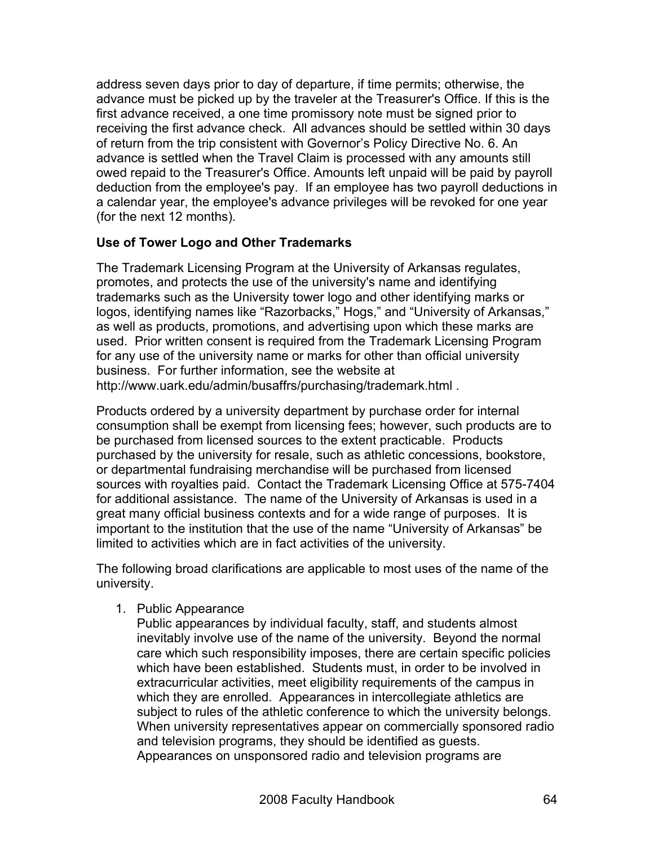address seven days prior to day of departure, if time permits; otherwise, the advance must be picked up by the traveler at the Treasurer's Office. If this is the first advance received, a one time promissory note must be signed prior to receiving the first advance check. All advances should be settled within 30 days of return from the trip consistent with Governor's Policy Directive No. 6. An advance is settled when the Travel Claim is processed with any amounts still owed repaid to the Treasurer's Office. Amounts left unpaid will be paid by payroll deduction from the employee's pay. If an employee has two payroll deductions in a calendar year, the employee's advance privileges will be revoked for one year (for the next 12 months).

## **Use of Tower Logo and Other Trademarks**

The Trademark Licensing Program at the University of Arkansas regulates, promotes, and protects the use of the university's name and identifying trademarks such as the University tower logo and other identifying marks or logos, identifying names like "Razorbacks," Hogs," and "University of Arkansas," as well as products, promotions, and advertising upon which these marks are used. Prior written consent is required from the Trademark Licensing Program for any use of the university name or marks for other than official university business. For further information, see the website at http://www.uark.edu/admin/busaffrs/purchasing/trademark.html .

Products ordered by a university department by purchase order for internal consumption shall be exempt from licensing fees; however, such products are to be purchased from licensed sources to the extent practicable. Products purchased by the university for resale, such as athletic concessions, bookstore, or departmental fundraising merchandise will be purchased from licensed sources with royalties paid. Contact the Trademark Licensing Office at 575-7404 for additional assistance. The name of the University of Arkansas is used in a great many official business contexts and for a wide range of purposes. It is important to the institution that the use of the name "University of Arkansas" be limited to activities which are in fact activities of the university.

The following broad clarifications are applicable to most uses of the name of the university.

1. Public Appearance

Public appearances by individual faculty, staff, and students almost inevitably involve use of the name of the university. Beyond the normal care which such responsibility imposes, there are certain specific policies which have been established. Students must, in order to be involved in extracurricular activities, meet eligibility requirements of the campus in which they are enrolled. Appearances in intercollegiate athletics are subject to rules of the athletic conference to which the university belongs. When university representatives appear on commercially sponsored radio and television programs, they should be identified as guests. Appearances on unsponsored radio and television programs are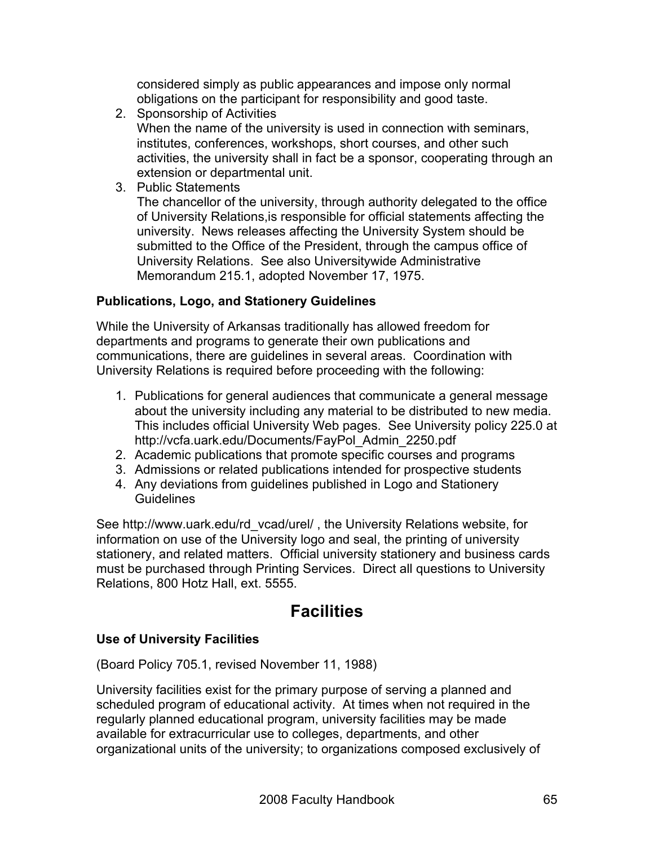considered simply as public appearances and impose only normal obligations on the participant for responsibility and good taste.

- 2. Sponsorship of Activities When the name of the university is used in connection with seminars, institutes, conferences, workshops, short courses, and other such activities, the university shall in fact be a sponsor, cooperating through an extension or departmental unit.
- 3. Public Statements

The chancellor of the university, through authority delegated to the office of University Relations,is responsible for official statements affecting the university. News releases affecting the University System should be submitted to the Office of the President, through the campus office of University Relations. See also Universitywide Administrative Memorandum 215.1, adopted November 17, 1975.

### **Publications, Logo, and Stationery Guidelines**

While the University of Arkansas traditionally has allowed freedom for departments and programs to generate their own publications and communications, there are guidelines in several areas. Coordination with University Relations is required before proceeding with the following:

- 1. Publications for general audiences that communicate a general message about the university including any material to be distributed to new media. This includes official University Web pages. See University policy 225.0 at http://vcfa.uark.edu/Documents/FayPol\_Admin\_2250.pdf
- 2. Academic publications that promote specific courses and programs
- 3. Admissions or related publications intended for prospective students
- 4. Any deviations from guidelines published in Logo and Stationery Guidelines

See http://www.uark.edu/rd\_vcad/urel/, the University Relations website, for information on use of the University logo and seal, the printing of university stationery, and related matters. Official university stationery and business cards must be purchased through Printing Services. Direct all questions to University Relations, 800 Hotz Hall, ext. 5555.

# **Facilities**

## **Use of University Facilities**

(Board Policy 705.1, revised November 11, 1988)

University facilities exist for the primary purpose of serving a planned and scheduled program of educational activity. At times when not required in the regularly planned educational program, university facilities may be made available for extracurricular use to colleges, departments, and other organizational units of the university; to organizations composed exclusively of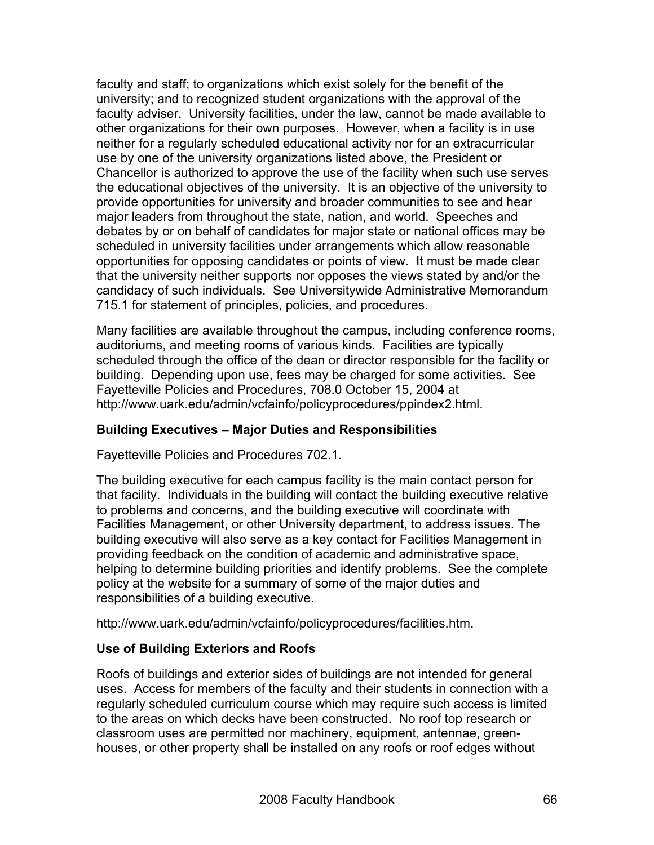faculty and staff; to organizations which exist solely for the benefit of the university; and to recognized student organizations with the approval of the faculty adviser. University facilities, under the law, cannot be made available to other organizations for their own purposes. However, when a facility is in use neither for a regularly scheduled educational activity nor for an extracurricular use by one of the university organizations listed above, the President or Chancellor is authorized to approve the use of the facility when such use serves the educational objectives of the university. It is an objective of the university to provide opportunities for university and broader communities to see and hear major leaders from throughout the state, nation, and world. Speeches and debates by or on behalf of candidates for major state or national offices may be scheduled in university facilities under arrangements which allow reasonable opportunities for opposing candidates or points of view. It must be made clear that the university neither supports nor opposes the views stated by and/or the candidacy of such individuals. See Universitywide Administrative Memorandum 715.1 for statement of principles, policies, and procedures.

Many facilities are available throughout the campus, including conference rooms, auditoriums, and meeting rooms of various kinds. Facilities are typically scheduled through the office of the dean or director responsible for the facility or building. Depending upon use, fees may be charged for some activities. See Fayetteville Policies and Procedures, 708.0 October 15, 2004 at http://www.uark.edu/admin/vcfainfo/policyprocedures/ppindex2.html.

#### **Building Executives – Major Duties and Responsibilities**

Fayetteville Policies and Procedures 702.1.

The building executive for each campus facility is the main contact person for that facility. Individuals in the building will contact the building executive relative to problems and concerns, and the building executive will coordinate with Facilities Management, or other University department, to address issues. The building executive will also serve as a key contact for Facilities Management in providing feedback on the condition of academic and administrative space, helping to determine building priorities and identify problems. See the complete policy at the website for a summary of some of the major duties and responsibilities of a building executive.

http://www.uark.edu/admin/vcfainfo/policyprocedures/facilities.htm.

#### **Use of Building Exteriors and Roofs**

Roofs of buildings and exterior sides of buildings are not intended for general uses. Access for members of the faculty and their students in connection with a regularly scheduled curriculum course which may require such access is limited to the areas on which decks have been constructed. No roof top research or classroom uses are permitted nor machinery, equipment, antennae, greenhouses, or other property shall be installed on any roofs or roof edges without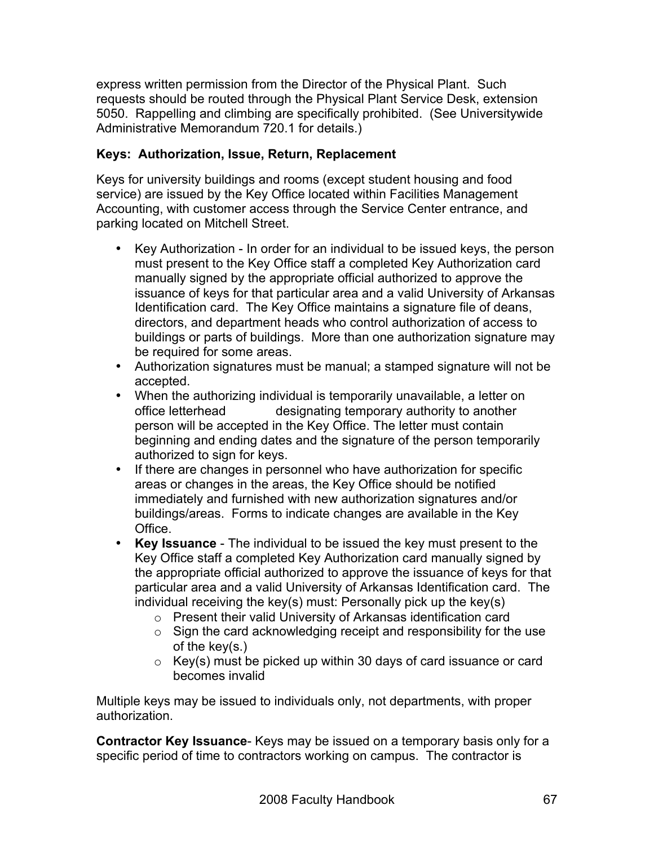express written permission from the Director of the Physical Plant. Such requests should be routed through the Physical Plant Service Desk, extension 5050. Rappelling and climbing are specifically prohibited. (See Universitywide Administrative Memorandum 720.1 for details.)

## **Keys: Authorization, Issue, Return, Replacement**

Keys for university buildings and rooms (except student housing and food service) are issued by the Key Office located within Facilities Management Accounting, with customer access through the Service Center entrance, and parking located on Mitchell Street.

- Key Authorization In order for an individual to be issued keys, the person must present to the Key Office staff a completed Key Authorization card manually signed by the appropriate official authorized to approve the issuance of keys for that particular area and a valid University of Arkansas Identification card. The Key Office maintains a signature file of deans, directors, and department heads who control authorization of access to buildings or parts of buildings. More than one authorization signature may be required for some areas.
- Authorization signatures must be manual; a stamped signature will not be accepted.
- When the authorizing individual is temporarily unavailable, a letter on office letterhead designating temporary authority to another designating temporary authority to another person will be accepted in the Key Office. The letter must contain beginning and ending dates and the signature of the person temporarily authorized to sign for keys.
- If there are changes in personnel who have authorization for specific areas or changes in the areas, the Key Office should be notified immediately and furnished with new authorization signatures and/or buildings/areas. Forms to indicate changes are available in the Key Office.
- **Key Issuance**  The individual to be issued the key must present to the Key Office staff a completed Key Authorization card manually signed by the appropriate official authorized to approve the issuance of keys for that particular area and a valid University of Arkansas Identification card. The individual receiving the key(s) must: Personally pick up the key(s)
	- o Present their valid University of Arkansas identification card
	- $\circ$  Sign the card acknowledging receipt and responsibility for the use of the key(s.)
	- $\circ$  Key(s) must be picked up within 30 days of card issuance or card becomes invalid

Multiple keys may be issued to individuals only, not departments, with proper authorization.

**Contractor Key Issuance**- Keys may be issued on a temporary basis only for a specific period of time to contractors working on campus. The contractor is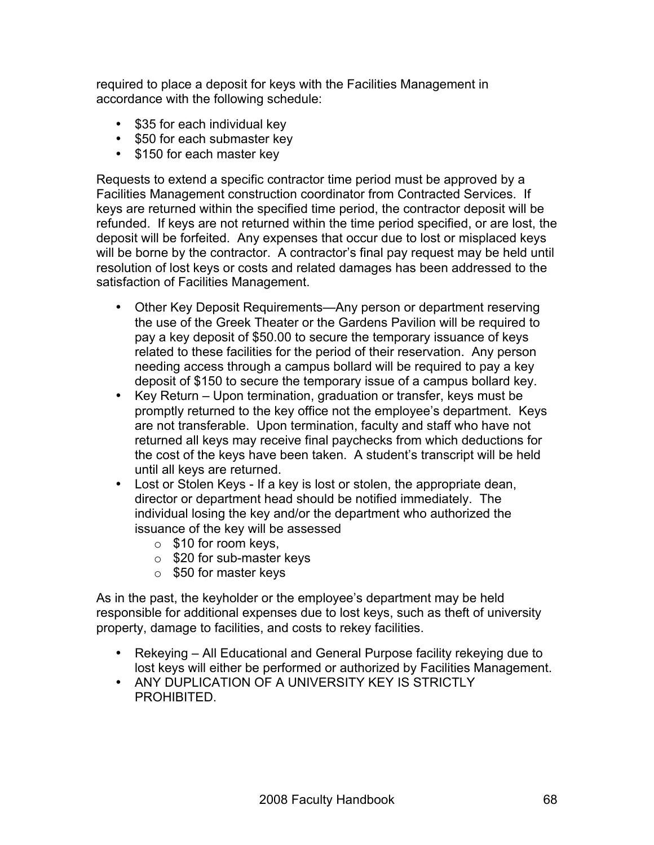required to place a deposit for keys with the Facilities Management in accordance with the following schedule:

- \$35 for each individual key
- \$50 for each submaster key
- \$150 for each master key

Requests to extend a specific contractor time period must be approved by a Facilities Management construction coordinator from Contracted Services. If keys are returned within the specified time period, the contractor deposit will be refunded. If keys are not returned within the time period specified, or are lost, the deposit will be forfeited. Any expenses that occur due to lost or misplaced keys will be borne by the contractor. A contractor's final pay request may be held until resolution of lost keys or costs and related damages has been addressed to the satisfaction of Facilities Management.

- Other Key Deposit Requirements—Any person or department reserving the use of the Greek Theater or the Gardens Pavilion will be required to pay a key deposit of \$50.00 to secure the temporary issuance of keys related to these facilities for the period of their reservation. Any person needing access through a campus bollard will be required to pay a key deposit of \$150 to secure the temporary issue of a campus bollard key.
- Key Return Upon termination, graduation or transfer, keys must be promptly returned to the key office not the employee's department. Keys are not transferable. Upon termination, faculty and staff who have not returned all keys may receive final paychecks from which deductions for the cost of the keys have been taken. A student's transcript will be held until all keys are returned.
- Lost or Stolen Keys If a key is lost or stolen, the appropriate dean, director or department head should be notified immediately. The individual losing the key and/or the department who authorized the issuance of the key will be assessed
	- o \$10 for room keys,
	- o \$20 for sub-master keys
	- o \$50 for master keys

As in the past, the keyholder or the employee's department may be held responsible for additional expenses due to lost keys, such as theft of university property, damage to facilities, and costs to rekey facilities.

- Rekeying All Educational and General Purpose facility rekeying due to lost keys will either be performed or authorized by Facilities Management.
- ANY DUPLICATION OF A UNIVERSITY KEY IS STRICTLY PROHIBITED.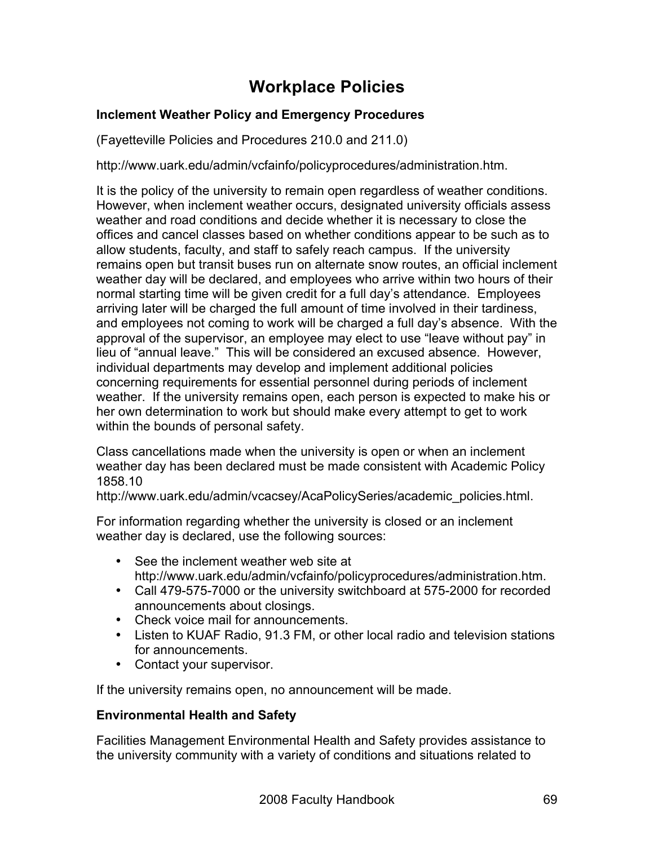# **Workplace Policies**

## **Inclement Weather Policy and Emergency Procedures**

(Fayetteville Policies and Procedures 210.0 and 211.0)

http://www.uark.edu/admin/vcfainfo/policyprocedures/administration.htm.

It is the policy of the university to remain open regardless of weather conditions. However, when inclement weather occurs, designated university officials assess weather and road conditions and decide whether it is necessary to close the offices and cancel classes based on whether conditions appear to be such as to allow students, faculty, and staff to safely reach campus. If the university remains open but transit buses run on alternate snow routes, an official inclement weather day will be declared, and employees who arrive within two hours of their normal starting time will be given credit for a full day's attendance. Employees arriving later will be charged the full amount of time involved in their tardiness, and employees not coming to work will be charged a full day's absence. With the approval of the supervisor, an employee may elect to use "leave without pay" in lieu of "annual leave." This will be considered an excused absence. However, individual departments may develop and implement additional policies concerning requirements for essential personnel during periods of inclement weather. If the university remains open, each person is expected to make his or her own determination to work but should make every attempt to get to work within the bounds of personal safety.

Class cancellations made when the university is open or when an inclement weather day has been declared must be made consistent with Academic Policy 1858.10

http://www.uark.edu/admin/vcacsey/AcaPolicySeries/academic\_policies.html.

For information regarding whether the university is closed or an inclement weather day is declared, use the following sources:

- See the inclement weather web site at http://www.uark.edu/admin/vcfainfo/policyprocedures/administration.htm.
- Call 479-575-7000 or the university switchboard at 575-2000 for recorded announcements about closings.
- Check voice mail for announcements.
- Listen to KUAF Radio, 91.3 FM, or other local radio and television stations for announcements.
- Contact your supervisor.

If the university remains open, no announcement will be made.

## **Environmental Health and Safety**

Facilities Management Environmental Health and Safety provides assistance to the university community with a variety of conditions and situations related to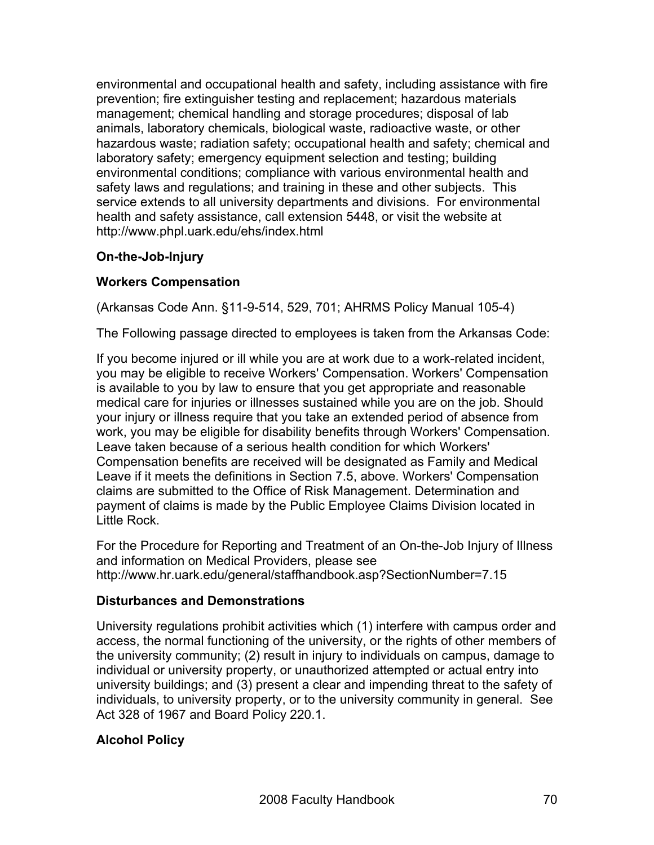environmental and occupational health and safety, including assistance with fire prevention; fire extinguisher testing and replacement; hazardous materials management; chemical handling and storage procedures; disposal of lab animals, laboratory chemicals, biological waste, radioactive waste, or other hazardous waste; radiation safety; occupational health and safety; chemical and laboratory safety; emergency equipment selection and testing; building environmental conditions; compliance with various environmental health and safety laws and regulations; and training in these and other subjects. This service extends to all university departments and divisions. For environmental health and safety assistance, call extension 5448, or visit the website at http://www.phpl.uark.edu/ehs/index.html

## **On-the-Job-Injury**

## **Workers Compensation**

(Arkansas Code Ann. §11-9-514, 529, 701; AHRMS Policy Manual 105-4)

The Following passage directed to employees is taken from the Arkansas Code:

If you become injured or ill while you are at work due to a work-related incident, you may be eligible to receive Workers' Compensation. Workers' Compensation is available to you by law to ensure that you get appropriate and reasonable medical care for injuries or illnesses sustained while you are on the job. Should your injury or illness require that you take an extended period of absence from work, you may be eligible for disability benefits through Workers' Compensation. Leave taken because of a serious health condition for which Workers' Compensation benefits are received will be designated as Family and Medical Leave if it meets the definitions in Section 7.5, above. Workers' Compensation claims are submitted to the Office of Risk Management. Determination and payment of claims is made by the Public Employee Claims Division located in Little Rock.

For the Procedure for Reporting and Treatment of an On-the-Job Injury of Illness and information on Medical Providers, please see http://www.hr.uark.edu/general/staffhandbook.asp?SectionNumber=7.15

## **Disturbances and Demonstrations**

University regulations prohibit activities which (1) interfere with campus order and access, the normal functioning of the university, or the rights of other members of the university community; (2) result in injury to individuals on campus, damage to individual or university property, or unauthorized attempted or actual entry into university buildings; and (3) present a clear and impending threat to the safety of individuals, to university property, or to the university community in general. See Act 328 of 1967 and Board Policy 220.1.

# **Alcohol Policy**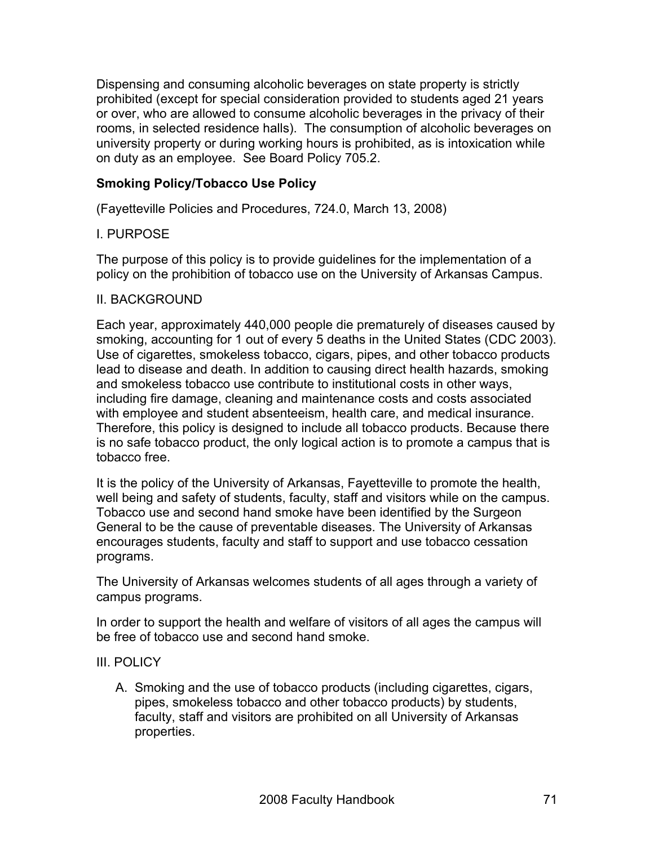Dispensing and consuming alcoholic beverages on state property is strictly prohibited (except for special consideration provided to students aged 21 years or over, who are allowed to consume alcoholic beverages in the privacy of their rooms, in selected residence halls). The consumption of alcoholic beverages on university property or during working hours is prohibited, as is intoxication while on duty as an employee. See Board Policy 705.2.

### **Smoking Policy/Tobacco Use Policy**

(Fayetteville Policies and Procedures, 724.0, March 13, 2008)

### I. PURPOSE

The purpose of this policy is to provide guidelines for the implementation of a policy on the prohibition of tobacco use on the University of Arkansas Campus.

#### II. BACKGROUND

Each year, approximately 440,000 people die prematurely of diseases caused by smoking, accounting for 1 out of every 5 deaths in the United States (CDC 2003). Use of cigarettes, smokeless tobacco, cigars, pipes, and other tobacco products lead to disease and death. In addition to causing direct health hazards, smoking and smokeless tobacco use contribute to institutional costs in other ways, including fire damage, cleaning and maintenance costs and costs associated with employee and student absenteeism, health care, and medical insurance. Therefore, this policy is designed to include all tobacco products. Because there is no safe tobacco product, the only logical action is to promote a campus that is tobacco free.

It is the policy of the University of Arkansas, Fayetteville to promote the health, well being and safety of students, faculty, staff and visitors while on the campus. Tobacco use and second hand smoke have been identified by the Surgeon General to be the cause of preventable diseases. The University of Arkansas encourages students, faculty and staff to support and use tobacco cessation programs.

The University of Arkansas welcomes students of all ages through a variety of campus programs.

In order to support the health and welfare of visitors of all ages the campus will be free of tobacco use and second hand smoke.

#### III. POLICY

A. Smoking and the use of tobacco products (including cigarettes, cigars, pipes, smokeless tobacco and other tobacco products) by students, faculty, staff and visitors are prohibited on all University of Arkansas properties.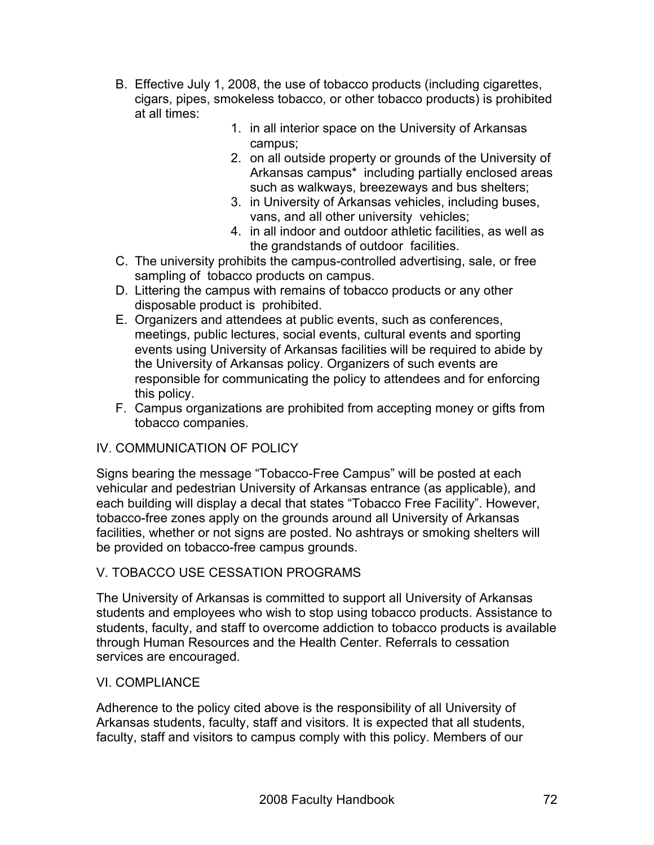- B. Effective July 1, 2008, the use of tobacco products (including cigarettes, cigars, pipes, smokeless tobacco, or other tobacco products) is prohibited at all times:
	- 1. in all interior space on the University of Arkansas campus;
	- 2. on all outside property or grounds of the University of Arkansas campus\* including partially enclosed areas such as walkways, breezeways and bus shelters;
	- 3. in University of Arkansas vehicles, including buses, vans, and all other university vehicles;
	- 4. in all indoor and outdoor athletic facilities, as well as the grandstands of outdoor facilities.
- C. The university prohibits the campus-controlled advertising, sale, or free sampling of tobacco products on campus.
- D. Littering the campus with remains of tobacco products or any other disposable product is prohibited.
- E. Organizers and attendees at public events, such as conferences, meetings, public lectures, social events, cultural events and sporting events using University of Arkansas facilities will be required to abide by the University of Arkansas policy. Organizers of such events are responsible for communicating the policy to attendees and for enforcing this policy.
- F. Campus organizations are prohibited from accepting money or gifts from tobacco companies.

# IV. COMMUNICATION OF POLICY

Signs bearing the message "Tobacco-Free Campus" will be posted at each vehicular and pedestrian University of Arkansas entrance (as applicable), and each building will display a decal that states "Tobacco Free Facility". However, tobacco-free zones apply on the grounds around all University of Arkansas facilities, whether or not signs are posted. No ashtrays or smoking shelters will be provided on tobacco-free campus grounds.

## V. TOBACCO USE CESSATION PROGRAMS

The University of Arkansas is committed to support all University of Arkansas students and employees who wish to stop using tobacco products. Assistance to students, faculty, and staff to overcome addiction to tobacco products is available through Human Resources and the Health Center. Referrals to cessation services are encouraged.

## VI. COMPLIANCE

Adherence to the policy cited above is the responsibility of all University of Arkansas students, faculty, staff and visitors. It is expected that all students, faculty, staff and visitors to campus comply with this policy. Members of our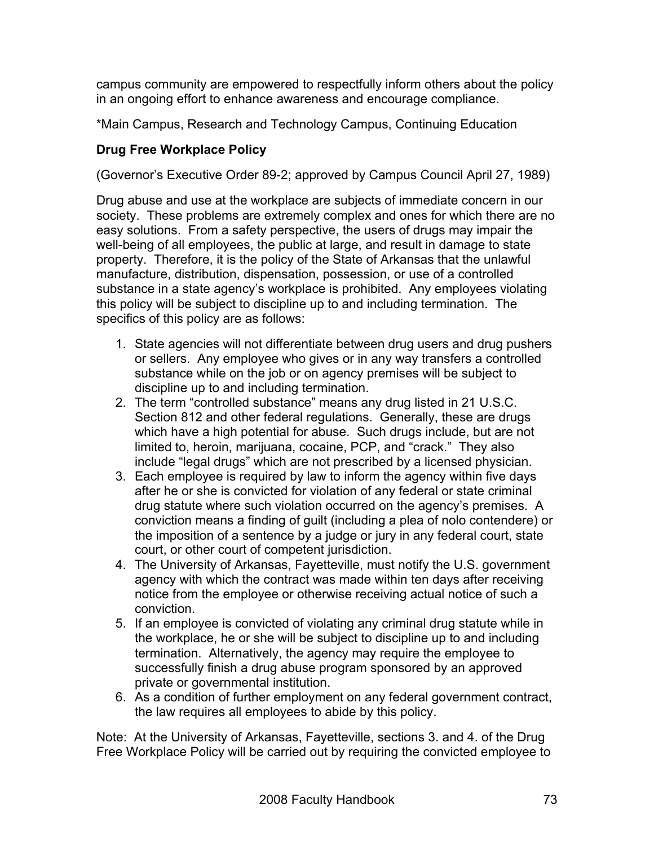campus community are empowered to respectfully inform others about the policy in an ongoing effort to enhance awareness and encourage compliance.

\*Main Campus, Research and Technology Campus, Continuing Education

## **Drug Free Workplace Policy**

(Governor's Executive Order 89-2; approved by Campus Council April 27, 1989)

Drug abuse and use at the workplace are subjects of immediate concern in our society. These problems are extremely complex and ones for which there are no easy solutions. From a safety perspective, the users of drugs may impair the well-being of all employees, the public at large, and result in damage to state property. Therefore, it is the policy of the State of Arkansas that the unlawful manufacture, distribution, dispensation, possession, or use of a controlled substance in a state agency's workplace is prohibited. Any employees violating this policy will be subject to discipline up to and including termination. The specifics of this policy are as follows:

- 1. State agencies will not differentiate between drug users and drug pushers or sellers. Any employee who gives or in any way transfers a controlled substance while on the job or on agency premises will be subject to discipline up to and including termination.
- 2. The term "controlled substance" means any drug listed in 21 U.S.C. Section 812 and other federal regulations. Generally, these are drugs which have a high potential for abuse. Such drugs include, but are not limited to, heroin, marijuana, cocaine, PCP, and "crack." They also include "legal drugs" which are not prescribed by a licensed physician.
- 3. Each employee is required by law to inform the agency within five days after he or she is convicted for violation of any federal or state criminal drug statute where such violation occurred on the agency's premises. A conviction means a finding of guilt (including a plea of nolo contendere) or the imposition of a sentence by a judge or jury in any federal court, state court, or other court of competent jurisdiction.
- 4. The University of Arkansas, Fayetteville, must notify the U.S. government agency with which the contract was made within ten days after receiving notice from the employee or otherwise receiving actual notice of such a conviction.
- 5. If an employee is convicted of violating any criminal drug statute while in the workplace, he or she will be subject to discipline up to and including termination. Alternatively, the agency may require the employee to successfully finish a drug abuse program sponsored by an approved private or governmental institution.
- 6. As a condition of further employment on any federal government contract, the law requires all employees to abide by this policy.

Note: At the University of Arkansas, Fayetteville, sections 3. and 4. of the Drug Free Workplace Policy will be carried out by requiring the convicted employee to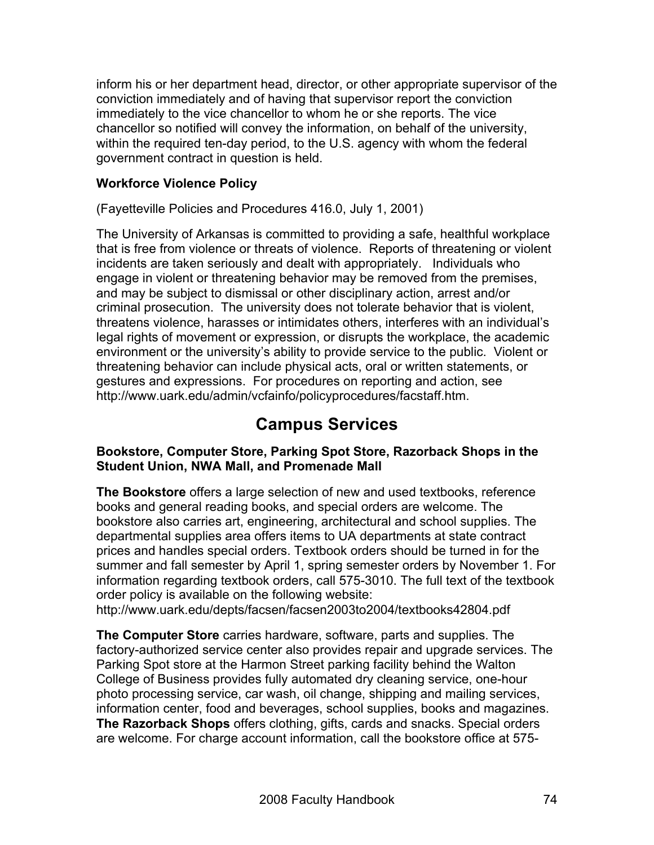inform his or her department head, director, or other appropriate supervisor of the conviction immediately and of having that supervisor report the conviction immediately to the vice chancellor to whom he or she reports. The vice chancellor so notified will convey the information, on behalf of the university, within the required ten-day period, to the U.S. agency with whom the federal government contract in question is held.

#### **Workforce Violence Policy**

(Fayetteville Policies and Procedures 416.0, July 1, 2001)

The University of Arkansas is committed to providing a safe, healthful workplace that is free from violence or threats of violence. Reports of threatening or violent incidents are taken seriously and dealt with appropriately. Individuals who engage in violent or threatening behavior may be removed from the premises, and may be subject to dismissal or other disciplinary action, arrest and/or criminal prosecution. The university does not tolerate behavior that is violent, threatens violence, harasses or intimidates others, interferes with an individual's legal rights of movement or expression, or disrupts the workplace, the academic environment or the university's ability to provide service to the public. Violent or threatening behavior can include physical acts, oral or written statements, or gestures and expressions. For procedures on reporting and action, see http://www.uark.edu/admin/vcfainfo/policyprocedures/facstaff.htm.

# **Campus Services**

#### **Bookstore, Computer Store, Parking Spot Store, Razorback Shops in the Student Union, NWA Mall, and Promenade Mall**

**The Bookstore** offers a large selection of new and used textbooks, reference books and general reading books, and special orders are welcome. The bookstore also carries art, engineering, architectural and school supplies. The departmental supplies area offers items to UA departments at state contract prices and handles special orders. Textbook orders should be turned in for the summer and fall semester by April 1, spring semester orders by November 1. For information regarding textbook orders, call 575-3010. The full text of the textbook order policy is available on the following website:

http://www.uark.edu/depts/facsen/facsen2003to2004/textbooks42804.pdf

**The Computer Store** carries hardware, software, parts and supplies. The factory-authorized service center also provides repair and upgrade services. The Parking Spot store at the Harmon Street parking facility behind the Walton College of Business provides fully automated dry cleaning service, one-hour photo processing service, car wash, oil change, shipping and mailing services, information center, food and beverages, school supplies, books and magazines. **The Razorback Shops** offers clothing, gifts, cards and snacks. Special orders are welcome. For charge account information, call the bookstore office at 575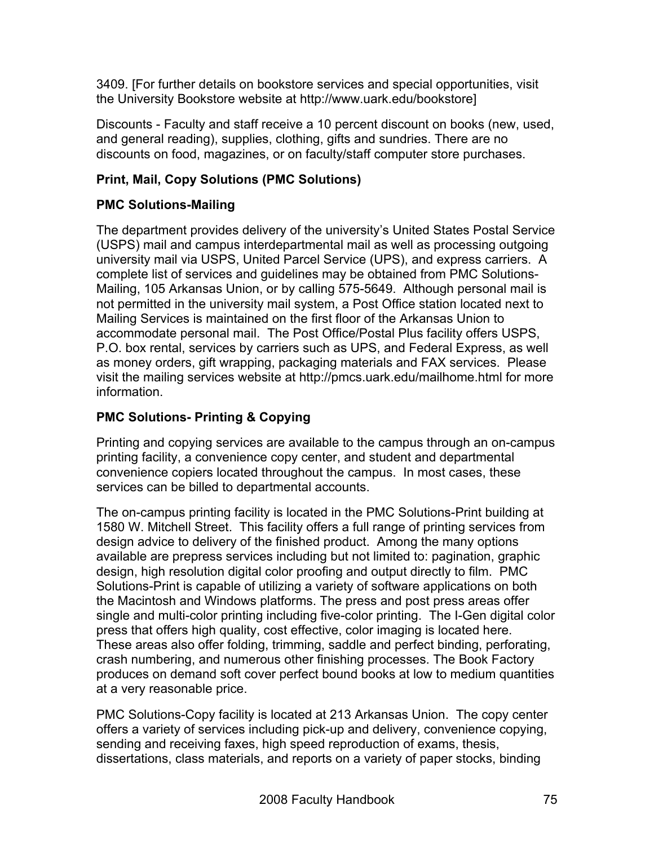3409. [For further details on bookstore services and special opportunities, visit the University Bookstore website at http://www.uark.edu/bookstore]

Discounts - Faculty and staff receive a 10 percent discount on books (new, used, and general reading), supplies, clothing, gifts and sundries. There are no discounts on food, magazines, or on faculty/staff computer store purchases.

## **Print, Mail, Copy Solutions (PMC Solutions)**

## **PMC Solutions-Mailing**

The department provides delivery of the university's United States Postal Service (USPS) mail and campus interdepartmental mail as well as processing outgoing university mail via USPS, United Parcel Service (UPS), and express carriers. A complete list of services and guidelines may be obtained from PMC Solutions-Mailing, 105 Arkansas Union, or by calling 575-5649. Although personal mail is not permitted in the university mail system, a Post Office station located next to Mailing Services is maintained on the first floor of the Arkansas Union to accommodate personal mail. The Post Office/Postal Plus facility offers USPS, P.O. box rental, services by carriers such as UPS, and Federal Express, as well as money orders, gift wrapping, packaging materials and FAX services. Please visit the mailing services website at http://pmcs.uark.edu/mailhome.html for more information.

## **PMC Solutions- Printing & Copying**

Printing and copying services are available to the campus through an on-campus printing facility, a convenience copy center, and student and departmental convenience copiers located throughout the campus. In most cases, these services can be billed to departmental accounts.

The on-campus printing facility is located in the PMC Solutions-Print building at 1580 W. Mitchell Street. This facility offers a full range of printing services from design advice to delivery of the finished product. Among the many options available are prepress services including but not limited to: pagination, graphic design, high resolution digital color proofing and output directly to film. PMC Solutions-Print is capable of utilizing a variety of software applications on both the Macintosh and Windows platforms. The press and post press areas offer single and multi-color printing including five-color printing. The I-Gen digital color press that offers high quality, cost effective, color imaging is located here. These areas also offer folding, trimming, saddle and perfect binding, perforating, crash numbering, and numerous other finishing processes. The Book Factory produces on demand soft cover perfect bound books at low to medium quantities at a very reasonable price.

PMC Solutions-Copy facility is located at 213 Arkansas Union. The copy center offers a variety of services including pick-up and delivery, convenience copying, sending and receiving faxes, high speed reproduction of exams, thesis, dissertations, class materials, and reports on a variety of paper stocks, binding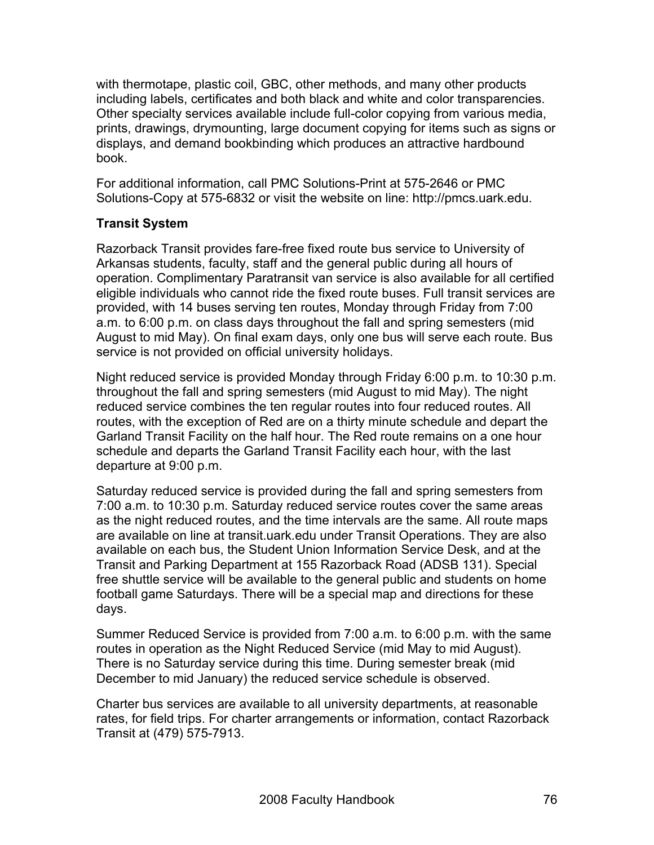with thermotape, plastic coil, GBC, other methods, and many other products including labels, certificates and both black and white and color transparencies. Other specialty services available include full-color copying from various media, prints, drawings, drymounting, large document copying for items such as signs or displays, and demand bookbinding which produces an attractive hardbound book.

For additional information, call PMC Solutions-Print at 575-2646 or PMC Solutions-Copy at 575-6832 or visit the website on line: http://pmcs.uark.edu.

## **Transit System**

Razorback Transit provides fare-free fixed route bus service to University of Arkansas students, faculty, staff and the general public during all hours of operation. Complimentary Paratransit van service is also available for all certified eligible individuals who cannot ride the fixed route buses. Full transit services are provided, with 14 buses serving ten routes, Monday through Friday from 7:00 a.m. to 6:00 p.m. on class days throughout the fall and spring semesters (mid August to mid May). On final exam days, only one bus will serve each route. Bus service is not provided on official university holidays.

Night reduced service is provided Monday through Friday 6:00 p.m. to 10:30 p.m. throughout the fall and spring semesters (mid August to mid May). The night reduced service combines the ten regular routes into four reduced routes. All routes, with the exception of Red are on a thirty minute schedule and depart the Garland Transit Facility on the half hour. The Red route remains on a one hour schedule and departs the Garland Transit Facility each hour, with the last departure at 9:00 p.m.

Saturday reduced service is provided during the fall and spring semesters from 7:00 a.m. to 10:30 p.m. Saturday reduced service routes cover the same areas as the night reduced routes, and the time intervals are the same. All route maps are available on line at transit.uark.edu under Transit Operations. They are also available on each bus, the Student Union Information Service Desk, and at the Transit and Parking Department at 155 Razorback Road (ADSB 131). Special free shuttle service will be available to the general public and students on home football game Saturdays. There will be a special map and directions for these days.

Summer Reduced Service is provided from 7:00 a.m. to 6:00 p.m. with the same routes in operation as the Night Reduced Service (mid May to mid August). There is no Saturday service during this time. During semester break (mid December to mid January) the reduced service schedule is observed.

Charter bus services are available to all university departments, at reasonable rates, for field trips. For charter arrangements or information, contact Razorback Transit at (479) 575-7913.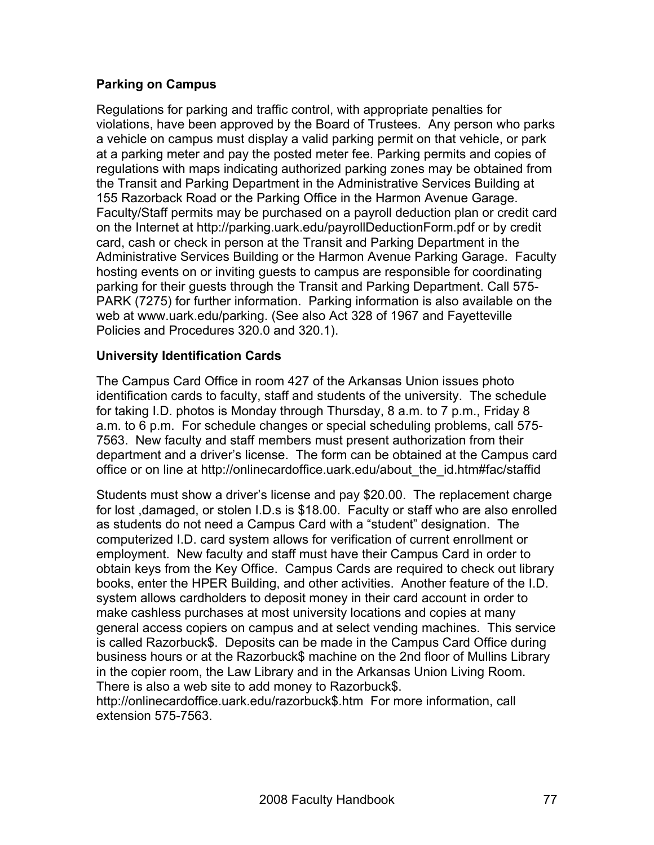### **Parking on Campus**

Regulations for parking and traffic control, with appropriate penalties for violations, have been approved by the Board of Trustees. Any person who parks a vehicle on campus must display a valid parking permit on that vehicle, or park at a parking meter and pay the posted meter fee. Parking permits and copies of regulations with maps indicating authorized parking zones may be obtained from the Transit and Parking Department in the Administrative Services Building at 155 Razorback Road or the Parking Office in the Harmon Avenue Garage. Faculty/Staff permits may be purchased on a payroll deduction plan or credit card on the Internet at http://parking.uark.edu/payrollDeductionForm.pdf or by credit card, cash or check in person at the Transit and Parking Department in the Administrative Services Building or the Harmon Avenue Parking Garage. Faculty hosting events on or inviting guests to campus are responsible for coordinating parking for their guests through the Transit and Parking Department. Call 575- PARK (7275) for further information. Parking information is also available on the web at www.uark.edu/parking. (See also Act 328 of 1967 and Fayetteville Policies and Procedures 320.0 and 320.1).

### **University Identification Cards**

The Campus Card Office in room 427 of the Arkansas Union issues photo identification cards to faculty, staff and students of the university. The schedule for taking I.D. photos is Monday through Thursday, 8 a.m. to 7 p.m., Friday 8 a.m. to 6 p.m. For schedule changes or special scheduling problems, call 575- 7563. New faculty and staff members must present authorization from their department and a driver's license. The form can be obtained at the Campus card office or on line at http://onlinecardoffice.uark.edu/about\_the\_id.htm#fac/staffid

Students must show a driver's license and pay \$20.00. The replacement charge for lost ,damaged, or stolen I.D.s is \$18.00. Faculty or staff who are also enrolled as students do not need a Campus Card with a "student" designation. The computerized I.D. card system allows for verification of current enrollment or employment. New faculty and staff must have their Campus Card in order to obtain keys from the Key Office. Campus Cards are required to check out library books, enter the HPER Building, and other activities. Another feature of the I.D. system allows cardholders to deposit money in their card account in order to make cashless purchases at most university locations and copies at many general access copiers on campus and at select vending machines. This service is called Razorbuck\$. Deposits can be made in the Campus Card Office during business hours or at the Razorbuck\$ machine on the 2nd floor of Mullins Library in the copier room, the Law Library and in the Arkansas Union Living Room. There is also a web site to add money to Razorbuck\$.

http://onlinecardoffice.uark.edu/razorbuck\$.htm For more information, call extension 575-7563.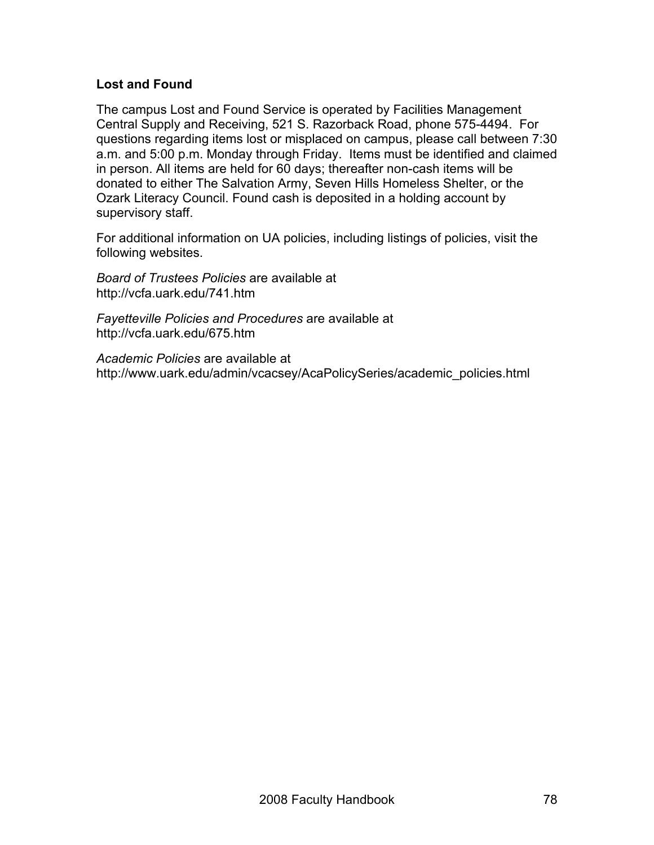#### **Lost and Found**

The campus Lost and Found Service is operated by Facilities Management Central Supply and Receiving, 521 S. Razorback Road, phone 575-4494. For questions regarding items lost or misplaced on campus, please call between 7:30 a.m. and 5:00 p.m. Monday through Friday. Items must be identified and claimed in person. All items are held for 60 days; thereafter non-cash items will be donated to either The Salvation Army, Seven Hills Homeless Shelter, or the Ozark Literacy Council. Found cash is deposited in a holding account by supervisory staff.

For additional information on UA policies, including listings of policies, visit the following websites.

*Board of Trustees Policies* are available at http://vcfa.uark.edu/741.htm

*Fayetteville Policies and Procedures* are available at http://vcfa.uark.edu/675.htm

*Academic Policies* are available at http://www.uark.edu/admin/vcacsey/AcaPolicySeries/academic\_policies.html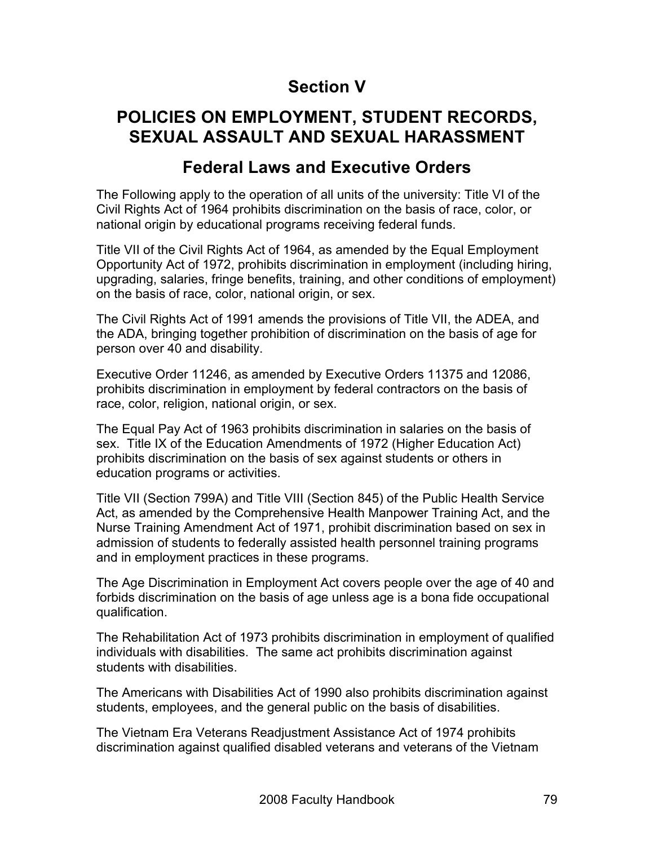# **Section V**

# **POLICIES ON EMPLOYMENT, STUDENT RECORDS, SEXUAL ASSAULT AND SEXUAL HARASSMENT**

## **Federal Laws and Executive Orders**

The Following apply to the operation of all units of the university: Title VI of the Civil Rights Act of 1964 prohibits discrimination on the basis of race, color, or national origin by educational programs receiving federal funds.

Title VII of the Civil Rights Act of 1964, as amended by the Equal Employment Opportunity Act of 1972, prohibits discrimination in employment (including hiring, upgrading, salaries, fringe benefits, training, and other conditions of employment) on the basis of race, color, national origin, or sex.

The Civil Rights Act of 1991 amends the provisions of Title VII, the ADEA, and the ADA, bringing together prohibition of discrimination on the basis of age for person over 40 and disability.

Executive Order 11246, as amended by Executive Orders 11375 and 12086, prohibits discrimination in employment by federal contractors on the basis of race, color, religion, national origin, or sex.

The Equal Pay Act of 1963 prohibits discrimination in salaries on the basis of sex. Title IX of the Education Amendments of 1972 (Higher Education Act) prohibits discrimination on the basis of sex against students or others in education programs or activities.

Title VII (Section 799A) and Title VIII (Section 845) of the Public Health Service Act, as amended by the Comprehensive Health Manpower Training Act, and the Nurse Training Amendment Act of 1971, prohibit discrimination based on sex in admission of students to federally assisted health personnel training programs and in employment practices in these programs.

The Age Discrimination in Employment Act covers people over the age of 40 and forbids discrimination on the basis of age unless age is a bona fide occupational qualification.

The Rehabilitation Act of 1973 prohibits discrimination in employment of qualified individuals with disabilities. The same act prohibits discrimination against students with disabilities.

The Americans with Disabilities Act of 1990 also prohibits discrimination against students, employees, and the general public on the basis of disabilities.

The Vietnam Era Veterans Readjustment Assistance Act of 1974 prohibits discrimination against qualified disabled veterans and veterans of the Vietnam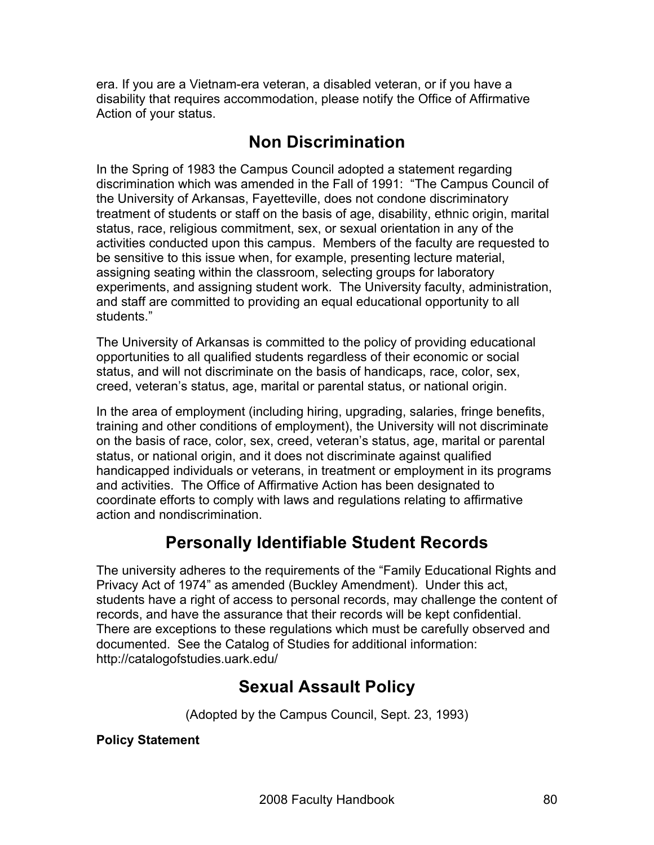era. If you are a Vietnam-era veteran, a disabled veteran, or if you have a disability that requires accommodation, please notify the Office of Affirmative Action of your status.

# **Non Discrimination**

In the Spring of 1983 the Campus Council adopted a statement regarding discrimination which was amended in the Fall of 1991: "The Campus Council of the University of Arkansas, Fayetteville, does not condone discriminatory treatment of students or staff on the basis of age, disability, ethnic origin, marital status, race, religious commitment, sex, or sexual orientation in any of the activities conducted upon this campus. Members of the faculty are requested to be sensitive to this issue when, for example, presenting lecture material, assigning seating within the classroom, selecting groups for laboratory experiments, and assigning student work. The University faculty, administration, and staff are committed to providing an equal educational opportunity to all students."

The University of Arkansas is committed to the policy of providing educational opportunities to all qualified students regardless of their economic or social status, and will not discriminate on the basis of handicaps, race, color, sex, creed, veteran's status, age, marital or parental status, or national origin.

In the area of employment (including hiring, upgrading, salaries, fringe benefits, training and other conditions of employment), the University will not discriminate on the basis of race, color, sex, creed, veteran's status, age, marital or parental status, or national origin, and it does not discriminate against qualified handicapped individuals or veterans, in treatment or employment in its programs and activities. The Office of Affirmative Action has been designated to coordinate efforts to comply with laws and regulations relating to affirmative action and nondiscrimination.

# **Personally Identifiable Student Records**

The university adheres to the requirements of the "Family Educational Rights and Privacy Act of 1974" as amended (Buckley Amendment). Under this act, students have a right of access to personal records, may challenge the content of records, and have the assurance that their records will be kept confidential. There are exceptions to these regulations which must be carefully observed and documented. See the Catalog of Studies for additional information: http://catalogofstudies.uark.edu/

# **Sexual Assault Policy**

(Adopted by the Campus Council, Sept. 23, 1993)

#### **Policy Statement**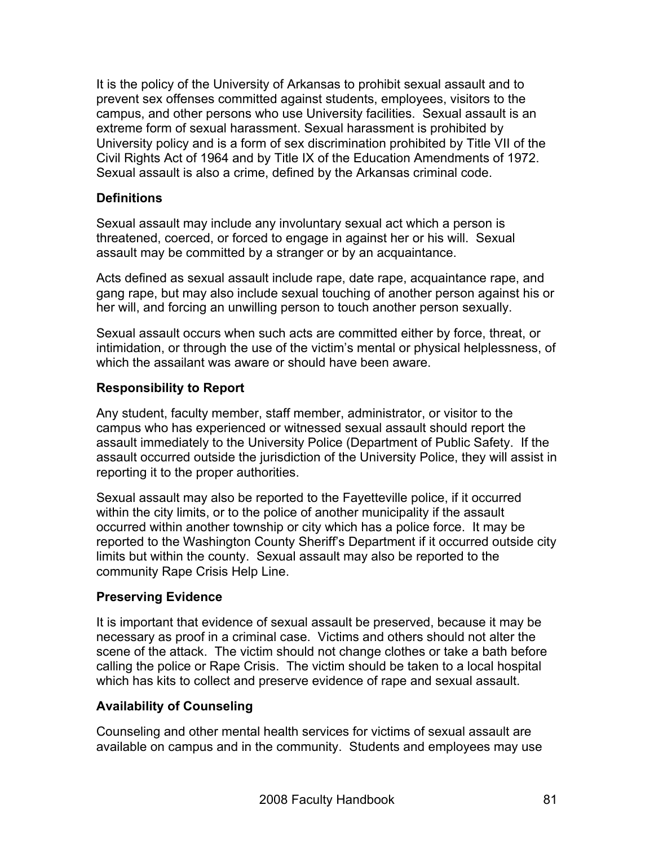It is the policy of the University of Arkansas to prohibit sexual assault and to prevent sex offenses committed against students, employees, visitors to the campus, and other persons who use University facilities. Sexual assault is an extreme form of sexual harassment. Sexual harassment is prohibited by University policy and is a form of sex discrimination prohibited by Title VII of the Civil Rights Act of 1964 and by Title IX of the Education Amendments of 1972. Sexual assault is also a crime, defined by the Arkansas criminal code.

#### **Definitions**

Sexual assault may include any involuntary sexual act which a person is threatened, coerced, or forced to engage in against her or his will. Sexual assault may be committed by a stranger or by an acquaintance.

Acts defined as sexual assault include rape, date rape, acquaintance rape, and gang rape, but may also include sexual touching of another person against his or her will, and forcing an unwilling person to touch another person sexually.

Sexual assault occurs when such acts are committed either by force, threat, or intimidation, or through the use of the victim's mental or physical helplessness, of which the assailant was aware or should have been aware.

#### **Responsibility to Report**

Any student, faculty member, staff member, administrator, or visitor to the campus who has experienced or witnessed sexual assault should report the assault immediately to the University Police (Department of Public Safety. If the assault occurred outside the jurisdiction of the University Police, they will assist in reporting it to the proper authorities.

Sexual assault may also be reported to the Fayetteville police, if it occurred within the city limits, or to the police of another municipality if the assault occurred within another township or city which has a police force. It may be reported to the Washington County Sheriff's Department if it occurred outside city limits but within the county. Sexual assault may also be reported to the community Rape Crisis Help Line.

#### **Preserving Evidence**

It is important that evidence of sexual assault be preserved, because it may be necessary as proof in a criminal case. Victims and others should not alter the scene of the attack. The victim should not change clothes or take a bath before calling the police or Rape Crisis. The victim should be taken to a local hospital which has kits to collect and preserve evidence of rape and sexual assault.

#### **Availability of Counseling**

Counseling and other mental health services for victims of sexual assault are available on campus and in the community. Students and employees may use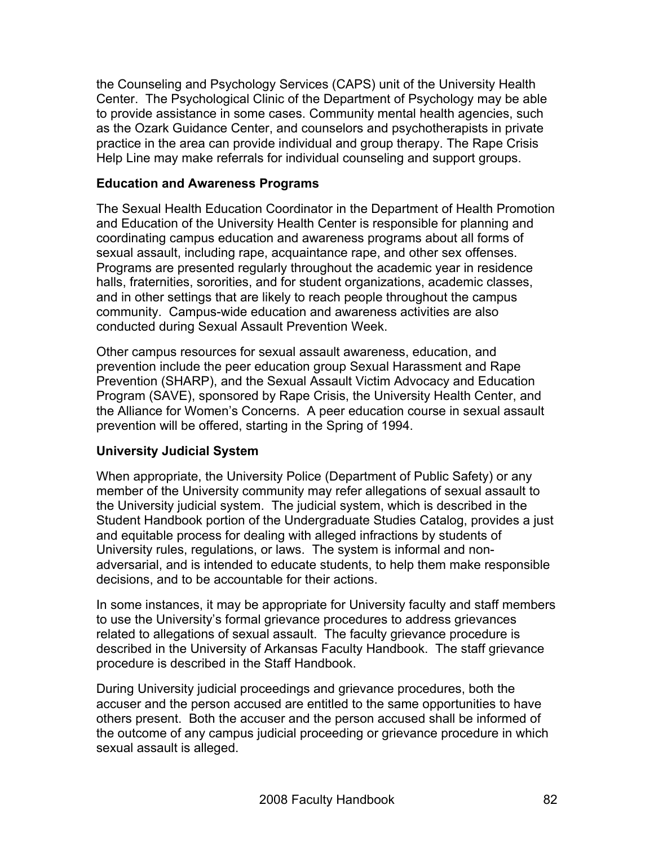the Counseling and Psychology Services (CAPS) unit of the University Health Center. The Psychological Clinic of the Department of Psychology may be able to provide assistance in some cases. Community mental health agencies, such as the Ozark Guidance Center, and counselors and psychotherapists in private practice in the area can provide individual and group therapy. The Rape Crisis Help Line may make referrals for individual counseling and support groups.

#### **Education and Awareness Programs**

The Sexual Health Education Coordinator in the Department of Health Promotion and Education of the University Health Center is responsible for planning and coordinating campus education and awareness programs about all forms of sexual assault, including rape, acquaintance rape, and other sex offenses. Programs are presented regularly throughout the academic year in residence halls, fraternities, sororities, and for student organizations, academic classes, and in other settings that are likely to reach people throughout the campus community. Campus-wide education and awareness activities are also conducted during Sexual Assault Prevention Week.

Other campus resources for sexual assault awareness, education, and prevention include the peer education group Sexual Harassment and Rape Prevention (SHARP), and the Sexual Assault Victim Advocacy and Education Program (SAVE), sponsored by Rape Crisis, the University Health Center, and the Alliance for Women's Concerns. A peer education course in sexual assault prevention will be offered, starting in the Spring of 1994.

### **University Judicial System**

When appropriate, the University Police (Department of Public Safety) or any member of the University community may refer allegations of sexual assault to the University judicial system. The judicial system, which is described in the Student Handbook portion of the Undergraduate Studies Catalog, provides a just and equitable process for dealing with alleged infractions by students of University rules, regulations, or laws. The system is informal and nonadversarial, and is intended to educate students, to help them make responsible decisions, and to be accountable for their actions.

In some instances, it may be appropriate for University faculty and staff members to use the University's formal grievance procedures to address grievances related to allegations of sexual assault. The faculty grievance procedure is described in the University of Arkansas Faculty Handbook. The staff grievance procedure is described in the Staff Handbook.

During University judicial proceedings and grievance procedures, both the accuser and the person accused are entitled to the same opportunities to have others present. Both the accuser and the person accused shall be informed of the outcome of any campus judicial proceeding or grievance procedure in which sexual assault is alleged.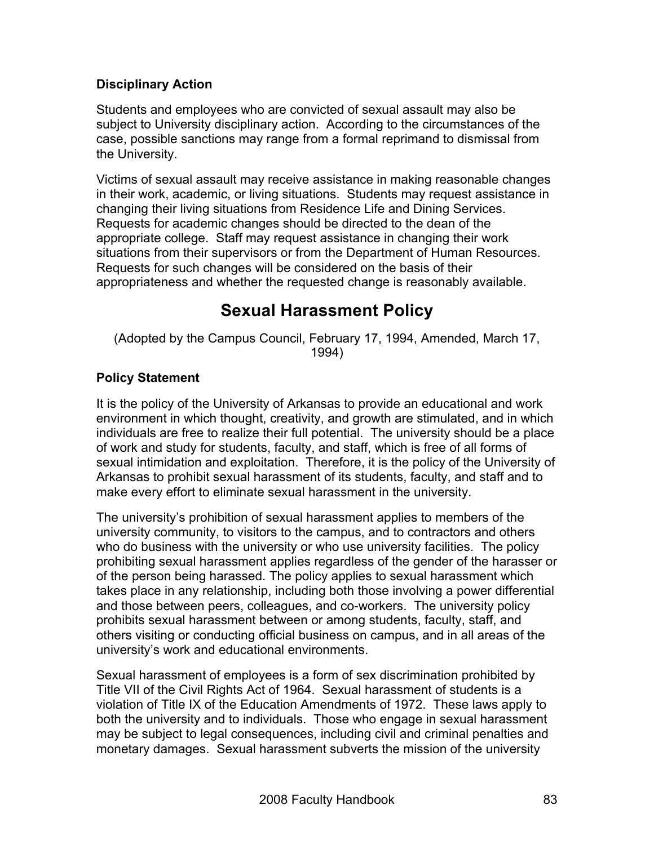### **Disciplinary Action**

Students and employees who are convicted of sexual assault may also be subject to University disciplinary action. According to the circumstances of the case, possible sanctions may range from a formal reprimand to dismissal from the University.

Victims of sexual assault may receive assistance in making reasonable changes in their work, academic, or living situations. Students may request assistance in changing their living situations from Residence Life and Dining Services. Requests for academic changes should be directed to the dean of the appropriate college. Staff may request assistance in changing their work situations from their supervisors or from the Department of Human Resources. Requests for such changes will be considered on the basis of their appropriateness and whether the requested change is reasonably available.

## **Sexual Harassment Policy**

(Adopted by the Campus Council, February 17, 1994, Amended, March 17, 1994)

### **Policy Statement**

It is the policy of the University of Arkansas to provide an educational and work environment in which thought, creativity, and growth are stimulated, and in which individuals are free to realize their full potential. The university should be a place of work and study for students, faculty, and staff, which is free of all forms of sexual intimidation and exploitation. Therefore, it is the policy of the University of Arkansas to prohibit sexual harassment of its students, faculty, and staff and to make every effort to eliminate sexual harassment in the university.

The university's prohibition of sexual harassment applies to members of the university community, to visitors to the campus, and to contractors and others who do business with the university or who use university facilities. The policy prohibiting sexual harassment applies regardless of the gender of the harasser or of the person being harassed. The policy applies to sexual harassment which takes place in any relationship, including both those involving a power differential and those between peers, colleagues, and co-workers. The university policy prohibits sexual harassment between or among students, faculty, staff, and others visiting or conducting official business on campus, and in all areas of the university's work and educational environments.

Sexual harassment of employees is a form of sex discrimination prohibited by Title VII of the Civil Rights Act of 1964. Sexual harassment of students is a violation of Title IX of the Education Amendments of 1972. These laws apply to both the university and to individuals. Those who engage in sexual harassment may be subject to legal consequences, including civil and criminal penalties and monetary damages. Sexual harassment subverts the mission of the university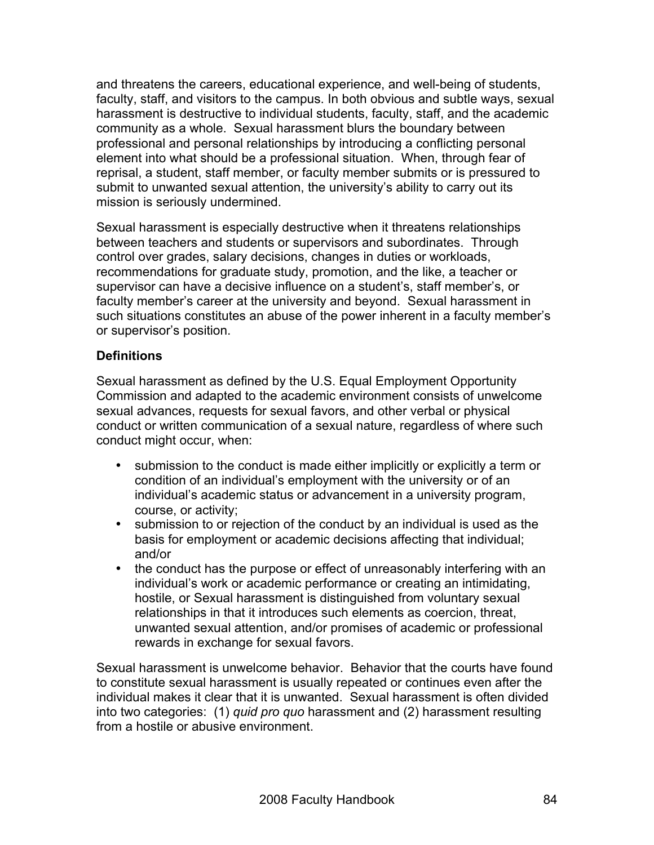and threatens the careers, educational experience, and well-being of students, faculty, staff, and visitors to the campus. In both obvious and subtle ways, sexual harassment is destructive to individual students, faculty, staff, and the academic community as a whole. Sexual harassment blurs the boundary between professional and personal relationships by introducing a conflicting personal element into what should be a professional situation. When, through fear of reprisal, a student, staff member, or faculty member submits or is pressured to submit to unwanted sexual attention, the university's ability to carry out its mission is seriously undermined.

Sexual harassment is especially destructive when it threatens relationships between teachers and students or supervisors and subordinates. Through control over grades, salary decisions, changes in duties or workloads, recommendations for graduate study, promotion, and the like, a teacher or supervisor can have a decisive influence on a student's, staff member's, or faculty member's career at the university and beyond. Sexual harassment in such situations constitutes an abuse of the power inherent in a faculty member's or supervisor's position.

#### **Definitions**

Sexual harassment as defined by the U.S. Equal Employment Opportunity Commission and adapted to the academic environment consists of unwelcome sexual advances, requests for sexual favors, and other verbal or physical conduct or written communication of a sexual nature, regardless of where such conduct might occur, when:

- submission to the conduct is made either implicitly or explicitly a term or condition of an individual's employment with the university or of an individual's academic status or advancement in a university program, course, or activity;
- submission to or rejection of the conduct by an individual is used as the basis for employment or academic decisions affecting that individual; and/or
- the conduct has the purpose or effect of unreasonably interfering with an individual's work or academic performance or creating an intimidating, hostile, or Sexual harassment is distinguished from voluntary sexual relationships in that it introduces such elements as coercion, threat, unwanted sexual attention, and/or promises of academic or professional rewards in exchange for sexual favors.

Sexual harassment is unwelcome behavior. Behavior that the courts have found to constitute sexual harassment is usually repeated or continues even after the individual makes it clear that it is unwanted. Sexual harassment is often divided into two categories: (1) *quid pro quo* harassment and (2) harassment resulting from a hostile or abusive environment.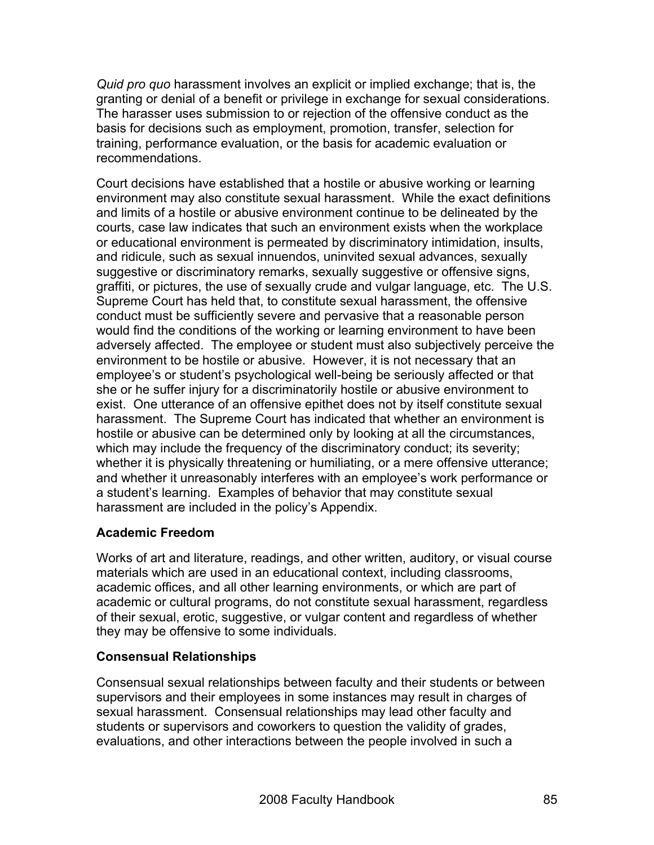*Quid pro quo* harassment involves an explicit or implied exchange; that is, the granting or denial of a benefit or privilege in exchange for sexual considerations. The harasser uses submission to or rejection of the offensive conduct as the basis for decisions such as employment, promotion, transfer, selection for training, performance evaluation, or the basis for academic evaluation or recommendations.

Court decisions have established that a hostile or abusive working or learning environment may also constitute sexual harassment. While the exact definitions and limits of a hostile or abusive environment continue to be delineated by the courts, case law indicates that such an environment exists when the workplace or educational environment is permeated by discriminatory intimidation, insults, and ridicule, such as sexual innuendos, uninvited sexual advances, sexually suggestive or discriminatory remarks, sexually suggestive or offensive signs, graffiti, or pictures, the use of sexually crude and vulgar language, etc. The U.S. Supreme Court has held that, to constitute sexual harassment, the offensive conduct must be sufficiently severe and pervasive that a reasonable person would find the conditions of the working or learning environment to have been adversely affected. The employee or student must also subjectively perceive the environment to be hostile or abusive. However, it is not necessary that an employee's or student's psychological well-being be seriously affected or that she or he suffer injury for a discriminatorily hostile or abusive environment to exist. One utterance of an offensive epithet does not by itself constitute sexual harassment. The Supreme Court has indicated that whether an environment is hostile or abusive can be determined only by looking at all the circumstances, which may include the frequency of the discriminatory conduct; its severity; whether it is physically threatening or humiliating, or a mere offensive utterance; and whether it unreasonably interferes with an employee's work performance or a student's learning. Examples of behavior that may constitute sexual harassment are included in the policy's Appendix.

### **Academic Freedom**

Works of art and literature, readings, and other written, auditory, or visual course materials which are used in an educational context, including classrooms, academic offices, and all other learning environments, or which are part of academic or cultural programs, do not constitute sexual harassment, regardless of their sexual, erotic, suggestive, or vulgar content and regardless of whether they may be offensive to some individuals.

#### **Consensual Relationships**

Consensual sexual relationships between faculty and their students or between supervisors and their employees in some instances may result in charges of sexual harassment. Consensual relationships may lead other faculty and students or supervisors and coworkers to question the validity of grades, evaluations, and other interactions between the people involved in such a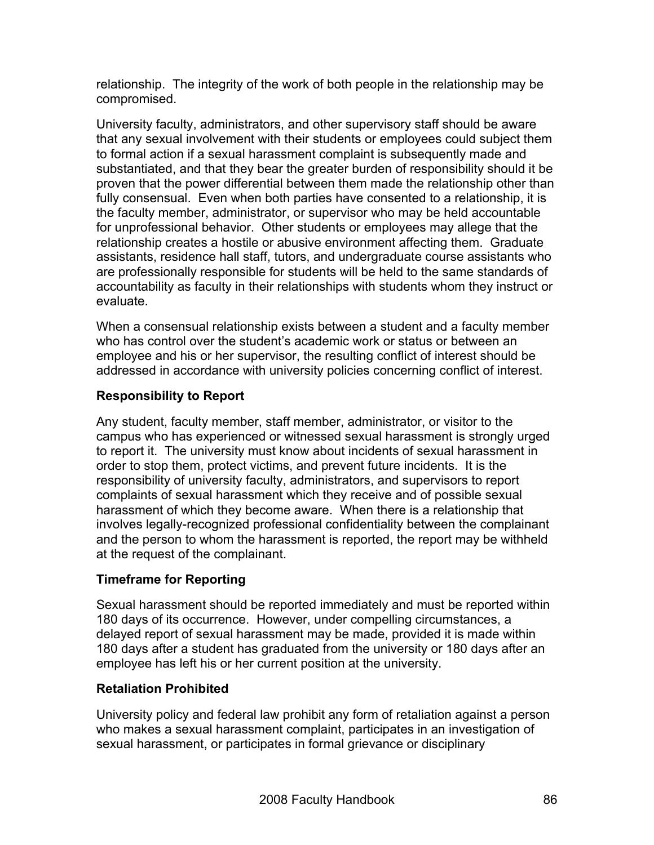relationship. The integrity of the work of both people in the relationship may be compromised.

University faculty, administrators, and other supervisory staff should be aware that any sexual involvement with their students or employees could subject them to formal action if a sexual harassment complaint is subsequently made and substantiated, and that they bear the greater burden of responsibility should it be proven that the power differential between them made the relationship other than fully consensual. Even when both parties have consented to a relationship, it is the faculty member, administrator, or supervisor who may be held accountable for unprofessional behavior. Other students or employees may allege that the relationship creates a hostile or abusive environment affecting them. Graduate assistants, residence hall staff, tutors, and undergraduate course assistants who are professionally responsible for students will be held to the same standards of accountability as faculty in their relationships with students whom they instruct or evaluate.

When a consensual relationship exists between a student and a faculty member who has control over the student's academic work or status or between an employee and his or her supervisor, the resulting conflict of interest should be addressed in accordance with university policies concerning conflict of interest.

## **Responsibility to Report**

Any student, faculty member, staff member, administrator, or visitor to the campus who has experienced or witnessed sexual harassment is strongly urged to report it. The university must know about incidents of sexual harassment in order to stop them, protect victims, and prevent future incidents. It is the responsibility of university faculty, administrators, and supervisors to report complaints of sexual harassment which they receive and of possible sexual harassment of which they become aware. When there is a relationship that involves legally-recognized professional confidentiality between the complainant and the person to whom the harassment is reported, the report may be withheld at the request of the complainant.

## **Timeframe for Reporting**

Sexual harassment should be reported immediately and must be reported within 180 days of its occurrence. However, under compelling circumstances, a delayed report of sexual harassment may be made, provided it is made within 180 days after a student has graduated from the university or 180 days after an employee has left his or her current position at the university.

### **Retaliation Prohibited**

University policy and federal law prohibit any form of retaliation against a person who makes a sexual harassment complaint, participates in an investigation of sexual harassment, or participates in formal grievance or disciplinary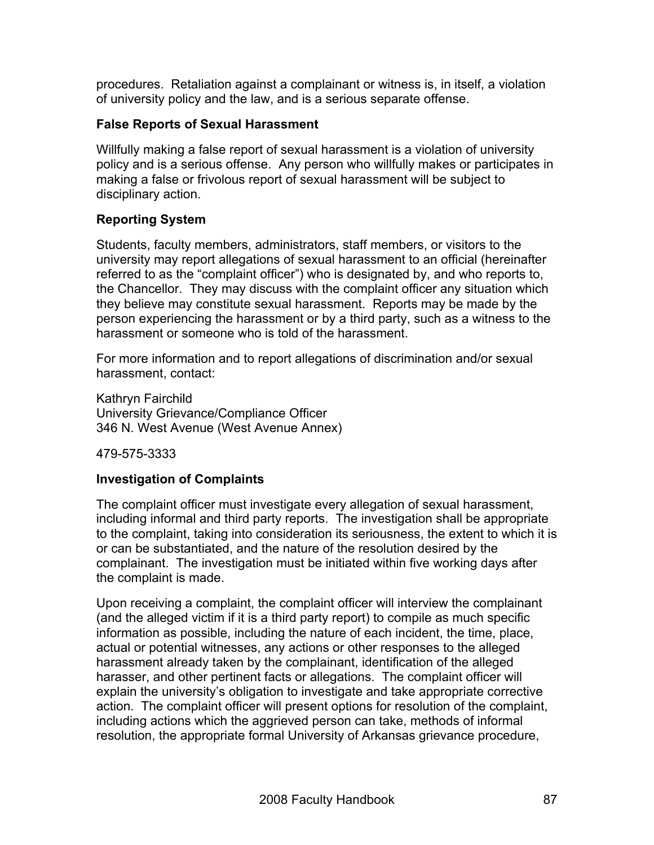procedures. Retaliation against a complainant or witness is, in itself, a violation of university policy and the law, and is a serious separate offense.

#### **False Reports of Sexual Harassment**

Willfully making a false report of sexual harassment is a violation of university policy and is a serious offense. Any person who willfully makes or participates in making a false or frivolous report of sexual harassment will be subject to disciplinary action.

### **Reporting System**

Students, faculty members, administrators, staff members, or visitors to the university may report allegations of sexual harassment to an official (hereinafter referred to as the "complaint officer") who is designated by, and who reports to, the Chancellor. They may discuss with the complaint officer any situation which they believe may constitute sexual harassment. Reports may be made by the person experiencing the harassment or by a third party, such as a witness to the harassment or someone who is told of the harassment.

For more information and to report allegations of discrimination and/or sexual harassment, contact:

Kathryn Fairchild University Grievance/Compliance Officer 346 N. West Avenue (West Avenue Annex)

479-575-3333

### **Investigation of Complaints**

The complaint officer must investigate every allegation of sexual harassment, including informal and third party reports. The investigation shall be appropriate to the complaint, taking into consideration its seriousness, the extent to which it is or can be substantiated, and the nature of the resolution desired by the complainant. The investigation must be initiated within five working days after the complaint is made.

Upon receiving a complaint, the complaint officer will interview the complainant (and the alleged victim if it is a third party report) to compile as much specific information as possible, including the nature of each incident, the time, place, actual or potential witnesses, any actions or other responses to the alleged harassment already taken by the complainant, identification of the alleged harasser, and other pertinent facts or allegations. The complaint officer will explain the university's obligation to investigate and take appropriate corrective action. The complaint officer will present options for resolution of the complaint, including actions which the aggrieved person can take, methods of informal resolution, the appropriate formal University of Arkansas grievance procedure,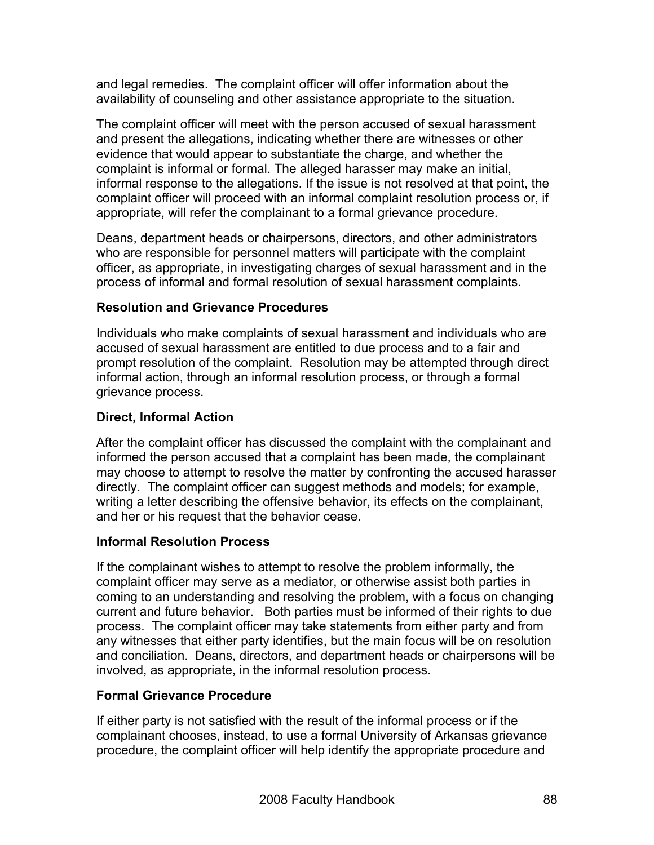and legal remedies. The complaint officer will offer information about the availability of counseling and other assistance appropriate to the situation.

The complaint officer will meet with the person accused of sexual harassment and present the allegations, indicating whether there are witnesses or other evidence that would appear to substantiate the charge, and whether the complaint is informal or formal. The alleged harasser may make an initial, informal response to the allegations. If the issue is not resolved at that point, the complaint officer will proceed with an informal complaint resolution process or, if appropriate, will refer the complainant to a formal grievance procedure.

Deans, department heads or chairpersons, directors, and other administrators who are responsible for personnel matters will participate with the complaint officer, as appropriate, in investigating charges of sexual harassment and in the process of informal and formal resolution of sexual harassment complaints.

## **Resolution and Grievance Procedures**

Individuals who make complaints of sexual harassment and individuals who are accused of sexual harassment are entitled to due process and to a fair and prompt resolution of the complaint. Resolution may be attempted through direct informal action, through an informal resolution process, or through a formal grievance process.

### **Direct, Informal Action**

After the complaint officer has discussed the complaint with the complainant and informed the person accused that a complaint has been made, the complainant may choose to attempt to resolve the matter by confronting the accused harasser directly. The complaint officer can suggest methods and models; for example, writing a letter describing the offensive behavior, its effects on the complainant, and her or his request that the behavior cease.

### **Informal Resolution Process**

If the complainant wishes to attempt to resolve the problem informally, the complaint officer may serve as a mediator, or otherwise assist both parties in coming to an understanding and resolving the problem, with a focus on changing current and future behavior. Both parties must be informed of their rights to due process. The complaint officer may take statements from either party and from any witnesses that either party identifies, but the main focus will be on resolution and conciliation. Deans, directors, and department heads or chairpersons will be involved, as appropriate, in the informal resolution process.

## **Formal Grievance Procedure**

If either party is not satisfied with the result of the informal process or if the complainant chooses, instead, to use a formal University of Arkansas grievance procedure, the complaint officer will help identify the appropriate procedure and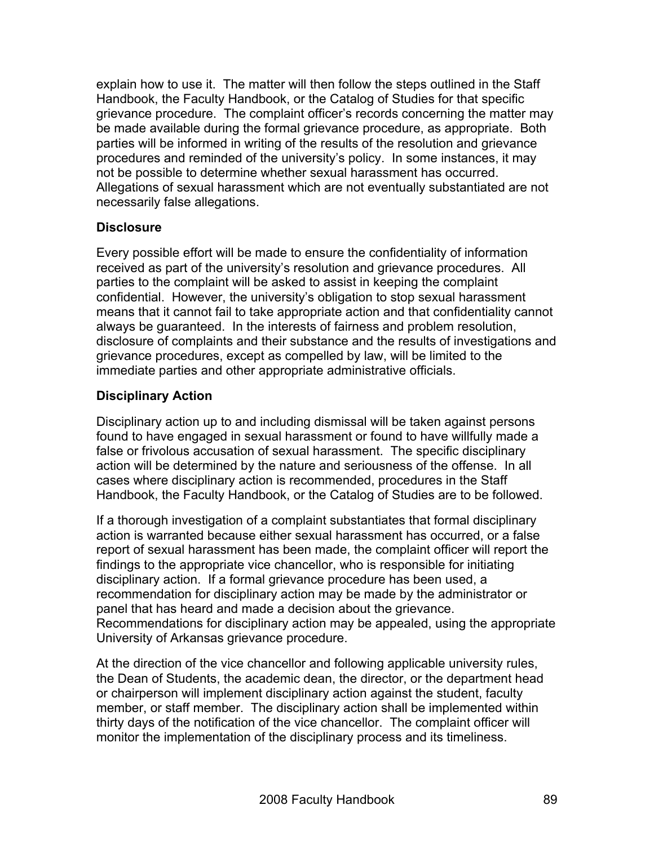explain how to use it. The matter will then follow the steps outlined in the Staff Handbook, the Faculty Handbook, or the Catalog of Studies for that specific grievance procedure. The complaint officer's records concerning the matter may be made available during the formal grievance procedure, as appropriate. Both parties will be informed in writing of the results of the resolution and grievance procedures and reminded of the university's policy. In some instances, it may not be possible to determine whether sexual harassment has occurred. Allegations of sexual harassment which are not eventually substantiated are not necessarily false allegations.

### **Disclosure**

Every possible effort will be made to ensure the confidentiality of information received as part of the university's resolution and grievance procedures. All parties to the complaint will be asked to assist in keeping the complaint confidential. However, the university's obligation to stop sexual harassment means that it cannot fail to take appropriate action and that confidentiality cannot always be guaranteed. In the interests of fairness and problem resolution, disclosure of complaints and their substance and the results of investigations and grievance procedures, except as compelled by law, will be limited to the immediate parties and other appropriate administrative officials.

### **Disciplinary Action**

Disciplinary action up to and including dismissal will be taken against persons found to have engaged in sexual harassment or found to have willfully made a false or frivolous accusation of sexual harassment. The specific disciplinary action will be determined by the nature and seriousness of the offense. In all cases where disciplinary action is recommended, procedures in the Staff Handbook, the Faculty Handbook, or the Catalog of Studies are to be followed.

If a thorough investigation of a complaint substantiates that formal disciplinary action is warranted because either sexual harassment has occurred, or a false report of sexual harassment has been made, the complaint officer will report the findings to the appropriate vice chancellor, who is responsible for initiating disciplinary action. If a formal grievance procedure has been used, a recommendation for disciplinary action may be made by the administrator or panel that has heard and made a decision about the grievance. Recommendations for disciplinary action may be appealed, using the appropriate University of Arkansas grievance procedure.

At the direction of the vice chancellor and following applicable university rules, the Dean of Students, the academic dean, the director, or the department head or chairperson will implement disciplinary action against the student, faculty member, or staff member. The disciplinary action shall be implemented within thirty days of the notification of the vice chancellor. The complaint officer will monitor the implementation of the disciplinary process and its timeliness.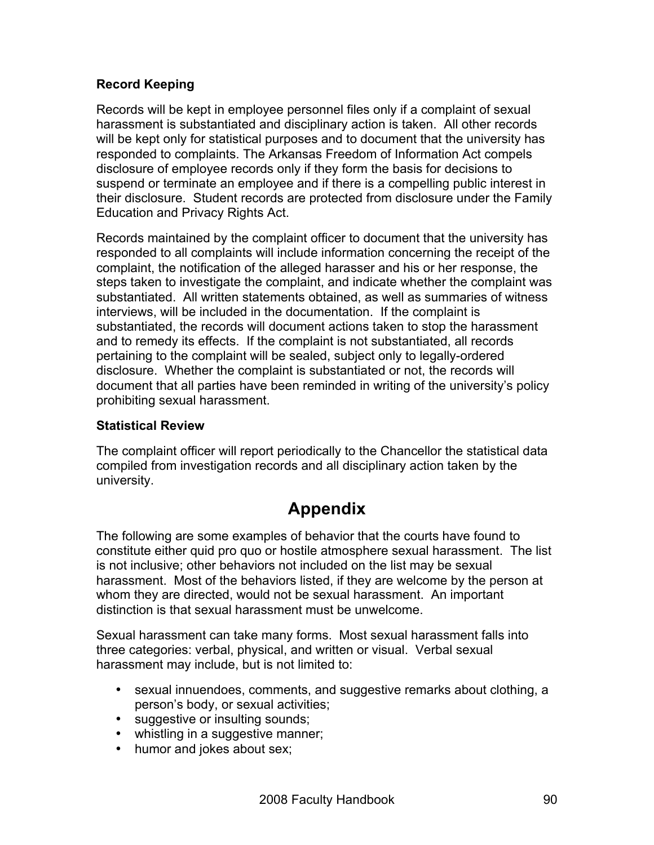### **Record Keeping**

Records will be kept in employee personnel files only if a complaint of sexual harassment is substantiated and disciplinary action is taken. All other records will be kept only for statistical purposes and to document that the university has responded to complaints. The Arkansas Freedom of Information Act compels disclosure of employee records only if they form the basis for decisions to suspend or terminate an employee and if there is a compelling public interest in their disclosure. Student records are protected from disclosure under the Family Education and Privacy Rights Act.

Records maintained by the complaint officer to document that the university has responded to all complaints will include information concerning the receipt of the complaint, the notification of the alleged harasser and his or her response, the steps taken to investigate the complaint, and indicate whether the complaint was substantiated. All written statements obtained, as well as summaries of witness interviews, will be included in the documentation. If the complaint is substantiated, the records will document actions taken to stop the harassment and to remedy its effects. If the complaint is not substantiated, all records pertaining to the complaint will be sealed, subject only to legally-ordered disclosure. Whether the complaint is substantiated or not, the records will document that all parties have been reminded in writing of the university's policy prohibiting sexual harassment.

#### **Statistical Review**

The complaint officer will report periodically to the Chancellor the statistical data compiled from investigation records and all disciplinary action taken by the university.

# **Appendix**

The following are some examples of behavior that the courts have found to constitute either quid pro quo or hostile atmosphere sexual harassment. The list is not inclusive; other behaviors not included on the list may be sexual harassment. Most of the behaviors listed, if they are welcome by the person at whom they are directed, would not be sexual harassment. An important distinction is that sexual harassment must be unwelcome.

Sexual harassment can take many forms. Most sexual harassment falls into three categories: verbal, physical, and written or visual. Verbal sexual harassment may include, but is not limited to:

- sexual innuendoes, comments, and suggestive remarks about clothing, a person's body, or sexual activities;
- suggestive or insulting sounds;
- whistling in a suggestive manner;
- humor and jokes about sex;